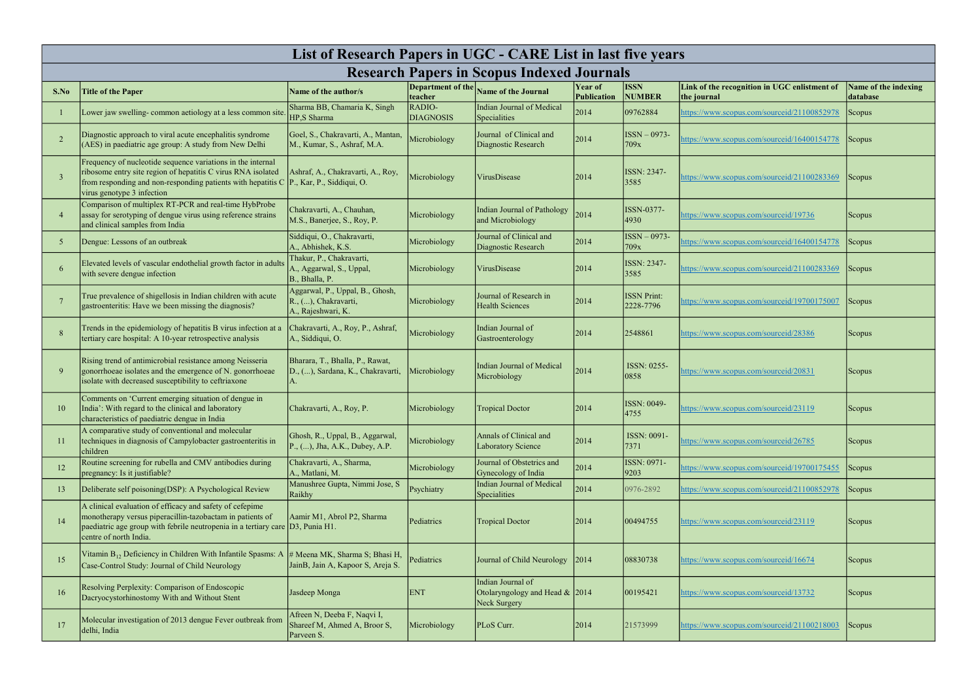| List of Research Papers in UGC - CARE List in last five years |                                                                                                                                                                                                                                       |                                                                                     |                                     |                                                                        |                        |                                 |                                                            |                                  |  |
|---------------------------------------------------------------|---------------------------------------------------------------------------------------------------------------------------------------------------------------------------------------------------------------------------------------|-------------------------------------------------------------------------------------|-------------------------------------|------------------------------------------------------------------------|------------------------|---------------------------------|------------------------------------------------------------|----------------------------------|--|
| <b>Research Papers in Scopus Indexed Journals</b>             |                                                                                                                                                                                                                                       |                                                                                     |                                     |                                                                        |                        |                                 |                                                            |                                  |  |
| S.No                                                          | <b>Title of the Paper</b>                                                                                                                                                                                                             | Name of the author/s                                                                | <b>Department of the</b><br>teacher | <b>Name of the Journal</b>                                             | Year of<br>Publication | <b>ISSN</b><br>NUMBER           | Link of the recognition in UGC enlistment of               | Name of the indexing<br>database |  |
|                                                               | Lower jaw swelling-common aetiology at a less common site                                                                                                                                                                             | Sharma BB, Chamaria K, Singh<br>HP,S Sharma                                         | RADIO-<br><b>DIAGNOSIS</b>          | <b>Indian Journal of Medical</b><br>Specialities                       | 2014                   | 09762884                        | the journal<br>https://www.scopus.com/sourceid/21100852978 | Scopus                           |  |
|                                                               | Diagnostic approach to viral acute encephalitis syndrome<br>(AES) in paediatric age group: A study from New Delhi                                                                                                                     | Goel, S., Chakravarti, A., Mantan,<br>M., Kumar, S., Ashraf, M.A.                   | Microbiology                        | Journal of Clinical and<br>Diagnostic Research                         | 2014                   | $ISSN-0973-$<br>709x            | nttps://www.scopus.com/sourceid/16400154778                | Scopus                           |  |
|                                                               | Frequency of nucleotide sequence variations in the internal<br>ribosome entry site region of hepatitis C virus RNA isolated<br>from responding and non-responding patients with hepatitis C<br>virus genotype 3 infection             | Ashraf, A., Chakravarti, A., Roy,<br>P., Kar, P., Siddiqui, O.                      | Microbiology                        | VirusDisease                                                           | 2014                   | ISSN: 2347-<br>3585             | https://www.scopus.com/sourceid/21100283369                | Scopus                           |  |
|                                                               | Comparison of multiplex RT-PCR and real-time HybProbe<br>assay for serotyping of dengue virus using reference strains<br>and clinical samples from India                                                                              | Chakravarti, A., Chauhan,<br>M.S., Banerjee, S., Roy, P.                            | Microbiology                        | <b>Indian Journal of Pathology</b><br>and Microbiology                 | 2014                   | ISSN-0377-<br>4930              | https://www.scopus.com/sourceid/19736                      | Scopus                           |  |
|                                                               | Dengue: Lessons of an outbreak                                                                                                                                                                                                        | Siddiqui, O., Chakravarti,<br>A., Abhishek, K.S.                                    | Microbiology                        | Journal of Clinical and<br>Diagnostic Research                         | 2014                   | $ISSN-0973-$<br>709x            | https://www.scopus.com/sourceid/16400154778                | Scopus                           |  |
|                                                               | Elevated levels of vascular endothelial growth factor in adults<br>with severe dengue infection                                                                                                                                       | Thakur, P., Chakravarti,<br>A., Aggarwal, S., Uppal,<br>B., Bhalla, P.              | Microbiology                        | <b>VirusDisease</b>                                                    | 2014                   | ISSN: 2347-<br>3585             | nttps://www.scopus.com/sourceid/21100283369                | Scopus                           |  |
|                                                               | True prevalence of shigellosis in Indian children with acute<br>gastroenteritis: Have we been missing the diagnosis?                                                                                                                  | Aggarwal, P., Uppal, B., Ghosh,<br>R., (), Chakravarti,<br>A., Rajeshwari, K.       | Microbiology                        | Journal of Research in<br><b>Health Sciences</b>                       | 2014                   | <b>ISSN Print:</b><br>2228-7796 | https://www.scopus.com/sourceid/19700175007                | <b>Scopus</b>                    |  |
|                                                               | Trends in the epidemiology of hepatitis B virus infection at a<br>tertiary care hospital: A 10-year retrospective analysis                                                                                                            | Chakravarti, A., Roy, P., Ashraf,<br>A., Siddiqui, O.                               | Microbiology                        | Indian Journal of<br>Gastroenterology                                  | 2014                   | 2548861                         | https://www.scopus.com/sourceid/28386                      | Scopus                           |  |
|                                                               | Rising trend of antimicrobial resistance among Neisseria<br>gonorrhoeae isolates and the emergence of N. gonorrhoeae<br>isolate with decreased susceptibility to ceftriaxone                                                          | Bharara, T., Bhalla, P., Rawat,<br>D., (), Sardana, K., Chakravarti,                | Microbiology                        | <b>Indian Journal of Medical</b><br>Microbiology                       | 2014                   | ISSN: 0255-<br>0858             | https://www.scopus.com/sourceid/20831                      | Scopus                           |  |
| 10                                                            | Comments on 'Current emerging situation of dengue in<br>India': With regard to the clinical and laboratory<br>characteristics of paediatric dengue in India                                                                           | Chakravarti, A., Roy, P.                                                            | Microbiology                        | <b>Tropical Doctor</b>                                                 | 2014                   | ISSN: 0049-<br> 4755            | https://www.scopus.com/sourceid/23119                      | Scopus                           |  |
|                                                               | A comparative study of conventional and molecular<br>techniques in diagnosis of Campylobacter gastroenteritis in<br>children                                                                                                          | Ghosh, R., Uppal, B., Aggarwal,<br>$ P_{1}, \ldots\rangle$ , Jha, A.K., Dubey, A.P. | Microbiology                        | Annals of Clinical and<br><b>Laboratory Science</b>                    | 2014                   | ISSN: 0091-<br>7371             | nttps://www.scopus.com/sourceid/26785                      | Scopus                           |  |
| 12                                                            | Routine screening for rubella and CMV antibodies during<br>pregnancy: Is it justifiable?                                                                                                                                              | Chakravarti, A., Sharma,<br>A., Matlani, M.                                         | Microbiology                        | Journal of Obstetrics and<br>Gynecology of India                       | 2014                   | ISSN: 0971-<br>9203             | https://www.scopus.com/sourceid/19700175455                | Scopus                           |  |
| 13                                                            | Deliberate self poisoning(DSP): A Psychological Review                                                                                                                                                                                | Manushree Gupta, Nimmi Jose, S<br>Raikhy                                            | Psychiatry                          | <b>Indian Journal of Medical</b><br>Specialities                       | 2014                   | 0976-2892                       | https://www.scopus.com/sourceid/21100852978                | Scopus                           |  |
| 14                                                            | A clinical evaluation of efficacy and safety of cefepime<br>monotherapy versus piperacillin-tazobactam in patients of<br>paediatric age group with febrile neutropenia in a tertiary care $ D3, P$ unia H1.<br>centre of north India. | Aamir M1, Abrol P2, Sharma                                                          | Pediatrics                          | <b>Tropical Doctor</b>                                                 | 2014                   | 00494755                        | https://www.scopus.com/sourceid/23119                      | Scopus                           |  |
| 15                                                            | Vitamin $B_{12}$ Deficiency in Children With Infantile Spasms: A<br>Case-Control Study: Journal of Child Neurology                                                                                                                    | $\#$ Meena MK, Sharma S; Bhasi H,<br>JainB, Jain A, Kapoor S, Areja S.              | Pediatrics                          | Journal of Child Neurology                                             | 2014                   | 08830738                        | https://www.scopus.com/sourceid/16674                      | Scopus                           |  |
| 16                                                            | Resolving Perplexity: Comparison of Endoscopic<br>Dacryocystorhinostomy With and Without Stent                                                                                                                                        | Jasdeep Monga                                                                       | <b>ENT</b>                          | Indian Journal of<br>Otolaryngology and Head $\&$ 2014<br>Neck Surgery |                        | 00195421                        | https://www.scopus.com/sourceid/13732                      | Scopus                           |  |
| 17                                                            | Molecular investigation of 2013 dengue Fever outbreak from<br>delhi, India                                                                                                                                                            | Afreen N, Deeba F, Naqvi I,<br>Shareef M, Ahmed A, Broor S,<br>Parveen S.           | Microbiology                        | PLoS Curr.                                                             | 2014                   | 21573999                        | https://www.scopus.com/sourceid/21100218003                | Scopus                           |  |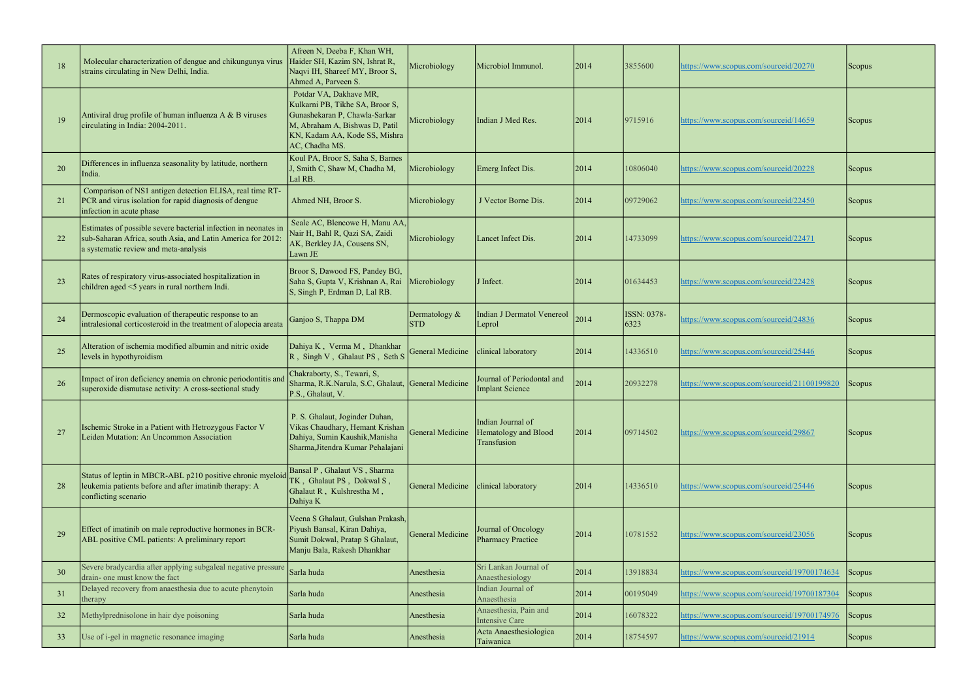| 18 | Molecular characterization of dengue and chikungunya virus<br>strains circulating in New Delhi, India.                                                                  | Afreen N, Deeba F, Khan WH,<br>Haider SH, Kazim SN, Ishrat R,<br>Naqvi IH, Shareef MY, Broor S,<br>Ahmed A, Parveen S.                                                          | Microbiology                | Microbiol Immunol.                                       | 2014 | 3855600             | https://www.scopus.com/sourceid/20270       | Scopus        |
|----|-------------------------------------------------------------------------------------------------------------------------------------------------------------------------|---------------------------------------------------------------------------------------------------------------------------------------------------------------------------------|-----------------------------|----------------------------------------------------------|------|---------------------|---------------------------------------------|---------------|
| 19 | Antiviral drug profile of human influenza A & B viruses<br>circulating in India: 2004-2011.                                                                             | Potdar VA, Dakhave MR,<br>Kulkarni PB, Tikhe SA, Broor S,<br>Gunashekaran P, Chawla-Sarkar<br>M, Abraham A, Bishwas D, Patil<br>KN, Kadam AA, Kode SS, Mishra<br>AC, Chadha MS. | Microbiology                | Indian J Med Res.                                        | 2014 | 9715916             | https://www.scopus.com/sourceid/14659       | Scopus        |
| 20 | Differences in influenza seasonality by latitude, northern<br>India.                                                                                                    | Koul PA, Broor S, Saha S, Barnes<br>J, Smith C, Shaw M, Chadha M,<br>Lal RB.                                                                                                    | Microbiology                | Emerg Infect Dis.                                        | 2014 | 10806040            | https://www.scopus.com/sourceid/20228       | Scopus        |
| 21 | Comparison of NS1 antigen detection ELISA, real time RT-<br>PCR and virus isolation for rapid diagnosis of dengue<br>infection in acute phase                           | Ahmed NH, Broor S.                                                                                                                                                              | Microbiology                | J Vector Borne Dis.                                      | 2014 | 09729062            | https://www.scopus.com/sourceid/22450       | Scopus        |
| 22 | Estimates of possible severe bacterial infection in neonates in<br>sub-Saharan Africa, south Asia, and Latin America for 2012:<br>a systematic review and meta-analysis | Seale AC, Blencowe H, Manu AA,<br>Nair H, Bahl R, Qazi SA, Zaidi<br>AK, Berkley JA, Cousens SN,<br>Lawn JE                                                                      | Microbiology                | Lancet Infect Dis.                                       | 2014 | 14733099            | https://www.scopus.com/sourceid/22471       | Scopus        |
| 23 | Rates of respiratory virus-associated hospitalization in<br>children aged $\leq$ 5 years in rural northern Indi.                                                        | Broor S, Dawood FS, Pandey BG,<br>Saha S, Gupta V, Krishnan A, Rai<br>S, Singh P, Erdman D, Lal RB.                                                                             | Microbiology                | J Infect.                                                | 2014 | 01634453            | https://www.scopus.com/sourceid/22428       | Scopus        |
| 24 | Dermoscopic evaluation of therapeutic response to an<br>intralesional corticosteroid in the treatment of alopecia areata                                                | Ganjoo S, Thappa DM                                                                                                                                                             | Dermatology &<br><b>STD</b> | <b>Indian J Dermatol Venereol</b><br>Leprol              | 2014 | ISSN: 0378-<br>6323 | https://www.scopus.com/sourceid/24836       | Scopus        |
| 25 | Alteration of ischemia modified albumin and nitric oxide<br>levels in hypothyroidism                                                                                    | Dahiya K, Verma M, Dhankhar<br>$\overline{R}$ , Singh V, Ghalaut PS, Seth S                                                                                                     | General Medicine            | clinical laboratory                                      | 2014 | 14336510            | https://www.scopus.com/sourceid/25446       | Scopus        |
| 26 | Impact of iron deficiency anemia on chronic periodontitis and<br>superoxide dismutase activity: A cross-sectional study                                                 | Chakraborty, S., Tewari, S,<br>Sharma, R.K.Narula, S.C, Ghalaut, General Medicine<br>P.S., Ghalaut, V.                                                                          |                             | Journal of Periodontal and<br><b>Implant Science</b>     | 2014 | 20932278            | https://www.scopus.com/sourceid/21100199820 | <b>Scopus</b> |
| 27 | Ischemic Stroke in a Patient with Hetrozygous Factor V<br>Leiden Mutation: An Uncommon Association                                                                      | P. S. Ghalaut, Joginder Duhan,<br>Vikas Chaudhary, Hemant Krishan<br>Dahiya, Sumin Kaushik, Manisha<br>Sharma, Jitendra Kumar Pehalajani                                        | <b>General Medicine</b>     | Indian Journal of<br>Hematology and Blood<br>Transfusion | 2014 | 09714502            | https://www.scopus.com/sourceid/29867       | Scopus        |
| 28 | Status of leptin in MBCR-ABL p210 positive chronic myeloid<br>leukemia patients before and after imatinib therapy: A<br>conflicting scenario                            | Bansal P, Ghalaut VS, Sharma<br>TK, Ghalaut PS, Dokwal S,<br>Ghalaut R, Kulshrestha M,<br>Dahiya K                                                                              | <b>General Medicine</b>     | clinical laboratory                                      | 2014 | 14336510            | https://www.scopus.com/sourceid/25446       | Scopus        |
| 29 | Effect of imatinib on male reproductive hormones in BCR-<br>ABL positive CML patients: A preliminary report                                                             | Veena S Ghalaut, Gulshan Prakash,<br>Piyush Bansal, Kiran Dahiya,<br>Sumit Dokwal, Pratap S Ghalaut,<br>Manju Bala, Rakesh Dhankhar                                             | <b>General Medicine</b>     | Journal of Oncology<br><b>Pharmacy Practice</b>          | 2014 | 10781552            | https://www.scopus.com/sourceid/23056       | Scopus        |
| 30 | Severe bradycardia after applying subgaleal negative pressure<br>drain- one must know the fact                                                                          | Sarla huda                                                                                                                                                                      | Anesthesia                  | Sri Lankan Journal of<br>Anaesthesiology                 | 2014 | 13918834            | https://www.scopus.com/sourceid/19700174634 | Scopus        |
| 31 | Delayed recovery from anaesthesia due to acute phenytoin<br>therapy                                                                                                     | Sarla huda                                                                                                                                                                      | Anesthesia                  | Indian Journal of<br>Anaesthesia                         | 2014 | 00195049            | https://www.scopus.com/sourceid/19700187304 | Scopus        |
| 32 | Methylprednisolone in hair dye poisoning                                                                                                                                | Sarla huda                                                                                                                                                                      | Anesthesia                  | Anaesthesia, Pain and<br><b>Intensive Care</b>           | 2014 | 16078322            | https://www.scopus.com/sourceid/19700174976 | Scopus        |
| 33 | Use of <i>i</i> -gel in magnetic resonance imaging                                                                                                                      | Sarla huda                                                                                                                                                                      | Anesthesia                  | Acta Anaesthesiologica<br>Taiwanica                      | 2014 | 18754597            | https://www.scopus.com/sourceid/21914       | Scopus        |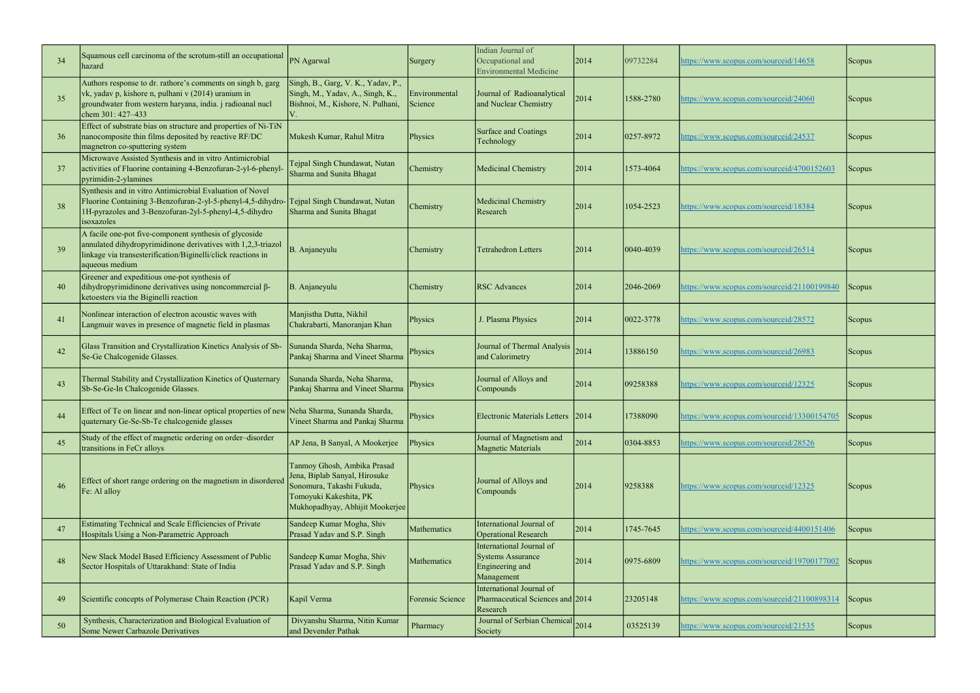| 34 | Squamous cell carcinoma of the scrotum-still an occupational<br>hazard                                                                                                                                   | PN Agarwal                                                                                                                                             | Surgery                  | Indian Journal of<br>Occupational and<br><b>Environmental Medicine</b>                | 2014 | 09732284        | https://www.scopus.com/sourceid/14658       | <b>Scopus</b> |
|----|----------------------------------------------------------------------------------------------------------------------------------------------------------------------------------------------------------|--------------------------------------------------------------------------------------------------------------------------------------------------------|--------------------------|---------------------------------------------------------------------------------------|------|-----------------|---------------------------------------------|---------------|
| 35 | Authors response to dr. rathore's comments on singh b, garg<br>vk, yadav p, kishore n, pulhani v (2014) uranium in<br>groundwater from western haryana, india. j radioanal nucl<br>chem 301: 427-433     | Singh, B., Garg, V. K., Yadav, P.,<br>Singh, M., Yadav, A., Singh, K.,<br>Bishnoi, M., Kishore, N. Pulhani,                                            | Environmental<br>Science | Journal of Radioanalytical<br>and Nuclear Chemistry                                   | 2014 | 1588-2780       | https://www.scopus.com/sourceid/24060       | <b>Scopus</b> |
| 36 | Effect of substrate bias on structure and properties of Ni-TiN<br>nanocomposite thin films deposited by reactive RF/DC<br>magnetron co-sputtering system                                                 | Mukesh Kumar, Rahul Mitra                                                                                                                              | Physics                  | Surface and Coatings<br>Technology                                                    | 2014 | 0257-8972       | https://www.scopus.com/sourceid/24537       | <b>Scopus</b> |
| 37 | Microwave Assisted Synthesis and in vitro Antimicrobial<br>activities of Fluorine containing 4-Benzofuran-2-yl-6-phenyl-<br>pyrimidin-2-ylamines                                                         | Tejpal Singh Chundawat, Nutan<br>Sharma and Sunita Bhagat                                                                                              | Chemistry                | Medicinal Chemistry                                                                   | 2014 | 1573-4064       | https://www.scopus.com/sourceid/4700152603  | Scopus        |
| 38 | Synthesis and in vitro Antimicrobial Evaluation of Novel<br>Fluorine Containing 3-Benzofuran-2-yl-5-phenyl-4,5-dihydro-<br>1H-pyrazoles and 3-Benzofuran-2yl-5-phenyl-4,5-dihydro<br>isoxazoles          | Tejpal Singh Chundawat, Nutan<br>Sharma and Sunita Bhagat                                                                                              | Chemistry                | Medicinal Chemistry<br>Research                                                       | 2014 | 1054-2523       | https://www.scopus.com/sourceid/18384       | <b>Scopus</b> |
| 39 | A facile one-pot five-component synthesis of glycoside<br>annulated dihydropyrimidinone derivatives with 1,2,3-triazol<br>linkage via transesterification/Biginelli/click reactions in<br>aqueous medium | B. Anjaneyulu                                                                                                                                          | Chemistry                | <b>Tetrahedron Letters</b>                                                            | 2014 | $ 0040 - 4039 $ | https://www.scopus.com/sourceid/26514       | <b>Scopus</b> |
| 40 | Greener and expeditious one-pot synthesis of<br>dihydropyrimidinone derivatives using noncommercial β-<br>ketoesters via the Biginelli reaction                                                          | B. Anjaneyulu                                                                                                                                          | Chemistry                | <b>RSC</b> Advances                                                                   | 2014 | 2046-2069       | https://www.scopus.com/sourceid/21100199840 | Scopus        |
| 41 | Nonlinear interaction of electron acoustic waves with<br>Langmuir waves in presence of magnetic field in plasmas                                                                                         | Manjistha Dutta, Nikhil<br>Chakrabarti, Manoranjan Khan                                                                                                | Physics                  | J. Plasma Physics                                                                     | 2014 | 0022-3778       | https://www.scopus.com/sourceid/28572       | <b>Scopus</b> |
| 42 | Glass Transition and Crystallization Kinetics Analysis of Sb-<br>Se-Ge Chalcogenide Glasses.                                                                                                             | Sunanda Sharda, Neha Sharma,<br>Pankaj Sharma and Vineet Sharma                                                                                        | Physics                  | Journal of Thermal Analysis<br>and Calorimetry                                        | 2014 | 13886150        | https://www.scopus.com/sourceid/26983       | <b>Scopus</b> |
| 43 | Thermal Stability and Crystallization Kinetics of Quaternary<br>Sb-Se-Ge-In Chalcogenide Glasses.                                                                                                        | Sunanda Sharda, Neha Sharma,<br>Pankaj Sharma and Vineet Sharma                                                                                        | Physics                  | Journal of Alloys and<br>Compounds                                                    | 2014 | 09258388        | https://www.scopus.com/sourceid/12325       | <b>Scopus</b> |
| 44 | Effect of Te on linear and non-linear optical properties of new Neha Sharma, Sunanda Sharda,<br>quaternary Ge-Se-Sb-Te chalcogenide glasses                                                              | Vineet Sharma and Pankaj Sharma                                                                                                                        | Physics                  | Electronic Materials Letters 2014                                                     |      | 17388090        | https://www.scopus.com/sourceid/13300154705 | <b>Scopus</b> |
| 45 | Study of the effect of magnetic ordering on order-disorder<br>transitions in FeCr alloys                                                                                                                 | AP Jena, B Sanyal, A Mookerjee                                                                                                                         | Physics                  | Journal of Magnetism and<br><b>Magnetic Materials</b>                                 | 2014 | 0304-8853       | https://www.scopus.com/sourceid/28526       | Scopus        |
| 46 | Effect of short range ordering on the magnetism in disordered<br>Fe: Al alloy                                                                                                                            | Tanmoy Ghosh, Ambika Prasad<br>Jena, Biplab Sanyal, Hirosuke<br>Sonomura, Takashi Fukuda,<br>Tomoyuki Kakeshita, PK<br>Mukhopadhyay, Abhijit Mookerjee | Physics                  | Journal of Alloys and<br>Compounds                                                    | 2014 | 9258388         | https://www.scopus.com/sourceid/12325       | <b>Scopus</b> |
| 47 | Estimating Technical and Scale Efficiencies of Private<br>Hospitals Using a Non-Parametric Approach                                                                                                      | Sandeep Kumar Mogha, Shiv<br>Prasad Yadav and S.P. Singh                                                                                               | Mathematics              | International Journal of<br><b>Operational Research</b>                               | 2014 | 1745-7645       | https://www.scopus.com/sourceid/4400151406  | Scopus        |
| 48 | New Slack Model Based Efficiency Assessment of Public<br>Sector Hospitals of Uttarakhand: State of India                                                                                                 | Sandeep Kumar Mogha, Shiv<br>Prasad Yadav and S.P. Singh                                                                                               | Mathematics              | International Journal of<br><b>Systems Assurance</b><br>Engineering and<br>Management | 2014 | $ 0975 - 6809$  | https://www.scopus.com/sourceid/19700177002 | <b>Scopus</b> |
| 49 | Scientific concepts of Polymerase Chain Reaction (PCR)                                                                                                                                                   | Kapil Verma                                                                                                                                            | Forensic Science         | International Journal of<br>Pharmaceutical Sciences and 2014<br>Research              |      | 23205148        | https://www.scopus.com/sourceid/21100898314 | Scopus        |
| 50 | Synthesis, Characterization and Biological Evaluation of<br>Some Newer Carbazole Derivatives                                                                                                             | Divyanshu Sharma, Nitin Kumar<br>and Devender Pathak                                                                                                   | Pharmacy                 | Journal of Serbian Chemical 2014<br>Society                                           |      | 03525139        | https://www.scopus.com/sourceid/21535       | Scopus        |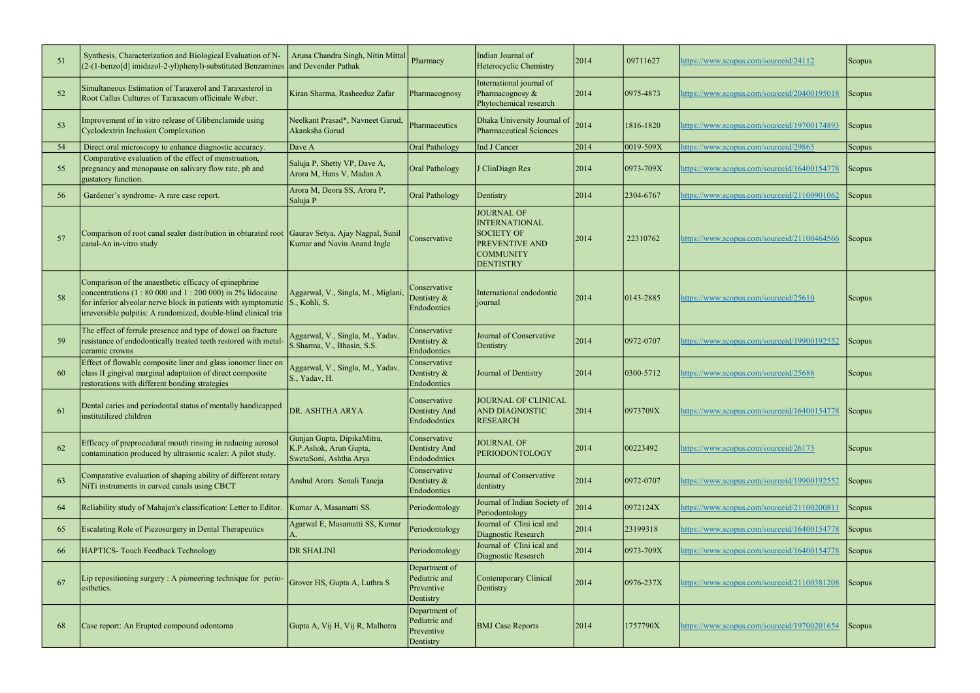| 51 | Synthesis, Characterization and Biological Evaluation of N-<br>(2-(1-benzo[d] imidazol-2-yl)phenyl)-substituted Benzamines                                                                                                                                 | Aruna Chandra Singh, Nitin Mittal<br>and Devender Pathak                       | Pharmacy                                                  | Indian Journal of<br>Heterocyclic Chemistry                                                                                     | 2014 | 09711627        | https://www.scopus.com/sourceid/24112              | Scopus        |
|----|------------------------------------------------------------------------------------------------------------------------------------------------------------------------------------------------------------------------------------------------------------|--------------------------------------------------------------------------------|-----------------------------------------------------------|---------------------------------------------------------------------------------------------------------------------------------|------|-----------------|----------------------------------------------------|---------------|
| 52 | Simultaneous Estimation of Taraxerol and Taraxasterol in<br>Root Callus Cultures of Taraxacum officinale Weber.                                                                                                                                            | Kiran Sharma, Rasheeduz Zafar                                                  | Pharmacognosy                                             | International journal of<br>Pharmacognosy &<br>Phytochemical research                                                           | 2014 | 0975-4873       | https://www.scopus.com/sourceid/20400195018        | Scopus        |
| 53 | Improvement of in vitro release of Glibenclamide using<br><b>Cyclodextrin Inclusion Complexation</b>                                                                                                                                                       | Neelkant Prasad*, Navneet Garud,<br>Akanksha Garud                             | Pharmaceutics                                             | Dhaka University Journal of $ _{2014} $<br><b>Pharmaceutical Sciences</b>                                                       |      | 1816-1820       | https://www.scopus.com/sourceid/19700174893        | Scopus        |
| 54 | Direct oral microscopy to enhance diagnostic accuracy.                                                                                                                                                                                                     | Dave A                                                                         | <b>Oral Pathology</b>                                     | Ind J Cancer                                                                                                                    | 2014 | 0019-509X       | https://www.scopus.com/sourceid/29865              | Scopus        |
| 55 | Comparative evaluation of the effect of menstruation,<br>pregnancy and menopause on salivary flow rate, ph and<br>gustatory function.                                                                                                                      | Saluja P, Shetty VP, Dave A,<br>Arora M, Hans V, Madan A                       | Oral Pathology                                            | J ClinDiagn Res                                                                                                                 | 2014 | $ 0973 - 709X$  | https://www.scopus.com/sourceid/16400154778        | Scopus        |
| 56 | Gardener's syndrome- A rare case report.                                                                                                                                                                                                                   | Arora M, Deora SS, Arora P,<br>Saluja P                                        | <b>Oral Pathology</b>                                     | Dentistry                                                                                                                       | 2014 | 2304-6767       | https://www.scopus.com/sourceid/21100901062        | Scopus        |
| 57 | Comparison of root canal sealer distribution in obturated root Gaurav Setya, Ajay Nagpal, Sunil<br>canal-An in-vitro study                                                                                                                                 | Kumar and Navin Anand Ingle                                                    | Conservative                                              | <b>JOURNAL OF</b><br><b>INTERNATIONAL</b><br><b>SOCIETY OF</b><br><b>PREVENTIVE AND</b><br><b>COMMUNITY</b><br><b>DENTISTRY</b> | 2014 | 22310762        | https://www.scopus.com/sourceid/21100464566        | <b>Scopus</b> |
| 58 | Comparison of the anaesthetic efficacy of epinephrine<br>concentrations $(1: 80 000$ and $1: 200 000$ in 2% lidocaine<br>for inferior alveolar nerve block in patients with symptomatic<br>irreversible pulpitis: A randomized, double-blind clinical tria | Aggarwal, V., Singla, M., Miglani,<br>S., Kohli, S.                            | Conservative<br>Dentistry &<br>Endodontics                | International endodontic<br> iournal                                                                                            | 2014 | $ 0143 - 2885 $ | https://www.scopus.com/sourceid/25610              | <b>Scopus</b> |
| 59 | The effect of ferrule presence and type of dowel on fracture<br>resistance of endodontically treated teeth restored with metal-<br>ceramic crowns                                                                                                          | Aggarwal, V., Singla, M., Yadav,<br>S.Sharma, V., Bhasin, S.S.                 | Conservative<br>Dentistry &<br>Endodontics                | Journal of Conservative<br>Dentistry                                                                                            | 2014 | 0972-0707       | https://www.scopus.com/sourceid/19900192552        | Scopus        |
| 60 | Effect of flowable composite liner and glass ionomer liner on<br>class II gingival marginal adaptation of direct composite<br>restorations with different bonding strategies                                                                               | Aggarwal, V., Singla, M., Yadav,<br>S., Yadav, H.                              | Conservative<br>Dentistry &<br>Endodontics                | Journal of Dentistry                                                                                                            | 2014 | 0300-5712       | https://www.scopus.com/sourceid/25686              | Scopus        |
| 61 | Dental caries and periodontal status of mentally handicapped<br>institutilized children                                                                                                                                                                    | DR. ASHTHA ARYA                                                                | Conservative<br>Dentistry And<br>Endododntics             | JOURNAL OF CLINICAL<br><b>AND DIAGNOSTIC</b><br><b>RESEARCH</b>                                                                 | 2014 | 0973709X        | https://www.scopus.com/sourceid/16400154778 Scopus |               |
| 62 | Efficacy of preprocedural mouth rinsing in reducing aerosol<br>contamination produced by ultrasonic scaler: A pilot study.                                                                                                                                 | Gunjan Gupta, DipikaMitra,<br>K.P.Ashok, Arun Gupta,<br>SwetaSoni, Ashtha Arya | Conservative<br>Dentistry And<br>Endododntics             | <b>JOURNAL OF</b><br>PERIODONTOLOGY                                                                                             | 2014 | 00223492        | https://www.scopus.com/sourceid/26173              | <b>Scopus</b> |
| 63 | Comparative evaluation of shaping ability of different rotary<br>NiTi instruments in curved canals using CBCT                                                                                                                                              | Anshul Arora Sonali Taneja                                                     | Conservative<br>Dentistry &<br>Endodontics                | Journal of Conservative<br>dentistry                                                                                            | 2014 | 0972-0707       | https://www.scopus.com/sourceid/19900192552        | Scopus        |
| 64 | Reliability study of Mahajan's classification: Letter to Editor.                                                                                                                                                                                           | Kumar A, Masamatti SS.                                                         | Periodontology                                            | Journal of Indian Society of<br>Periodontology                                                                                  | 2014 | 0972124X        | https://www.scopus.com/sourceid/21100200811        | Scopus        |
| 65 | Escalating Role of Piezosurgery in Dental Therapeutics                                                                                                                                                                                                     | Agarwal E, Masamatti SS, Kumar                                                 | Periodontology                                            | Journal of Clini ical and<br>Diagnostic Research                                                                                | 2014 | 23199318        | https://www.scopus.com/sourceid/16400154778        | Scopus        |
| 66 | HAPTICS- Touch Feedback Technology                                                                                                                                                                                                                         | DR SHALINI                                                                     | Periodontology                                            | Journal of Clini ical and<br>Diagnostic Research                                                                                | 2014 | $ 0973 - 709X$  | https://www.scopus.com/sourceid/16400154778        | Scopus        |
| 67 | Lip repositioning surgery : A pioneering technique for perio-<br>esthetics.                                                                                                                                                                                | Grover HS, Gupta A, Luthra S                                                   | Department of<br>Pediatric and<br>Preventive<br>Dentistry | <b>Contemporary Clinical</b><br>Dentistry                                                                                       | 2014 | 0976-237X       | https://www.scopus.com/sourceid/21100381208        | Scopus        |
| 68 | Case report: An Erupted compound odontoma                                                                                                                                                                                                                  | Gupta A, Vij H, Vij R, Malhotra                                                | Department of<br>Pediatric and<br>Preventive<br>Dentistry | <b>BMJ</b> Case Reports                                                                                                         | 2014 | 1757790X        | https://www.scopus.com/sourceid/19700201654        | Scopus        |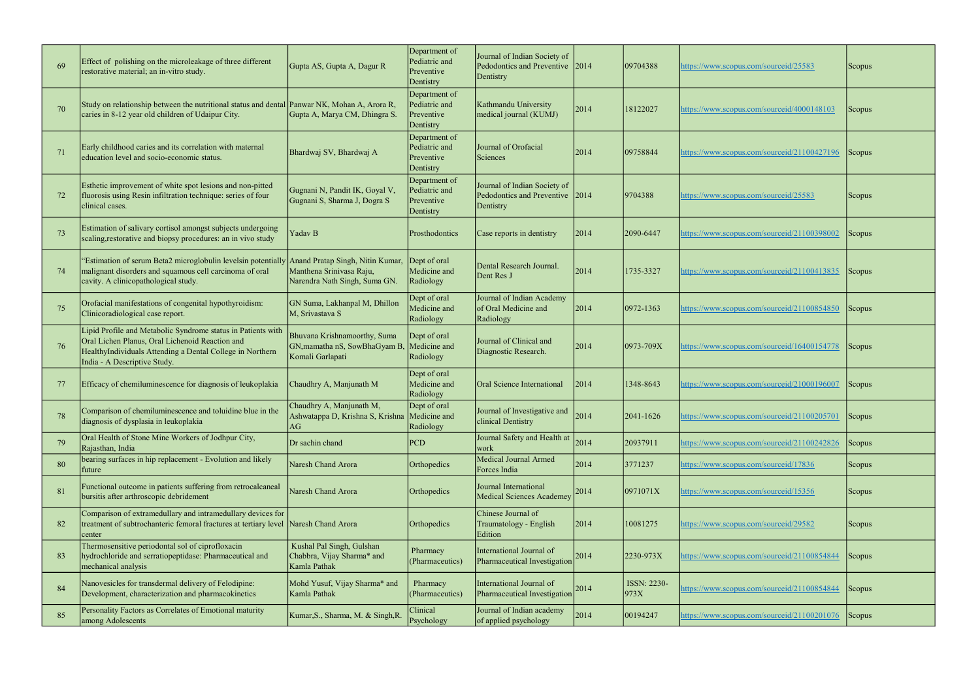| 69 | Effect of polishing on the microleakage of three different<br>restorative material; an in-vitro study.                                                                                                       | Gupta AS, Gupta A, Dagur R                                                       | Department of<br>Pediatric and<br>Preventive<br>Dentistry | Journal of Indian Society of<br>Pedodontics and Preventive 2014<br>Dentistry |      | 09704388            | https://www.scopus.com/sourceid/25583       | Scopus              |
|----|--------------------------------------------------------------------------------------------------------------------------------------------------------------------------------------------------------------|----------------------------------------------------------------------------------|-----------------------------------------------------------|------------------------------------------------------------------------------|------|---------------------|---------------------------------------------|---------------------|
| 70 | Study on relationship between the nutritional status and dental Panwar NK, Mohan A, Arora R,<br>caries in 8-12 year old children of Udaipur City.                                                            | Gupta A, Marya CM, Dhingra S.                                                    | Department of<br>Pediatric and<br>Preventive<br>Dentistry | Kathmandu University<br>medical journal (KUMJ)                               | 2014 | 18122027            | https://www.scopus.com/sourceid/4000148103  | Scopus              |
| 71 | Early childhood caries and its correlation with maternal<br>education level and socio-economic status.                                                                                                       | Bhardwaj SV, Bhardwaj A                                                          | Department of<br>Pediatric and<br>Preventive<br>Dentistry | Journal of Orofacial<br>Sciences                                             | 2014 | 09758844            | https://www.scopus.com/sourceid/21100427196 | <b>Scopus</b>       |
|    | Esthetic improvement of white spot lesions and non-pitted<br>fluorosis using Resin infiltration technique: series of four<br>clinical cases.                                                                 | Gugnani N, Pandit IK, Goyal V,<br>Gugnani S, Sharma J, Dogra S                   | Department of<br>Pediatric and<br>Preventive<br>Dentistry | Journal of Indian Society of<br>Pedodontics and Preventive 2014<br>Dentistry |      | 9704388             | https://www.scopus.com/sourceid/25583       | <b>Scopus</b>       |
| 73 | Estimation of salivary cortisol amongst subjects undergoing<br>scaling, restorative and biopsy procedures: an in vivo study                                                                                  | Yadav B                                                                          | Prosthodontics                                            | Case reports in dentistry                                                    | 2014 | 2090-6447           | https://www.scopus.com/sourceid/21100398002 | Scopus              |
| 74 | "Estimation of serum Beta2 microglobulin levelsin potentially Anand Pratap Singh, Nitin Kumar,<br>malignant disorders and squamous cell carcinoma of oral<br>cavity. A clinicopathological study.            | Manthena Srinivasa Raju,<br>Narendra Nath Singh, Suma GN.                        | Dept of oral<br>Medicine and<br>Radiology                 | Dental Research Journal.<br>Dent Res J                                       | 2014 | 1735-3327           | https://www.scopus.com/sourceid/21100413835 | <b>Scopus</b>       |
| 75 | Orofacial manifestations of congenital hypothyroidism:<br>Clinicoradiological case report.                                                                                                                   | GN Suma, Lakhanpal M, Dhillon<br>M, Srivastava S                                 | Dept of oral<br>Medicine and<br>Radiology                 | Journal of Indian Academy<br>of Oral Medicine and<br>Radiology               | 2014 | 0972-1363           | https://www.scopus.com/sourceid/21100854850 | Scopus <sup>1</sup> |
| 76 | Lipid Profile and Metabolic Syndrome status in Patients with<br>Oral Lichen Planus, Oral Lichenoid Reaction and<br>HealthyIndividuals Attending a Dental College in Northern<br>India - A Descriptive Study. | Bhuvana Krishnamoorthy, Suma<br>GN, mamatha nS, SowBhaGyam B<br>Komali Garlapati | Dept of oral<br>Medicine and<br>Radiology                 | Journal of Clinical and<br>Diagnostic Research.                              | 2014 | $ 0973 - 709X$      | https://www.scopus.com/sourceid/16400154778 | Scopus <sup>1</sup> |
| 77 | Efficacy of chemiluminescence for diagnosis of leukoplakia                                                                                                                                                   | Chaudhry A, Manjunath M                                                          | Dept of oral<br>Medicine and<br>Radiology                 | Oral Science International                                                   | 2014 | 1348-8643           | https://www.scopus.com/sourceid/21000196007 | Scopus              |
| 78 | Comparison of chemiluminescence and toluidine blue in the<br>diagnosis of dysplasia in leukoplakia                                                                                                           | Chaudhry A, Manjunath M,<br>Ashwatappa D, Krishna S, Krishna Medicine and<br>AG  | Dept of oral<br>Radiology                                 | Journal of Investigative and<br>clinical Dentistry                           | 2014 | 2041-1626           | https://www.scopus.com/sourceid/21100205701 | <b>Scopus</b>       |
| 79 | Oral Health of Stone Mine Workers of Jodhpur City,<br>Rajasthan, India                                                                                                                                       | Dr sachin chand                                                                  | <b>PCD</b>                                                | Journal Safety and Health at<br>work                                         | 2014 | 20937911            | https://www.scopus.com/sourceid/21100242826 | Scopus              |
| 80 | bearing surfaces in hip replacement - Evolution and likely<br>future                                                                                                                                         | Naresh Chand Arora                                                               | Orthopedics                                               | Medical Journal Armed<br>Forces India                                        | 2014 | 3771237             | https://www.scopus.com/sourceid/17836       | Scopus              |
| 81 | Functional outcome in patients suffering from retrocalcaneal<br>bursitis after arthroscopic debridement                                                                                                      | Naresh Chand Arora                                                               | Orthopedics                                               | Journal International<br>Medical Sciences Academey                           | 2014 | 0971071X            | https://www.scopus.com/sourceid/15356       | <b>Scopus</b>       |
| 82 | Comparison of extramedullary and intramedullary devices for<br>treatment of subtrochanteric femoral fractures at tertiary level Naresh Chand Arora<br>center                                                 |                                                                                  | Orthopedics                                               | Chinese Journal of<br>Traumatology - English<br>Edition                      | 2014 | 10081275            | https://www.scopus.com/sourceid/29582       | <b>Scopus</b>       |
| 83 | Thermosensitive periodontal sol of ciprofloxacin<br>hydrochloride and serratiopeptidase: Pharmaceutical and<br>mechanical analysis                                                                           | Kushal Pal Singh, Gulshan<br>Chabbra, Vijay Sharma* and<br>Kamla Pathak          | Pharmacy<br>(Pharmaceutics)                               | International Journal of<br>Pharmaceutical Investigation                     | 2014 | 2230-973X           | https://www.scopus.com/sourceid/21100854844 | <b>Scopus</b>       |
| 84 | Nanovesicles for transdermal delivery of Felodipine:<br>Development, characterization and pharmacokinetics                                                                                                   | Mohd Yusuf, Vijay Sharma* and<br>Kamla Pathak                                    | Pharmacy<br>(Pharmaceutics)                               | International Journal of<br>Pharmaceutical Investigation                     | 2014 | ISSN: 2230-<br>973X | attps://www.scopus.com/sourceid/21100854844 | Scopus              |
| 85 | Personality Factors as Correlates of Emotional maturity<br>among Adolescents                                                                                                                                 | Kumar, S., Sharma, M. & Singh, R.                                                | Clinical<br>Psychology                                    | Journal of Indian academy<br>of applied psychology                           | 2014 | 00194247            | https://www.scopus.com/sourceid/21100201076 | Scopus              |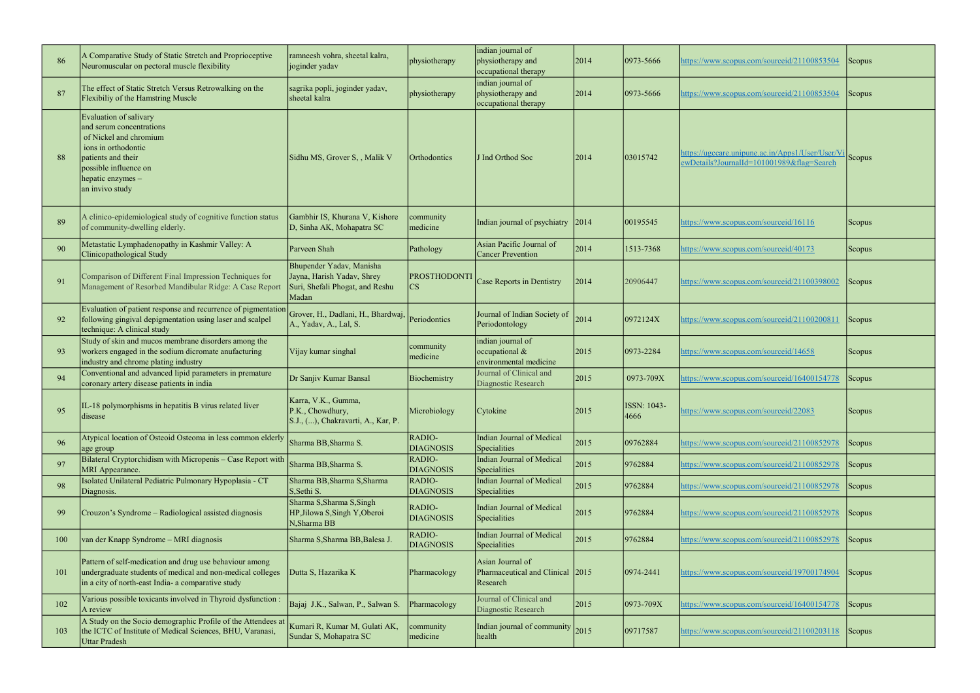| 86  | A Comparative Study of Static Stretch and Proprioceptive<br>Neuromuscular on pectoral muscle flexibility                                                                                   | ramneesh vohra, sheetal kalra,<br>joginder yadav                                                   | physiotherapy                                 | indian journal of<br>physiotherapy and<br>occupational therapy   | 2014           | 0973-5666           | ttps://www.scopus.com/sourceid/21100853504                                                    | Scopus        |
|-----|--------------------------------------------------------------------------------------------------------------------------------------------------------------------------------------------|----------------------------------------------------------------------------------------------------|-----------------------------------------------|------------------------------------------------------------------|----------------|---------------------|-----------------------------------------------------------------------------------------------|---------------|
| 87  | The effect of Static Stretch Versus Retrowalking on the<br>Flexibiliy of the Hamstring Muscle                                                                                              | sagrika popli, joginder yadav,<br>sheetal kalra                                                    | physiotherapy                                 | indian journal of<br>physiotherapy and<br>occupational therapy   | 2014           | 0973-5666           | nttps://www.scopus.com/sourceid/21100853504                                                   | Scopus        |
| 88  | Evaluation of salivary<br>and serum concentrations<br>of Nickel and chromium<br>ions in orthodontic<br>patients and their<br>possible influence on<br>hepatic enzymes -<br>an invivo study | Sidhu MS, Grover S, , Malik V                                                                      | Orthodontics                                  | J Ind Orthod Soc                                                 | 2014           | 03015742            | https://ugccare.unipune.ac.in/Apps1/User/User/Vi<br>ewDetails?JournalId=101001989&flag=Search | Scopus        |
| 89  | A clinico-epidemiological study of cognitive function status<br>of community-dwelling elderly.                                                                                             | Gambhir IS, Khurana V, Kishore<br>D, Sinha AK, Mohapatra SC                                        | community<br>medicine                         | Indian journal of psychiatry                                     | 2014           | 00195545            | nttps://www.scopus.com/sourceid/16116                                                         | <b>Scopus</b> |
| 90  | Metastatic Lymphadenopathy in Kashmir Valley: A<br>Clinicopathological Study                                                                                                               | Parveen Shah                                                                                       | Pathology                                     | Asian Pacific Journal of<br><b>Cancer Prevention</b>             | 2014           | 1513-7368           | nttps://www.scopus.com/sourceid/40173                                                         | <b>Scopus</b> |
| 91  | Comparison of Different Final Impression Techniques for<br>Management of Resorbed Mandibular Ridge: A Case Report                                                                          | Bhupender Yadav, Manisha<br>Jayna, Harish Yadav, Shrey<br>Suri, Shefali Phogat, and Reshu<br>Madan | <b>PROSTHODONTI</b><br>$\overline{\text{CS}}$ | Case Reports in Dentistry                                        | 2014           | 20906447            | https://www.scopus.com/sourceid/21100398002                                                   | Scopus        |
| 92  | Evaluation of patient response and recurrence of pigmentation<br>following gingival depigmentation using laser and scalpel<br>technique: A clinical study                                  | Grover, H., Dadlani, H., Bhardwaj,<br>A., Yadav, A., Lal, S.                                       | Periodontics                                  | Journal of Indian Society of<br>Periodontology                   | 2014           | 0972124X            | nttps://www.scopus.com/sourceid/21100200811                                                   | Scopus        |
| 93  | Study of skin and mucos membrane disorders among the<br>workers engaged in the sodium dicromate anufacturing<br>industry and chrome plating industry                                       | Vijay kumar singhal                                                                                | community<br>medicine                         | indian journal of<br>occupational &<br>environmental medicine    | 2015           | 0973-2284           | https://www.scopus.com/sourceid/14658                                                         | <b>Scopus</b> |
| 94  | Conventional and advanced lipid parameters in premature<br>coronary artery disease patients in india                                                                                       | Dr Sanjiv Kumar Bansal                                                                             | Biochemistry                                  | Journal of Clinical and<br>Diagnostic Research                   | 2015           | 0973-709X           | nttps://www.scopus.com/sourceid/16400154778                                                   | Scopus        |
| 95  | IL-18 polymorphisms in hepatitis B virus related liver<br>disease                                                                                                                          | Karra, V.K., Gumma,<br>P.K., Chowdhury,<br>S.J., (), Chakravarti, A., Kar, P.                      | Microbiology                                  | Cytokine                                                         | $ 2015\rangle$ | ISSN: 1043-<br>4666 | https://www.scopus.com/sourceid/22083                                                         | Scopus        |
| 96  | Atypical location of Osteoid Osteoma in less common elderly<br>age group                                                                                                                   | Sharma BB, Sharma S.                                                                               | RADIO-<br><b>DIAGNOSIS</b>                    | <b>Indian Journal of Medical</b><br>Specialities                 | 2015           | 09762884            | nttps://www.scopus.com/sourceid/21100852978                                                   | Scopus        |
| 97  | Bilateral Cryptorchidism with Micropenis – Case Report with<br>MRI Appearance.                                                                                                             | Sharma BB, Sharma S.                                                                               | RADIO-<br><b>DIAGNOSIS</b>                    | <b>Indian Journal of Medical</b><br>Specialities                 | 2015           | 9762884             | https://www.scopus.com/sourceid/21100852978                                                   | Scopus        |
| 98  | Isolated Unilateral Pediatric Pulmonary Hypoplasia - CT<br>Diagnosis.                                                                                                                      | Sharma BB, Sharma S, Sharma<br>S, Sethi S.                                                         | RADIO-<br><b>DIAGNOSIS</b>                    | <b>Indian Journal of Medical</b><br>Specialities                 | 2015           | 9762884             | nttps://www.scopus.com/sourceid/21100852978                                                   | Scopus        |
| 99  | Crouzon's Syndrome - Radiological assisted diagnosis                                                                                                                                       | Sharma S, Sharma S, Singh<br>HP, Jilowa S, Singh Y, Oberoi<br>N, Sharma BB                         | RADIO-<br><b>DIAGNOSIS</b>                    | <b>Indian Journal of Medical</b><br>Specialities                 | 2015           | 9762884             | nttps://www.scopus.com/sourceid/21100852978                                                   | Scopus        |
| 100 | van der Knapp Syndrome – MRI diagnosis                                                                                                                                                     | Sharma S, Sharma BB, Balesa J.                                                                     | RADIO-<br><b>DIAGNOSIS</b>                    | <b>Indian Journal of Medical</b><br>Specialities                 | 2015           | 9762884             | https://www.scopus.com/sourceid/21100852978                                                   | Scopus        |
| 101 | Pattern of self-medication and drug use behaviour among<br>undergraduate students of medical and non-medical colleges<br>in a city of north-east India- a comparative study                | Dutta S, Hazarika K                                                                                | Pharmacology                                  | Asian Journal of<br>Pharmaceutical and Clinical 2015<br>Research |                | $ 0974 - 2441 $     | https://www.scopus.com/sourceid/19700174904                                                   | Scopus        |
| 102 | Various possible toxicants involved in Thyroid dysfunction :<br>A review                                                                                                                   | Bajaj J.K., Salwan, P., Salwan S.                                                                  | Pharmacology                                  | Journal of Clinical and<br>Diagnostic Research                   | 2015           | 0973-709X           | https://www.scopus.com/sourceid/16400154778                                                   | Scopus        |
| 103 | A Study on the Socio demographic Profile of the Attendees at<br>the ICTC of Institute of Medical Sciences, BHU, Varanasi,<br>Uttar Pradesh                                                 | Kumari R, Kumar M, Gulati AK,<br>Sundar S, Mohapatra SC                                            | community<br>medicine                         | Indian journal of community<br>health                            | 2015           | 09717587            | https://www.scopus.com/sourceid/21100203118                                                   | Scopus        |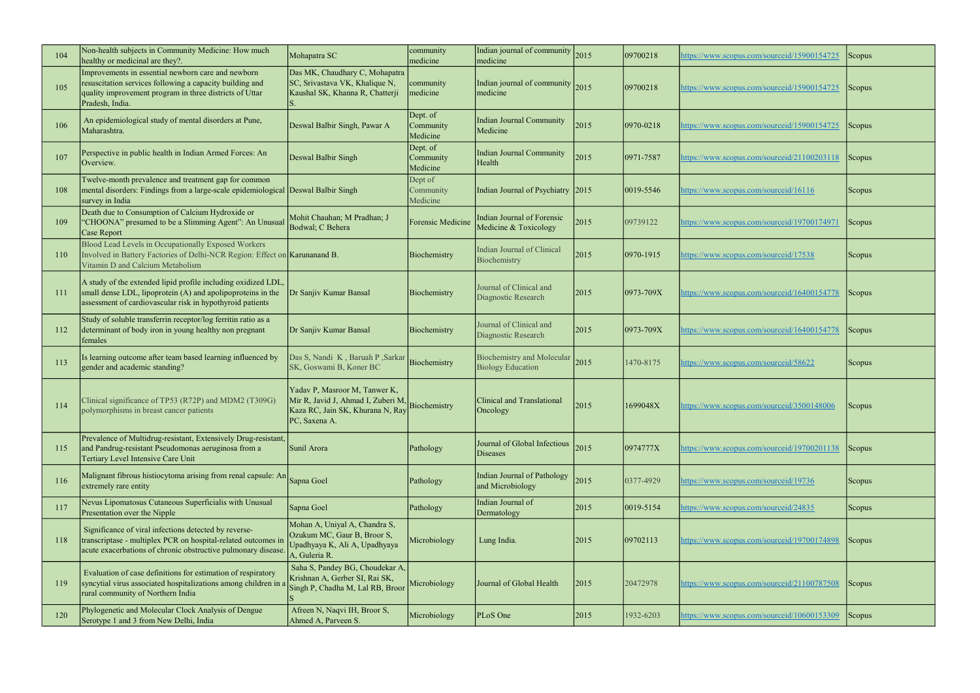| 104 | Non-health subjects in Community Medicine: How much<br>healthy or medicinal are they?.                                                                                                       | Mohapatra SC                                                                                                                          | community<br>medicine             | Indian journal of community<br>medicine                       | 2015 | 09700218        | nttps://www.scopus.com/sourceid/15900154725 | Scopus              |
|-----|----------------------------------------------------------------------------------------------------------------------------------------------------------------------------------------------|---------------------------------------------------------------------------------------------------------------------------------------|-----------------------------------|---------------------------------------------------------------|------|-----------------|---------------------------------------------|---------------------|
| 105 | Improvements in essential newborn care and newborn<br>resuscitation services following a capacity building and<br>quality improvement program in three districts of Uttar<br>Pradesh, India. | Das MK, Chaudhary C, Mohapatra<br>SC, Srivastava VK, Khalique N,<br>Kaushal SK, Khanna R, Chatterji                                   | community<br>medicine             | Indian journal of community 2015<br>medicine                  |      | 09700218        | https://www.scopus.com/sourceid/15900154725 | Scopus <sup>1</sup> |
| 106 | An epidemiological study of mental disorders at Pune,<br>Maharashtra.                                                                                                                        | Deswal Balbir Singh, Pawar A                                                                                                          | Dept. of<br>Community<br>Medicine | <b>Indian Journal Community</b><br>Medicine                   | 2015 | 0970-0218       | nttps://www.scopus.com/sourceid/15900154725 | Scopus              |
| 107 | Perspective in public health in Indian Armed Forces: An<br>Overview.                                                                                                                         | Deswal Balbir Singh                                                                                                                   | Dept. of<br>Community<br>Medicine | <b>Indian Journal Community</b><br>Health                     | 2015 | 0971-7587       | https://www.scopus.com/sourceid/21100203118 | Scopus <sup>1</sup> |
| 108 | Twelve-month prevalence and treatment gap for common<br>mental disorders: Findings from a large-scale epidemiological Deswal Balbir Singh<br>survey in India                                 |                                                                                                                                       | Dept of<br>Community<br>Medicine  | Indian Journal of Psychiatry 2015                             |      | 0019-5546       | https://www.scopus.com/sourceid/16116       | Scopus <sup>1</sup> |
| 109 | Death due to Consumption of Calcium Hydroxide or<br>"CHOONA" presumed to be a Slimming Agent": An Unusual<br>Case Report                                                                     | Mohit Chauhan; M Pradhan; J<br>Bodwal; C Behera                                                                                       | Forensic Medicine                 | <b>Indian Journal of Forensic</b><br>Medicine & Toxicology    | 2015 | 09739122        | https://www.scopus.com/sourceid/19700174971 | Scopus              |
| 110 | Blood Lead Levels in Occupationally Exposed Workers<br>Involved in Battery Factories of Delhi-NCR Region: Effect on Karunanand B.<br>Vitamin D and Calcium Metabolism                        |                                                                                                                                       | Biochemistry                      | <b>Indian Journal of Clinical</b><br>Biochemistry             | 2015 | 0970-1915       | https://www.scopus.com/sourceid/17538       | <b>Scopus</b>       |
| 111 | A study of the extended lipid profile including oxidized LDL,<br>small dense LDL, lipoprotein (A) and apolipoproteins in the<br>assessment of cardiovascular risk in hypothyroid patients    | Dr Sanjiv Kumar Bansal                                                                                                                | Biochemistry                      | Journal of Clinical and<br>Diagnostic Research                | 2015 | $ 0973 - 709X$  | https://www.scopus.com/sourceid/16400154778 | Scopus <sup>1</sup> |
| 112 | Study of soluble transferrin receptor/log ferritin ratio as a<br>determinant of body iron in young healthy non pregnant<br>females                                                           | Dr Sanjiv Kumar Bansal                                                                                                                | Biochemistry                      | Journal of Clinical and<br>Diagnostic Research                | 2015 | $ 0973 - 709X$  | nttps://www.scopus.com/sourceid/16400154778 | Scopus              |
| 113 | Is learning outcome after team based learning influenced by<br>gender and academic standing?                                                                                                 | Das S, Nandi K, Baruah P, Sarkar<br>SK, Goswami B, Koner BC                                                                           | Biochemistry                      | <b>Biochemistry and Molecular</b><br><b>Biology Education</b> | 2015 | 1470-8175       | https://www.scopus.com/sourceid/58622       | <b>Scopus</b>       |
| 114 | Clinical significance of TP53 (R72P) and MDM2 (T309G)<br>polymorphisms in breast cancer patients                                                                                             | Yadav P, Masroor M, Tanwer K,<br>Mir R, Javid J, Ahmad I, Zuberi M, Biochemistry<br>Kaza RC, Jain SK, Khurana N, Ray<br>PC, Saxena A. |                                   | Clinical and Translational<br>Oncology                        | 2015 | 1699048X        | https://www.scopus.com/sourceid/3500148006  | <b>Scopus</b>       |
| 115 | Prevalence of Multidrug-resistant, Extensively Drug-resistant,<br>and Pandrug-resistant Pseudomonas aeruginosa from a<br>Tertiary Level Intensive Care Unit                                  | Sunil Arora                                                                                                                           | Pathology                         | Journal of Global Infectious<br>Diseases                      | 2015 | 0974777X        | https://www.scopus.com/sourceid/19700201138 | Scopus              |
| 116 | Malignant fibrous histiocytoma arising from renal capsule: An Sapna Goel<br>extremely rare entity                                                                                            |                                                                                                                                       | Pathology                         | Indian Journal of Pathology<br>and Microbiology               | 2015 | 0377-4929       | https://www.scopus.com/sourceid/19736       | <b>Scopus</b>       |
| 117 | Nevus Lipomatosus Cutaneous Superficialis with Unusual<br>Presentation over the Nipple                                                                                                       | Sapna Goel                                                                                                                            | Pathology                         | Indian Journal of<br>Dermatology                              | 2015 | $ 0019 - 5154 $ | nttps://www.scopus.com/sourceid/24835       | <b>Scopus</b>       |
| 118 | Significance of viral infections detected by reverse-<br>transcriptase - multiplex PCR on hospital-related outcomes in<br>acute exacerbations of chronic obstructive pulmonary disease.      | Mohan A, Uniyal A, Chandra S,<br>Ozukum MC, Gaur B, Broor S,<br>Upadhyaya K, Ali A, Upadhyaya<br>A, Guleria R.                        | Microbiology                      | Lung India.                                                   | 2015 | 09702113        | attps://www.scopus.com/sourceid/19700174898 | <b>Scopus</b>       |
| 119 | Evaluation of case definitions for estimation of respiratory<br>syncytial virus associated hospitalizations among children in a<br>rural community of Northern India                         | Saha S, Pandey BG, Choudekar A,<br>Krishnan A, Gerber SI, Rai SK,<br>Singh P, Chadha M, Lal RB, Broor                                 | Microbiology                      | Journal of Global Health                                      | 2015 | 20472978        | https://www.scopus.com/sourceid/21100787508 | Scopus              |
| 120 | Phylogenetic and Molecular Clock Analysis of Dengue<br>Serotype 1 and 3 from New Delhi, India                                                                                                | Afreen N, Naqvi IH, Broor S,<br>Ahmed A, Parveen S.                                                                                   | Microbiology                      | PLoS One                                                      | 2015 | 1932-6203       | nttps://www.scopus.com/sourceid/10600153309 | <b>Scopus</b>       |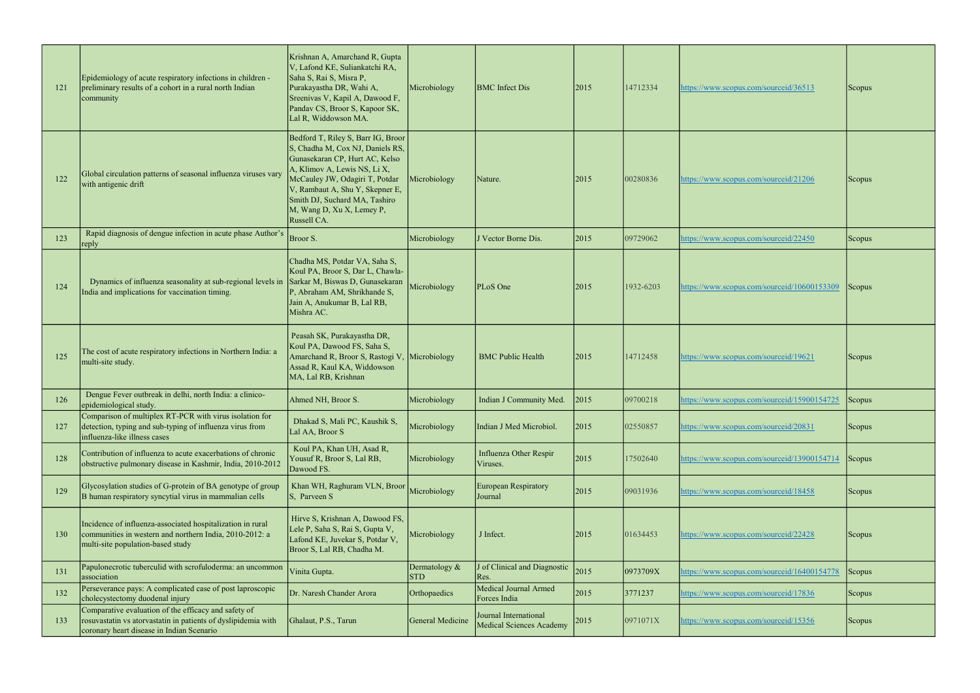| 121 | Epidemiology of acute respiratory infections in children -<br>preliminary results of a cohort in a rural north Indian<br>community                                 | Krishnan A, Amarchand R, Gupta<br>V, Lafond KE, Suliankatchi RA,<br>Saha S, Rai S, Misra P,<br>Purakayastha DR, Wahi A,<br>Sreenivas V, Kapil A, Dawood F,<br>Pandav CS, Broor S, Kapoor SK,<br>Lal R, Widdowson MA.                                                                       | Microbiology                  | <b>BMC</b> Infect Dis                             | 2015 | 14712334  | https://www.scopus.com/sourceid/36513       | <b>Scopus</b> |
|-----|--------------------------------------------------------------------------------------------------------------------------------------------------------------------|--------------------------------------------------------------------------------------------------------------------------------------------------------------------------------------------------------------------------------------------------------------------------------------------|-------------------------------|---------------------------------------------------|------|-----------|---------------------------------------------|---------------|
| 122 | Global circulation patterns of seasonal influenza viruses vary<br>with antigenic drift                                                                             | Bedford T, Riley S, Barr IG, Broor<br>S, Chadha M, Cox NJ, Daniels RS,<br>Gunasekaran CP, Hurt AC, Kelso<br>A, Klimov A, Lewis NS, Li X,<br>McCauley JW, Odagiri T, Potdar<br>V, Rambaut A, Shu Y, Skepner E,<br>Smith DJ, Suchard MA, Tashiro<br>M, Wang D, Xu X, Lemey P,<br>Russell CA. | Microbiology                  | Nature.                                           | 2015 | 00280836  | https://www.scopus.com/sourceid/21206       | <b>Scopus</b> |
| 123 | Rapid diagnosis of dengue infection in acute phase Author's<br>reply                                                                                               | Broor S.                                                                                                                                                                                                                                                                                   | Microbiology                  | J Vector Borne Dis.                               | 2015 | 09729062  | https://www.scopus.com/sourceid/22450       | Scopus        |
| 124 | Dynamics of influenza seasonality at sub-regional levels in<br>India and implications for vaccination timing.                                                      | Chadha MS, Potdar VA, Saha S,<br>Koul PA, Broor S, Dar L, Chawla-<br>Sarkar M, Biswas D, Gunasekaran<br>P, Abraham AM, Shrikhande S,<br>Jain A, Anukumar B, Lal RB,<br>Mishra AC.                                                                                                          | Microbiology                  | PLoS One                                          | 2015 | 1932-6203 | https://www.scopus.com/sourceid/10600153309 | Scopus        |
| 125 | The cost of acute respiratory infections in Northern India: a<br>multi-site study.                                                                                 | Peasah SK, Purakayastha DR,<br>Koul PA, Dawood FS, Saha S,<br>Amarchand R, Broor S, Rastogi V,<br>Assad R, Kaul KA, Widdowson<br>MA, Lal RB, Krishnan                                                                                                                                      | Microbiology                  | <b>BMC Public Health</b>                          | 2015 | 14712458  | https://www.scopus.com/sourceid/19621       | <b>Scopus</b> |
| 126 | Dengue Fever outbreak in delhi, north India: a clinico-<br>epidemiological study.                                                                                  | Ahmed NH, Broor S.                                                                                                                                                                                                                                                                         | Microbiology                  | Indian J Community Med.                           | 2015 | 09700218  | https://www.scopus.com/sourceid/15900154725 | Scopus        |
| 127 | Comparison of multiplex RT-PCR with virus isolation for<br>detection, typing and sub-typing of influenza virus from<br>influenza-like illness cases                | Dhakad S, Mali PC, Kaushik S,<br>Lal AA, Broor S                                                                                                                                                                                                                                           | Microbiology                  | Indian J Med Microbiol.                           | 2015 | 02550857  | https://www.scopus.com/sourceid/20831       | Scopus        |
| 128 | Contribution of influenza to acute exacerbations of chronic<br>obstructive pulmonary disease in Kashmir, India, 2010-2012                                          | Koul PA, Khan UH, Asad R,<br>Yousuf R, Broor S, Lal RB,<br>Dawood FS.                                                                                                                                                                                                                      | Microbiology                  | <b>Influenza Other Respir</b><br>Viruses.         | 2015 | 17502640  | https://www.scopus.com/sourceid/13900154714 | Scopus        |
| 129 | Glycosylation studies of G-protein of BA genotype of group<br>B human respiratory syncytial virus in mammalian cells                                               | Khan WH, Raghuram VLN, Broor<br>S, Parveen S                                                                                                                                                                                                                                               | Microbiology                  | <b>European Respiratory</b><br>Journal            | 2015 | 09031936  | https://www.scopus.com/sourceid/18458       | Scopus        |
| 130 | Incidence of influenza-associated hospitalization in rural<br>communities in western and northern India, 2010-2012: a<br>multi-site population-based study         | Hirve S, Krishnan A, Dawood FS,<br>Lele P, Saha S, Rai S, Gupta V,<br>Lafond KE, Juvekar S, Potdar V,<br>Broor S, Lal RB, Chadha M.                                                                                                                                                        | Microbiology                  | J Infect.                                         | 2015 | 01634453  | https://www.scopus.com/sourceid/22428       | Scopus        |
| 131 | Papulonecrotic tuberculid with scrofuloderma: an uncommon<br>association                                                                                           | Vinita Gupta.                                                                                                                                                                                                                                                                              | Dermatology $&$<br><b>STD</b> | of Clinical and Diagnostic<br>Res.                | 2015 | 0973709X  | https://www.scopus.com/sourceid/16400154778 | Scopus        |
| 132 | Perseverance pays: A complicated case of post laproscopic<br>cholecystectomy duodenal injury                                                                       | Dr. Naresh Chander Arora                                                                                                                                                                                                                                                                   | Orthopaedics                  | Medical Journal Armed<br>Forces India             | 2015 | 3771237   | https://www.scopus.com/sourceid/17836       | Scopus        |
| 133 | Comparative evaluation of the efficacy and safety of<br>rosuvastatin vs atorvastatin in patients of dyslipidemia with<br>coronary heart disease in Indian Scenario | Ghalaut, P.S., Tarun                                                                                                                                                                                                                                                                       | General Medicine              | Journal International<br>Medical Sciences Academy | 2015 | 0971071X  | https://www.scopus.com/sourceid/15356       | Scopus        |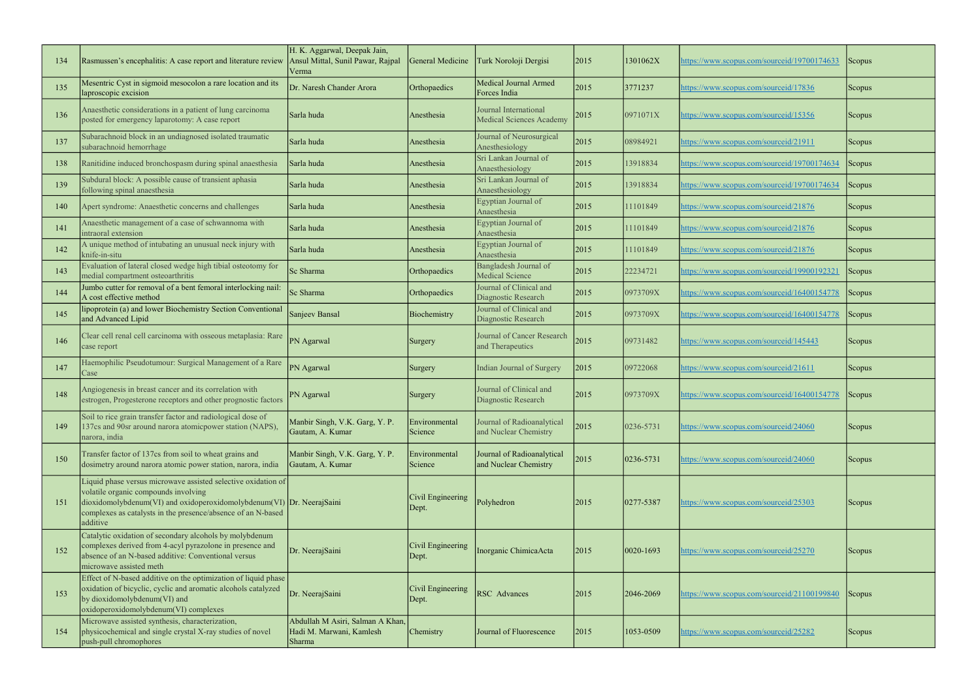| 134 | Rasmussen's encephalitis: A case report and literature review                                                                                                                                                                                                 | H. K. Aggarwal, Deepak Jain,<br>Ansul Mittal, Sunil Pawar, Rajpal<br>Verma | General Medicine           | Turk Noroloji Dergisi                                    | 2015 | 1301062X        | nttps://www.scopus.com/sourceid/19700174633 | Scopus |
|-----|---------------------------------------------------------------------------------------------------------------------------------------------------------------------------------------------------------------------------------------------------------------|----------------------------------------------------------------------------|----------------------------|----------------------------------------------------------|------|-----------------|---------------------------------------------|--------|
| 135 | Mesentric Cyst in sigmoid mesocolon a rare location and its<br>laproscopic excision                                                                                                                                                                           | Dr. Naresh Chander Arora                                                   | Orthopaedics               | Medical Journal Armed<br>Forces India                    | 2015 | 3771237         | https://www.scopus.com/sourceid/17836       | Scopus |
| 136 | Anaesthetic considerations in a patient of lung carcinoma<br>posted for emergency laparotomy: A case report                                                                                                                                                   | Sarla huda                                                                 | Anesthesia                 | Journal International<br><b>Medical Sciences Academy</b> | 2015 | 0971071X        | https://www.scopus.com/sourceid/15356       | Scopus |
| 137 | Subarachnoid block in an undiagnosed isolated traumatic<br>subarachnoid hemorrhage                                                                                                                                                                            | Sarla huda                                                                 | Anesthesia                 | Journal of Neurosurgical<br>Anesthesiology               | 2015 | 08984921        | https://www.scopus.com/sourceid/21911       | Scopus |
| 138 | Ranitidine induced bronchospasm during spinal anaesthesia                                                                                                                                                                                                     | Sarla huda                                                                 | Anesthesia                 | Sri Lankan Journal of<br>Anaesthesiology                 | 2015 | 13918834        | https://www.scopus.com/sourceid/19700174634 | Scopus |
| 139 | Subdural block: A possible cause of transient aphasia<br>following spinal anaesthesia                                                                                                                                                                         | Sarla huda                                                                 | Anesthesia                 | Sri Lankan Journal of<br>Anaesthesiology                 | 2015 | 13918834        | attps://www.scopus.com/sourceid/19700174634 | Scopus |
| 140 | Apert syndrome: Anaesthetic concerns and challenges                                                                                                                                                                                                           | Sarla huda                                                                 | Anesthesia                 | Egyptian Journal of<br>Anaesthesia                       | 2015 | 11101849        | https://www.scopus.com/sourceid/21876       | Scopus |
| 141 | Anaesthetic management of a case of schwannoma with<br>intraoral extension                                                                                                                                                                                    | Sarla huda                                                                 | Anesthesia                 | Egyptian Journal of<br>Anaesthesia                       | 2015 | 11101849        | https://www.scopus.com/sourceid/21876       | Scopus |
| 142 | A unique method of intubating an unusual neck injury with<br>knife-in-situ                                                                                                                                                                                    | Sarla huda                                                                 | Anesthesia                 | Egyptian Journal of<br>Anaesthesia                       | 2015 | 11101849        | https://www.scopus.com/sourceid/21876       | Scopus |
| 143 | Evaluation of lateral closed wedge high tibial osteotomy for<br>medial compartment osteoarthritis                                                                                                                                                             | Sc Sharma                                                                  | Orthopaedics               | Bangladesh Journal of<br>Medical Science                 | 2015 | 22234721        | https://www.scopus.com/sourceid/19900192321 | Scopus |
| 144 | Jumbo cutter for removal of a bent femoral interlocking nail:<br>A cost effective method                                                                                                                                                                      | Sc Sharma                                                                  | Orthopaedics               | Journal of Clinical and<br>Diagnostic Research           | 2015 | 0973709X        | nttps://www.scopus.com/sourceid/16400154778 | Scopus |
| 145 | lipoprotein (a) and lower Biochemistry Section Conventional<br>and Advanced Lipid                                                                                                                                                                             | Sanjeev Bansal                                                             | Biochemistry               | Journal of Clinical and<br>Diagnostic Research           | 2015 | 0973709X        | nttps://www.scopus.com/sourceid/16400154778 | Scopus |
| 146 | Clear cell renal cell carcinoma with osseous metaplasia: Rare<br>case report                                                                                                                                                                                  | PN Agarwal                                                                 | Surgery                    | Journal of Cancer Research<br>and Therapeutics           | 2015 | 09731482        | https://www.scopus.com/sourceid/145443      | Scopus |
| 147 | Haemophilic Pseudotumour: Surgical Management of a Rare<br>Case                                                                                                                                                                                               | PN Agarwal                                                                 | Surgery                    | Indian Journal of Surgery                                | 2015 | 09722068        | nttps://www.scopus.com/sourceid/21611       | Scopus |
| 148 | Angiogenesis in breast cancer and its correlation with<br>estrogen, Progesterone receptors and other prognostic factors                                                                                                                                       | PN Agarwal                                                                 | Surgery                    | Journal of Clinical and<br>Diagnostic Research           | 2015 | 0973709X        | https://www.scopus.com/sourceid/16400154778 | Scopus |
| 149 | Soil to rice grain transfer factor and radiological dose of<br>137cs and 90sr around narora atomicpower station (NAPS),<br>narora, india                                                                                                                      | Manbir Singh, V.K. Garg, Y.P.<br>Gautam, A. Kumar                          | Environmental<br>Science   | Journal of Radioanalytical<br>and Nuclear Chemistry      | 2015 | 0236-5731       | https://www.scopus.com/sourceid/24060       | Scopus |
| 150 | Transfer factor of 137cs from soil to wheat grains and<br>dosimetry around narora atomic power station, narora, india                                                                                                                                         | Manbir Singh, V.K. Garg, Y.P.<br>Gautam, A. Kumar                          | Environmental<br>Science   | Journal of Radioanalytical<br>and Nuclear Chemistry      | 2015 | $ 0236 - 5731 $ | https://www.scopus.com/sourceid/24060       | Scopus |
| 151 | Liquid phase versus microwave assisted selective oxidation of<br>volatile organic compounds involving<br>dioxidomolybdenum(VI) and oxidoperoxidomolybdenum(VI) $ Dr. NeerajSaini$<br>complexes as catalysts in the presence/absence of an N-based<br>additive |                                                                            | Civil Engineering<br>Dept. | Polyhedron                                               | 2015 | $ 0277 - 5387 $ | https://www.scopus.com/sourceid/25303       | Scopus |
| 152 | Catalytic oxidation of secondary alcohols by molybdenum<br>complexes derived from 4-acyl pyrazolone in presence and<br>absence of an N-based additive: Conventional versus<br>microwave assisted meth                                                         | Dr. NeerajSaini                                                            | Civil Engineering<br>Dept. | Inorganic ChimicaActa                                    | 2015 | 0020-1693       | https://www.scopus.com/sourceid/25270       | Scopus |
| 153 | Effect of N-based additive on the optimization of liquid phase<br>oxidation of bicyclic, cyclic and aromatic alcohols catalyzed<br>by dioxidomolybdenum(VI) and<br>oxidoperoxidomolybdenum(VI) complexes                                                      | Dr. NeerajSaini                                                            | Civil Engineering<br>Dept. | <b>RSC</b> Advances                                      | 2015 | 2046-2069       | nttps://www.scopus.com/sourceid/21100199840 | Scopus |
| 154 | Microwave assisted synthesis, characterization,<br>physicochemical and single crystal X-ray studies of novel<br>push-pull chromophores                                                                                                                        | Abdullah M Asiri, Salman A Khan,<br>Hadi M. Marwani, Kamlesh<br>Sharma     | Chemistry                  | Journal of Fluorescence                                  | 2015 | 1053-0509       | https://www.scopus.com/sourceid/25282       | Scopus |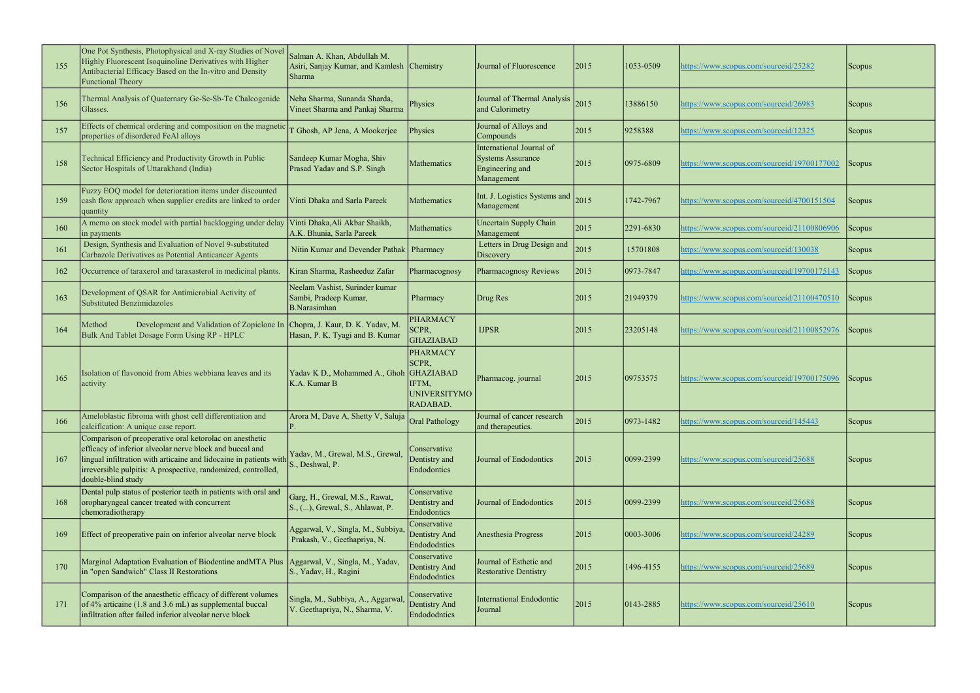| 155 | One Pot Synthesis, Photophysical and X-ray Studies of Novel<br>Highly Fluorescent Isoquinoline Derivatives with Higher<br>Antibacterial Efficacy Based on the In-vitro and Density<br><b>Functional Theory</b>                                                                   | Salman A. Khan, Abdullah M.<br>Asiri, Sanjay Kumar, and Kamlesh Chemistry<br>Sharma |                                                                                          | Journal of Fluorescence                                                               | 2015 | 1053-0509       | https://www.scopus.com/sourceid/25282       | <b>Scopus</b> |
|-----|----------------------------------------------------------------------------------------------------------------------------------------------------------------------------------------------------------------------------------------------------------------------------------|-------------------------------------------------------------------------------------|------------------------------------------------------------------------------------------|---------------------------------------------------------------------------------------|------|-----------------|---------------------------------------------|---------------|
| 156 | Thermal Analysis of Quaternary Ge-Se-Sb-Te Chalcogenide<br>Glasses.                                                                                                                                                                                                              | Neha Sharma, Sunanda Sharda,<br>Vineet Sharma and Pankaj Sharma                     | Physics                                                                                  | Journal of Thermal Analysis<br>and Calorimetry                                        | 2015 | 13886150        | https://www.scopus.com/sourceid/26983       | Scopus        |
| 157 | Effects of chemical ordering and composition on the magnetic<br>properties of disordered FeAl alloys                                                                                                                                                                             | T Ghosh, AP Jena, A Mookerjee                                                       | Physics                                                                                  | Journal of Alloys and<br>Compounds                                                    | 2015 | 9258388         | https://www.scopus.com/sourceid/12325       | Scopus        |
| 158 | Technical Efficiency and Productivity Growth in Public<br>Sector Hospitals of Uttarakhand (India)                                                                                                                                                                                | Sandeep Kumar Mogha, Shiv<br>Prasad Yadav and S.P. Singh                            | Mathematics                                                                              | International Journal of<br><b>Systems Assurance</b><br>Engineering and<br>Management | 2015 | $ 0975 - 6809$  | https://www.scopus.com/sourceid/19700177002 | <b>Scopus</b> |
| 159 | Fuzzy EOQ model for deterioration items under discounted<br>cash flow approach when supplier credits are linked to order<br>quantity                                                                                                                                             | Vinti Dhaka and Sarla Pareek                                                        | Mathematics                                                                              | Int. J. Logistics Systems and<br>Management                                           | 2015 | 1742-7967       | nttps://www.scopus.com/sourceid/4700151504  | Scopus        |
| 160 | A memo on stock model with partial backlogging under delay<br>in payments                                                                                                                                                                                                        | Vinti Dhaka, Ali Akbar Shaikh,<br>A.K. Bhunia, Sarla Pareek                         | Mathematics                                                                              | <b>Uncertain Supply Chain</b><br>Management                                           | 2015 | 2291-6830       | https://www.scopus.com/sourceid/21100806906 | Scopus        |
| 161 | Design, Synthesis and Evaluation of Novel 9-substituted<br>Carbazole Derivatives as Potential Anticancer Agents                                                                                                                                                                  | Nitin Kumar and Devender Pathak   Pharmacy                                          |                                                                                          | Letters in Drug Design and<br>Discovery                                               | 2015 | 15701808        | https://www.scopus.com/sourceid/130038      | Scopus        |
| 162 | Occurrence of taraxerol and taraxasterol in medicinal plants.                                                                                                                                                                                                                    | Kiran Sharma, Rasheeduz Zafar                                                       | Pharmacognosy                                                                            | Pharmacognosy Reviews                                                                 | 2015 | 0973-7847       | https://www.scopus.com/sourceid/19700175143 | Scopus        |
| 163 | Development of QSAR for Antimicrobial Activity of<br>Substituted Benzimidazoles                                                                                                                                                                                                  | Neelam Vashist, Surinder kumar<br>Sambi, Pradeep Kumar,<br><b>B.Narasimhan</b>      | Pharmacy                                                                                 | Drug Res                                                                              | 2015 | 21949379        | https://www.scopus.com/sourceid/21100470510 | Scopus        |
| 164 | Development and Validation of Zopiclone In Chopra, J. Kaur, D. K. Yadav, M.<br>Method<br>Bulk And Tablet Dosage Form Using RP - HPLC                                                                                                                                             | Hasan, P. K. Tyagi and B. Kumar                                                     | <b>PHARMACY</b><br>SCPR,<br><b>GHAZIABAD</b>                                             | <b>IJPSR</b>                                                                          | 2015 | 23205148        | https://www.scopus.com/sourceid/21100852976 | Scopus        |
| 165 | Isolation of flavonoid from Abies webbiana leaves and its<br>activity                                                                                                                                                                                                            | Yadav K D., Mohammed A., Ghoh<br>K.A. Kumar B                                       | <b>PHARMACY</b><br>SCPR,<br><b>GHAZIABAD</b><br>IFTM,<br><b>UNIVERSITYMO</b><br>RADABAD. | Pharmacog. journal                                                                    | 2015 | 09753575        | https://www.scopus.com/sourceid/19700175096 | Scopus        |
| 166 | Ameloblastic fibroma with ghost cell differentiation and<br>calcification: A unique case report.                                                                                                                                                                                 | Arora M, Dave A, Shetty V, Saluja Oral Pathology                                    |                                                                                          | Journal of cancer research<br>and therapeutics.                                       | 2015 | $ 0973 - 1482 $ | https://www.scopus.com/sourceid/145443      | <b>Scopus</b> |
| 167 | Comparison of preoperative oral ketorolac on anesthetic<br>efficacy of inferior alveolar nerve block and buccal and<br>lingual infiltration with articaine and lidocaine in patients with<br>irreversible pulpitis: A prospective, randomized, controlled,<br>double-blind study | Yadav, M., Grewal, M.S., Grewal,<br>S., Deshwal, P.                                 | Conservative<br>Dentistry and<br>Endodontics                                             | Journal of Endodontics                                                                | 2015 | $ 0099 - 2399 $ | https://www.scopus.com/sourceid/25688       | Scopus        |
| 168 | Dental pulp status of posterior teeth in patients with oral and<br>oropharyngeal cancer treated with concurrent<br>chemoradiotherapy                                                                                                                                             | Garg, H., Grewal, M.S., Rawat,<br>S., (), Grewal, S., Ahlawat, P.                   | Conservative<br>Dentistry and<br>Endodontics                                             | Journal of Endodontics                                                                | 2015 | 0099-2399       | attps://www.scopus.com/sourceid/25688       | <b>Scopus</b> |
| 169 | Effect of preoperative pain on inferior alveolar nerve block                                                                                                                                                                                                                     | Aggarwal, V., Singla, M., Subbiya,<br>Prakash, V., Geethapriya, N.                  | Conservative<br>Dentistry And<br>Endododntics                                            | Anesthesia Progress                                                                   | 2015 | 0003-3006       | https://www.scopus.com/sourceid/24289       | <b>Scopus</b> |
| 170 | Marginal Adaptation Evaluation of Biodentine and MTA Plus<br>in "open Sandwich" Class II Restorations                                                                                                                                                                            | Aggarwal, V., Singla, M., Yadav,<br>S., Yadav, H., Ragini                           | Conservative<br>Dentistry And<br>Endododntics                                            | Journal of Esthetic and<br><b>Restorative Dentistry</b>                               | 2015 | 1496-4155       | nttps://www.scopus.com/sourceid/25689       | Scopus        |
| 171 | Comparison of the anaesthetic efficacy of different volumes<br>of 4% articaine (1.8 and 3.6 mL) as supplemental buccal<br>infiltration after failed inferior alveolar nerve block                                                                                                | Singla, M., Subbiya, A., Aggarwal<br>V. Geethapriya, N., Sharma, V.                 | Conservative<br>Dentistry And<br>Endododntics                                            | <b>International Endodontic</b><br>Journal                                            | 2015 | $ 0143 - 2885$  | https://www.scopus.com/sourceid/25610       | <b>Scopus</b> |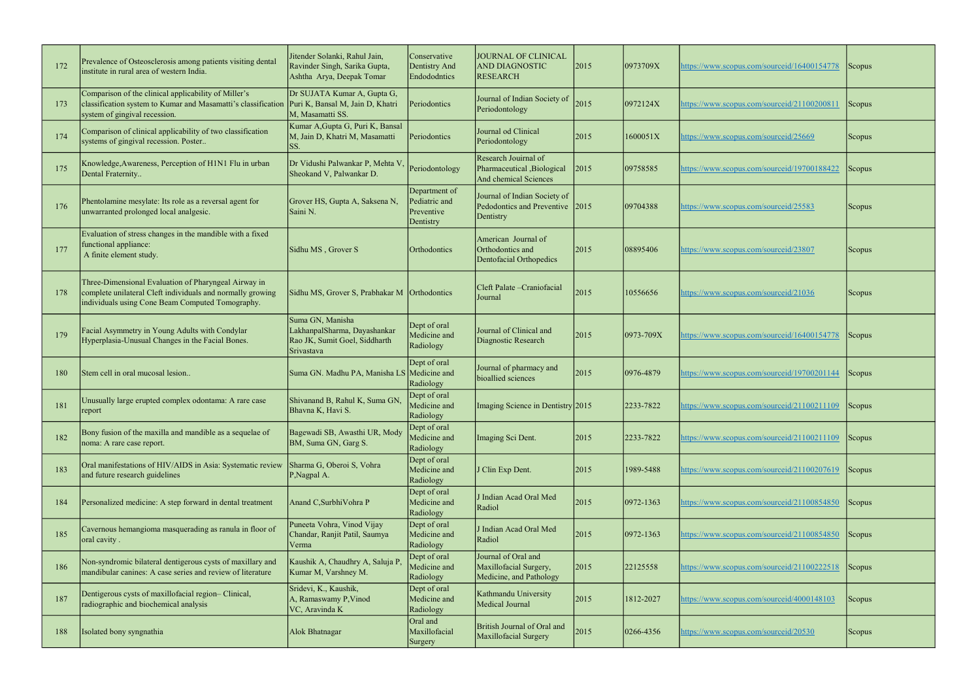| 172 | Prevalence of Osteosclerosis among patients visiting dental<br>institute in rural area of western India.                                                               | Jitender Solanki, Rahul Jain,<br>Ravinder Singh, Sarika Gupta,<br>Ashtha Arya, Deepak Tomar     | Conservative<br>Dentistry And<br>Endododntics             | JOURNAL OF CLINICAL<br><b>AND DIAGNOSTIC</b><br><b>RESEARCH</b>              | 2015 | 0973709X        | https://www.scopus.com/sourceid/16400154778 | Scopus <sup>1</sup> |
|-----|------------------------------------------------------------------------------------------------------------------------------------------------------------------------|-------------------------------------------------------------------------------------------------|-----------------------------------------------------------|------------------------------------------------------------------------------|------|-----------------|---------------------------------------------|---------------------|
| 173 | Comparison of the clinical applicability of Miller's<br>classification system to Kumar and Masamatti's classification<br>system of gingival recession.                 | Dr SUJATA Kumar A, Gupta G,<br>Puri K, Bansal M, Jain D, Khatri<br>M, Masamatti SS.             | Periodontics                                              | Journal of Indian Society of<br>Periodontology                               | 2015 | 0972124X        | https://www.scopus.com/sourceid/21100200811 | Scopus              |
| 174 | Comparison of clinical applicability of two classification<br>systems of gingival recession. Poster                                                                    | Kumar A, Gupta G, Puri K, Bansal<br>M, Jain D, Khatri M, Masamatti<br>SS.                       | Periodontics                                              | Journal od Clinical<br>Periodontology                                        | 2015 | 1600051X        | nttps://www.scopus.com/sourceid/25669       | <b>Scopus</b>       |
| 175 | Knowledge, Awareness, Perception of H1N1 Flu in urban<br>Dental Fraternity                                                                                             | Dr Vidushi Palwankar P, Mehta V<br>Sheokand V, Palwankar D.                                     | Periodontology                                            | Research Jouirnal of<br>Pharmaceutical, Biological<br>And chemical Sciences  | 2015 | 09758585        | https://www.scopus.com/sourceid/19700188422 | Scopus              |
| 176 | Phentolamine mesylate: Its role as a reversal agent for<br>unwarranted prolonged local analgesic.                                                                      | Grover HS, Gupta A, Saksena N,<br>Saini N.                                                      | Department of<br>Pediatric and<br>Preventive<br>Dentistry | Journal of Indian Society of<br>Pedodontics and Preventive 2015<br>Dentistry |      | 09704388        | https://www.scopus.com/sourceid/25583       | <b>Scopus</b>       |
| 177 | Evaluation of stress changes in the mandible with a fixed<br>functional appliance:<br>A finite element study.                                                          | Sidhu MS, Grover S                                                                              | Orthodontics                                              | American Journal of<br>Orthodontics and<br>Dentofacial Orthopedics           | 2015 | 08895406        | nttps://www.scopus.com/sourceid/23807       | <b>Scopus</b>       |
| 178 | Three-Dimensional Evaluation of Pharyngeal Airway in<br>complete unilateral Cleft individuals and normally growing<br>individuals using Cone Beam Computed Tomography. | Sidhu MS, Grover S, Prabhakar M   Orthodontics                                                  |                                                           | Cleft Palate – Craniofacial<br>Journal                                       | 2015 | 10556656        | https://www.scopus.com/sourceid/21036       | Scopus              |
| 179 | Facial Asymmetry in Young Adults with Condylar<br>Hyperplasia-Unusual Changes in the Facial Bones.                                                                     | Suma GN, Manisha<br>LakhanpalSharma, Dayashankar<br>Rao JK, Sumit Goel, Siddharth<br>Srivastava | Dept of oral<br>Medicine and<br>Radiology                 | Journal of Clinical and<br>Diagnostic Research                               | 2015 | $ 0973 - 709X$  | https://www.scopus.com/sourceid/16400154778 | Scopus <sup>1</sup> |
| 180 | Stem cell in oral mucosal lesion                                                                                                                                       | Suma GN. Madhu PA, Manisha LS Medicine and                                                      | Dept of oral<br>Radiology                                 | Journal of pharmacy and<br>bioallied sciences                                | 2015 | 0976-4879       | nttps://www.scopus.com/sourceid/19700201144 | <b>Scopus</b>       |
| 181 | Unusually large erupted complex odontama: A rare case<br>report                                                                                                        | Shivanand B, Rahul K, Suma GN,<br>Bhavna K, Havi S.                                             | Dept of oral<br>Medicine and<br>Radiology                 | Imaging Science in Dentistry 2015                                            |      | 2233-7822       | https://www.scopus.com/sourceid/21100211109 | $ $ Scopus          |
| 182 | Bony fusion of the maxilla and mandible as a sequelae of<br>noma: A rare case report.                                                                                  | Bagewadi SB, Awasthi UR, Mody<br>BM, Suma GN, Garg S.                                           | Dept of oral<br>Medicine and<br>Radiology                 | Imaging Sci Dent.                                                            | 2015 | 2233-7822       | nttps://www.scopus.com/sourceid/21100211109 | Scopus              |
| 183 | Oral manifestations of HIV/AIDS in Asia: Systematic review<br>and future research guidelines                                                                           | Sharma G, Oberoi S, Vohra<br>P, Nagpal A.                                                       | Dept of oral<br>Medicine and<br>Radiology                 | J Clin Exp Dent.                                                             | 2015 | 1989-5488       | https://www.scopus.com/sourceid/21100207619 | <b>Scopus</b>       |
| 184 | Personalized medicine: A step forward in dental treatment                                                                                                              | Anand C, Surbhi Vohra P                                                                         | Dept of oral<br>Medicine and<br>Radiology                 | J Indian Acad Oral Med<br>Radiol                                             | 2015 | $ 0972 - 1363 $ | nttps://www.scopus.com/sourceid/21100854850 | Scopus              |
| 185 | Cavernous hemangioma masquerading as ranula in floor of<br>oral cavity.                                                                                                | Puneeta Vohra, Vinod Vijay<br>Chandar, Ranjit Patil, Saumya<br>Verma                            | Dept of oral<br>Medicine and<br>Radiology                 | J Indian Acad Oral Med<br>Radiol                                             | 2015 | 0972-1363       | nttps://www.scopus.com/sourceid/21100854850 | Scopus              |
| 186 | Non-syndromic bilateral dentigerous cysts of maxillary and<br>mandibular canines: A case series and review of literature                                               | Kaushik A, Chaudhry A, Saluja P,<br>Kumar M, Varshney M.                                        | Dept of oral<br>Medicine and<br>Radiology                 | Journal of Oral and<br>Maxillofacial Surgery,<br>Medicine, and Pathology     | 2015 | 22125558        | https://www.scopus.com/sourceid/21100222518 | Scopus              |
| 187 | Dentigerous cysts of maxillofacial region- Clinical,<br>radiographic and biochemical analysis                                                                          | Sridevi, K., Kaushik,<br>A, Ramaswamy P, Vinod<br>VC, Aravinda K                                | Dept of oral<br>Medicine and<br>Radiology                 | Kathmandu University<br>Medical Journal                                      | 2015 | 1812-2027       | nttps://www.scopus.com/sourceid/4000148103  | Scopus              |
| 188 | Isolated bony syngnathia                                                                                                                                               | Alok Bhatnagar                                                                                  | Oral and<br>Maxillofacial<br>Surgery                      | British Journal of Oral and<br>Maxillofacial Surgery                         | 2015 | 0266-4356       | nttps://www.scopus.com/sourceid/20530       | Scopus              |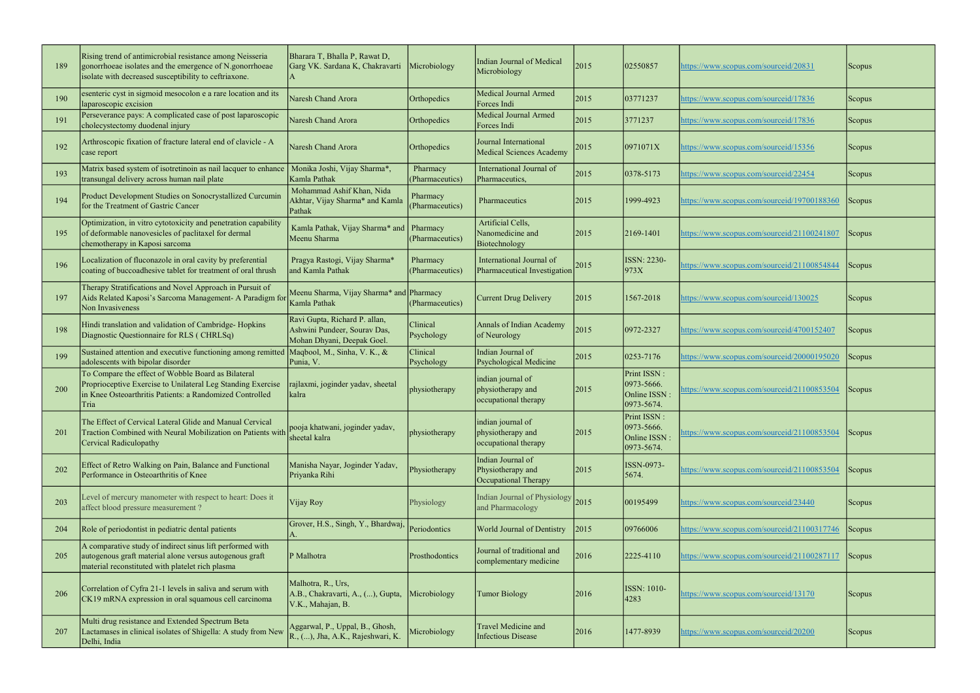| 189 | Rising trend of antimicrobial resistance among Neisseria<br>gonorrhoeae isolates and the emergence of N.gonorrhoeae<br>isolate with decreased susceptibility to ceftriaxone.          | Bharara T, Bhalla P, Rawat D,<br>Garg VK. Sardana K, Chakravarti                            | Microbiology                       | <b>Indian Journal of Medical</b><br>Microbiology               | 2015 | 02550857                                                        | https://www.scopus.com/sourceid/20831       | <b>Scopus</b> |
|-----|---------------------------------------------------------------------------------------------------------------------------------------------------------------------------------------|---------------------------------------------------------------------------------------------|------------------------------------|----------------------------------------------------------------|------|-----------------------------------------------------------------|---------------------------------------------|---------------|
| 190 | esenteric cyst in sigmoid mesocolon e a rare location and its<br>laparoscopic excision                                                                                                | Naresh Chand Arora                                                                          | Orthopedics                        | Medical Journal Armed<br>Forces Indi                           | 2015 | 03771237                                                        | https://www.scopus.com/sourceid/17836       | Scopus        |
| 191 | Perseverance pays: A complicated case of post laparoscopic<br>cholecystectomy duodenal injury                                                                                         | Naresh Chand Arora                                                                          | Orthopedics                        | Medical Journal Armed<br>Forces Indi                           | 2015 | 3771237                                                         | https://www.scopus.com/sourceid/17836       | <b>Scopus</b> |
| 192 | Arthroscopic fixation of fracture lateral end of clavicle - A<br>case report                                                                                                          | Naresh Chand Arora                                                                          | Orthopedics                        | Journal International<br>Medical Sciences Academy              | 2015 | 0971071X                                                        | https://www.scopus.com/sourceid/15356       | Scopus        |
| 193 | Matrix based system of isotretinoin as nail lacquer to enhance<br>transungal delivery across human nail plate                                                                         | Monika Joshi, Vijay Sharma*,<br>Kamla Pathak                                                | Pharmacy<br>(Pharmaceutics)        | International Journal of<br>Pharmaceutics,                     | 2015 | $ 0378 - 5173 $                                                 | https://www.scopus.com/sourceid/22454       | Scopus        |
| 194 | Product Development Studies on Sonocrystallized Curcumin<br>for the Treatment of Gastric Cancer                                                                                       | Mohammad Ashif Khan, Nida<br>Akhtar, Vijay Sharma* and Kamla<br>Pathak                      | Pharmacy<br>(Pharmaceutics)        | Pharmaceutics                                                  | 2015 | 1999-4923                                                       | https://www.scopus.com/sourceid/19700188360 | Scopus        |
| 195 | Optimization, in vitro cytotoxicity and penetration capability<br>of deformable nanovesicles of paclitaxel for dermal<br>chemotherapy in Kaposi sarcoma                               | Kamla Pathak, Vijay Sharma* and<br>Meenu Sharma                                             | <b>Pharmacy</b><br>(Pharmaceutics) | Artificial Cells,<br>Nanomedicine and<br>Biotechnology         | 2015 | 2169-1401                                                       | nttps://www.scopus.com/sourceid/21100241807 | Scopus        |
| 196 | Localization of fluconazole in oral cavity by preferential<br>coating of buccoadhesive tablet for treatment of oral thrush                                                            | Pragya Rastogi, Vijay Sharma*<br>and Kamla Pathak                                           | Pharmacy<br>(Pharmaceutics)        | International Journal of<br>Pharmaceutical Investigation       | 2015 | ISSN: 2230-<br>973X                                             | attps://www.scopus.com/sourceid/21100854844 | Scopus        |
| 197 | Therapy Stratifications and Novel Approach in Pursuit of<br>Aids Related Kaposi's Sarcoma Management- A Paradigm fo<br>Non Invasiveness                                               | Meenu Sharma, Vijay Sharma* and Pharmacy<br>Kamla Pathak                                    | (Pharmaceutics)                    | Current Drug Delivery                                          | 2015 | 1567-2018                                                       | nttps://www.scopus.com/sourceid/130025      | <b>Scopus</b> |
| 198 | Hindi translation and validation of Cambridge-Hopkins<br>Diagnostic Questionnaire for RLS (CHRLSq)                                                                                    | Ravi Gupta, Richard P. allan,<br>Ashwini Pundeer, Sourav Das,<br>Mohan Dhyani, Deepak Goel. | Clinical<br>Psychology             | Annals of Indian Academy<br>of Neurology                       | 2015 | 0972-2327                                                       | https://www.scopus.com/sourceid/4700152407  | Scopus        |
| 199 | Sustained attention and executive functioning among remitted Maqbool, M., Sinha, V. K., &<br>adolescents with bipolar disorder                                                        | Punia, V.                                                                                   | Clinical<br>Psychology             | Indian Journal of<br>Psychological Medicine                    | 2015 | $ 0253 - 7176 $                                                 | nttps://www.scopus.com/sourceid/20000195020 | Scopus        |
| 200 | To Compare the effect of Wobble Board as Bilateral<br>Proprioceptive Exercise to Unilateral Leg Standing Exercise<br>in Knee Osteoarthritis Patients: a Randomized Controlled<br>Tria | rajlaxmi, joginder yadav, sheetal<br>kalra                                                  | physiotherapy                      | indian journal of<br>physiotherapy and<br>occupational therapy | 2015 | Print ISSN:<br>0973-5666.<br>Online ISSN:<br>0973-5674.         | attps://www.scopus.com/sourceid/21100853504 | Scopus        |
| 201 | The Effect of Cervical Lateral Glide and Manual Cervical<br>Traction Combined with Neural Mobilization on Patients with<br>Cervical Radiculopathy                                     | pooja khatwani, joginder yadav,<br>sheetal kalra                                            | physiotherapy                      | indian journal of<br>physiotherapy and<br>occupational therapy | 2015 | <b>Print ISSN:</b><br>0973-5666.<br>Online ISSN :<br>0973-5674. | https://www.scopus.com/sourceid/21100853504 | Scopus        |
| 202 | Effect of Retro Walking on Pain, Balance and Functional<br>Performance in Osteoarthritis of Knee                                                                                      | Manisha Nayar, Joginder Yadav,<br>Priyanka Rihi                                             | Physiotherapy                      | Indian Journal of<br>Physiotherapy and<br>Occupational Therapy | 2015 | ISSN-0973-<br>5674.                                             | nttps://www.scopus.com/sourceid/21100853504 | Scopus        |
| 203 | Level of mercury manometer with respect to heart: Does it<br>affect blood pressure measurement?                                                                                       | Vijay Roy                                                                                   | Physiology                         | <b>Indian Journal of Physiology</b><br>and Pharmacology        | 2015 | 00195499                                                        | https://www.scopus.com/sourceid/23440       | Scopus        |
| 204 | Role of periodontist in pediatric dental patients                                                                                                                                     | Grover, H.S., Singh, Y., Bhardwaj,                                                          | Periodontics                       | <b>World Journal of Dentistry</b>                              | 2015 | 09766006                                                        | https://www.scopus.com/sourceid/21100317746 | Scopus        |
| 205 | A comparative study of indirect sinus lift performed with<br>autogenous graft material alone versus autogenous graft<br>material reconstituted with platelet rich plasma              | P Malhotra                                                                                  | Prosthodontics                     | Journal of traditional and<br>complementary medicine           | 2016 | $ 2225 - 4110$                                                  | nttps://www.scopus.com/sourceid/21100287117 | Scopus        |
| 206 | Correlation of Cyfra 21-1 levels in saliva and serum with<br>CK19 mRNA expression in oral squamous cell carcinoma                                                                     | Malhotra, R., Urs,<br>A.B., Chakravarti, A., (), Gupta,<br>V.K., Mahajan, B.                | Microbiology                       | <b>Tumor Biology</b>                                           | 2016 | <b>ISSN: 1010-</b><br>4283                                      | https://www.scopus.com/sourceid/13170       | <b>Scopus</b> |
| 207 | Multi drug resistance and Extended Spectrum Beta<br>Lactamases in clinical isolates of Shigella: A study from New<br>Delhi, India                                                     | Aggarwal, P., Uppal, B., Ghosh,<br>R., (), Jha, A.K., Rajeshwari, K.                        | Microbiology                       | <b>Travel Medicine and</b><br>Infectious Disease               | 2016 | 1477-8939                                                       | https://www.scopus.com/sourceid/20200       | Scopus        |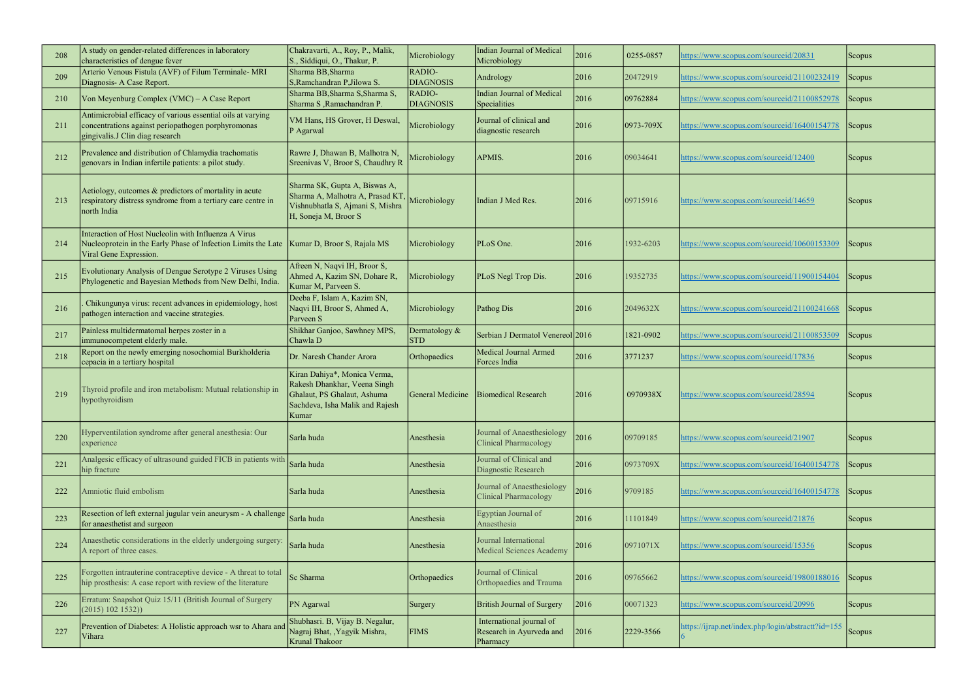| 208 | A study on gender-related differences in laboratory<br>characteristics of dengue fever                                                               | Chakravarti, A., Roy, P., Malik,<br>S., Siddiqui, O., Thakur, P.                                                                        | Microbiology                | Indian Journal of Medical<br>Microbiology                        | 2016 | 0255-0857 | nttps://www.scopus.com/sourceid/20831              | Scopus        |
|-----|------------------------------------------------------------------------------------------------------------------------------------------------------|-----------------------------------------------------------------------------------------------------------------------------------------|-----------------------------|------------------------------------------------------------------|------|-----------|----------------------------------------------------|---------------|
| 209 | Arterio Venous Fistula (AVF) of Filum Terminale- MRI<br>Diagnosis- A Case Report.                                                                    | Sharma BB, Sharma<br>S, Ramchandran P, Jilowa S.                                                                                        | RADIO-<br><b>DIAGNOSIS</b>  | Andrology                                                        | 2016 | 20472919  | https://www.scopus.com/sourceid/21100232419        | Scopus        |
| 210 | Von Meyenburg Complex (VMC) – A Case Report                                                                                                          | Sharma BB, Sharma S, Sharma S,<br>Sharma S, Ramachandran P.                                                                             | RADIO-<br><b>DIAGNOSIS</b>  | Indian Journal of Medical<br>Specialities                        | 2016 | 09762884  | https://www.scopus.com/sourceid/21100852978        | Scopus        |
| 211 | Antimicrobial efficacy of various essential oils at varying<br>concentrations against periopathogen porphyromonas<br>gingivalis.J Clin diag research | VM Hans, HS Grover, H Deswal,<br>P Agarwal                                                                                              | Microbiology                | Journal of clinical and<br>diagnostic research                   | 2016 | 0973-709X | https://www.scopus.com/sourceid/16400154778        | Scopus        |
| 212 | Prevalence and distribution of Chlamydia trachomatis<br>genovars in Indian infertile patients: a pilot study.                                        | Rawre J, Dhawan B, Malhotra N,<br>Sreenivas V, Broor S, Chaudhry R                                                                      | Microbiology                | APMIS.                                                           | 2016 | 09034641  | https://www.scopus.com/sourceid/12400              | Scopus        |
| 213 | Aetiology, outcomes & predictors of mortality in acute<br>respiratory distress syndrome from a tertiary care centre in<br>north India                | Sharma SK, Gupta A, Biswas A,<br>Sharma A, Malhotra A, Prasad KT<br>Vishnubhatla S, Ajmani S, Mishra<br>H, Soneja M, Broor S            | Microbiology                | Indian J Med Res.                                                | 2016 | 09715916  | https://www.scopus.com/sourceid/14659              | <b>Scopus</b> |
| 214 | Interaction of Host Nucleolin with Influenza A Virus<br>Nucleoprotein in the Early Phase of Infection Limits the Late<br>Viral Gene Expression.      | Kumar D, Broor S, Rajala MS                                                                                                             | Microbiology                | PLoS One.                                                        | 2016 | 1932-6203 | https://www.scopus.com/sourceid/10600153309        | Scopus        |
| 215 | Evolutionary Analysis of Dengue Serotype 2 Viruses Using<br>Phylogenetic and Bayesian Methods from New Delhi, India.                                 | Afreen N, Naqvi IH, Broor S,<br>Ahmed A, Kazim SN, Dohare R,<br>Kumar M, Parveen S.                                                     | Microbiology                | PLoS Negl Trop Dis.                                              | 2016 | 19352735  | https://www.scopus.com/sourceid/11900154404        | Scopus        |
| 216 | Chikungunya virus: recent advances in epidemiology, host<br>pathogen interaction and vaccine strategies.                                             | Deeba F, Islam A, Kazim SN,<br>Naqvi IH, Broor S, Ahmed A,<br>Parveen S                                                                 | Microbiology                | Pathog Dis                                                       | 2016 | 2049632X  | https://www.scopus.com/sourceid/21100241668        | Scopus        |
| 217 | Painless multidermatomal herpes zoster in a<br>immunocompetent elderly male.                                                                         | Shikhar Ganjoo, Sawhney MPS,<br>Chawla D                                                                                                | Dermatology &<br><b>STD</b> | Serbian J Dermatol Venereol 2016                                 |      | 1821-0902 | https://www.scopus.com/sourceid/21100853509        | Scopus        |
| 218 | Report on the newly emerging nosochomial Burkholderia<br>cepacia in a tertiary hospital                                                              | Dr. Naresh Chander Arora                                                                                                                | Orthopaedics                | <b>Medical Journal Armed</b><br>Forces India                     | 2016 | 3771237   | https://www.scopus.com/sourceid/17836              | Scopus        |
| 219 | Thyroid profile and iron metabolism: Mutual relationship in<br>hypothyroidism                                                                        | Kiran Dahiya*, Monica Verma,<br>Rakesh Dhankhar, Veena Singh<br>Ghalaut, PS Ghalaut, Ashuma<br>Sachdeva, Isha Malik and Rajesh<br>Kumar | General Medicine            | <b>Biomedical Research</b>                                       | 2016 | 0970938X  | nttps://www.scopus.com/sourceid/28594              | Scopus        |
| 220 | Hyperventilation syndrome after general anesthesia: Our<br>experience                                                                                | Sarla huda                                                                                                                              | Anesthesia                  | Journal of Anaesthesiology<br><b>Clinical Pharmacology</b>       | 2016 | 09709185  | https://www.scopus.com/sourceid/21907              | Scopus        |
| 221 | Analgesic efficacy of ultrasound guided FICB in patients with<br>hip fracture                                                                        | Sarla huda                                                                                                                              | Anesthesia                  | Journal of Clinical and<br>Diagnostic Research                   | 2016 | 0973709X  | https://www.scopus.com/sourceid/16400154778        | Scopus        |
| 222 | Amniotic fluid embolism                                                                                                                              | Sarla huda                                                                                                                              | Anesthesia                  | Journal of Anaesthesiology<br>Clinical Pharmacology              | 2016 | 9709185   | https://www.scopus.com/sourceid/16400154778        | Scopus        |
| 223 | Resection of left external jugular vein aneurysm - A challenge<br>for anaesthetist and surgeon                                                       | Sarla huda                                                                                                                              | Anesthesia                  | Egyptian Journal of<br>Anaesthesia                               | 2016 | 11101849  | https://www.scopus.com/sourceid/21876              | Scopus        |
| 224 | Anaesthetic considerations in the elderly undergoing surgery:<br>A report of three cases.                                                            | Sarla huda                                                                                                                              | Anesthesia                  | Journal International<br><b>Medical Sciences Academy</b>         | 2016 | 0971071X  | https://www.scopus.com/sourceid/15356              | Scopus        |
| 225 | Forgotten intrauterine contraceptive device - A threat to total<br>hip prosthesis: A case report with review of the literature                       | Sc Sharma                                                                                                                               | Orthopaedics                | Journal of Clinical<br>Orthopaedics and Trauma                   | 2016 | 09765662  | https://www.scopus.com/sourceid/19800188016        | Scopus        |
| 226 | Erratum: Snapshot Quiz 15/11 (British Journal of Surgery<br>(2015) 102 1532)                                                                         | <b>PN</b> Agarwal                                                                                                                       | Surgery                     | British Journal of Surgery                                       | 2016 | 00071323  | https://www.scopus.com/sourceid/20996              | Scopus        |
| 227 | Prevention of Diabetes: A Holistic approach wsr to Ahara and<br>Vihara                                                                               | Shubhasri. B, Vijay B. Negalur,<br>Nagraj Bhat, , Yagyik Mishra,<br>Krunal Thakoor                                                      | <b>FIMS</b>                 | International journal of<br>Research in Ayurveda and<br>Pharmacy | 2016 | 2229-3566 | https://ijrap.net/index.php/login/abstractt?id=155 | Scopus        |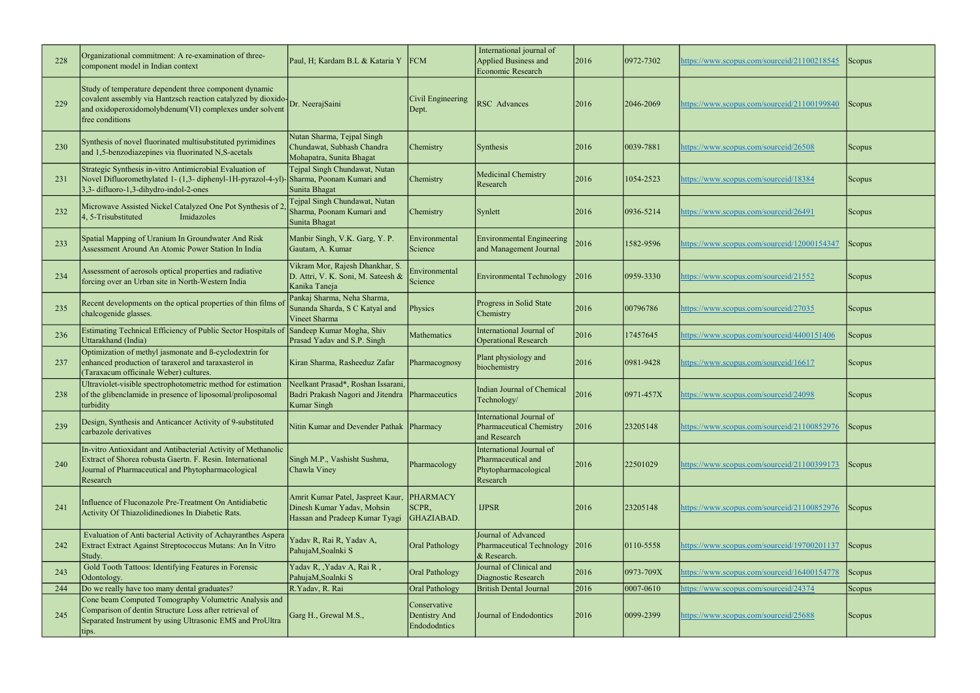| 228 | Organizational commitment: A re-examination of three-<br>component model in Indian context                                                                                                                           | Paul, H; Kardam B.L & Kataria Y                                                                   | <b>FCM</b>                                    | International journal of<br>Applied Business and<br>Economic Research              | 2016 | $ 0972 - 7302 $ | https://www.scopus.com/sourceid/21100218545 | Scopus        |
|-----|----------------------------------------------------------------------------------------------------------------------------------------------------------------------------------------------------------------------|---------------------------------------------------------------------------------------------------|-----------------------------------------------|------------------------------------------------------------------------------------|------|-----------------|---------------------------------------------|---------------|
| 229 | Study of temperature dependent three component dynamic<br>covalent assembly via Hantzsch reaction catalyzed by dioxido-Dr. NeerajSaini<br>and oxidoperoxidomolybdenum(VI) complexes under solvent<br>free conditions |                                                                                                   | Civil Engineering<br>Dept.                    | <b>RSC</b> Advances                                                                | 2016 | 2046-2069       | https://www.scopus.com/sourceid/21100199840 | Scopus        |
| 230 | Synthesis of novel fluorinated multisubstituted pyrimidines<br>and 1,5-benzodiazepines via fluorinated N,S-acetals                                                                                                   | Nutan Sharma, Tejpal Singh<br>Chundawat, Subhash Chandra<br>Mohapatra, Sunita Bhagat              | Chemistry                                     | Synthesis                                                                          | 2016 | 0039-7881       | https://www.scopus.com/sourceid/26508       | <b>Scopus</b> |
| 231 | Strategic Synthesis in-vitro Antimicrobial Evaluation of<br>Novel Difluoromethylated 1- (1,3- diphenyl-1H-pyrazol-4-yl)-<br>3,3-difluoro-1,3-dihydro-indol-2-ones                                                    | Tejpal Singh Chundawat, Nutan<br>Sharma, Poonam Kumari and<br>Sunita Bhagat                       | Chemistry                                     | Medicinal Chemistry<br>Research                                                    | 2016 | 1054-2523       | https://www.scopus.com/sourceid/18384       | Scopus        |
| 232 | Microwave Assisted Nickel Catalyzed One Pot Synthesis of 2<br>Imidazoles<br>4, 5-Trisubstituted                                                                                                                      | Tejpal Singh Chundawat, Nutan<br>Sharma, Poonam Kumari and<br>Sunita Bhagat                       | Chemistry                                     | Synlett                                                                            | 2016 | 0936-5214       | https://www.scopus.com/sourceid/26491       | Scopus        |
| 233 | Spatial Mapping of Uranium In Groundwater And Risk<br>Assessment Around An Atomic Power Station In India                                                                                                             | Manbir Singh, V.K. Garg, Y.P.<br>Gautam, A. Kumar                                                 | Environmental<br>Science                      | Environmental Engineering<br>and Management Journal                                | 2016 | 1582-9596       | https://www.scopus.com/sourceid/12000154347 | Scopus        |
| 234 | Assessment of aerosols optical properties and radiative<br>forcing over an Urban site in North-Western India                                                                                                         | Vikram Mor, Rajesh Dhankhar, S.<br>D. Attri, V. K. Soni, M. Sateesh &<br>Kanika Taneja            | Environmental<br>Science                      | Environmental Technology                                                           | 2016 | $ 0959 - 3330 $ | https://www.scopus.com/sourceid/21552       | Scopus        |
| 235 | Recent developments on the optical properties of thin films of<br>chalcogenide glasses.                                                                                                                              | Pankaj Sharma, Neha Sharma,<br>Sunanda Sharda, S C Katyal and<br>Vineet Sharma                    | Physics                                       | Progress in Solid State<br>Chemistry                                               | 2016 | 00796786        | https://www.scopus.com/sourceid/27035       | <b>Scopus</b> |
| 236 | Estimating Technical Efficiency of Public Sector Hospitals of<br>Uttarakhand (India)                                                                                                                                 | Sandeep Kumar Mogha, Shiv<br>Prasad Yadav and S.P. Singh                                          | Mathematics                                   | International Journal of<br><b>Operational Research</b>                            | 2016 | 17457645        | https://www.scopus.com/sourceid/4400151406  | Scopus        |
| 237 | Optimization of methyl jasmonate and ß-cyclodextrin for<br>enhanced production of taraxerol and taraxasterol in<br>(Taraxacum officinale Weber) cultures.                                                            | Kiran Sharma, Rasheeduz Zafar                                                                     | Pharmacognosy                                 | Plant physiology and<br>biochemistry                                               | 2016 | 0981-9428       | attps://www.scopus.com/sourceid/16617       | <b>Scopus</b> |
| 238 | Ultraviolet-visible spectrophotometric method for estimation<br>of the glibenclamide in presence of liposomal/proliposomal<br>turbidity                                                                              | Neelkant Prasad*, Roshan Issarani,<br>Badri Prakash Nagori and Jitendra<br><b>Kumar Singh</b>     | Pharmaceutics                                 | Indian Journal of Chemical<br>Technology/                                          | 2016 | $ 0971 - 457X$  | https://www.scopus.com/sourceid/24098       | <b>Scopus</b> |
| 239 | Design, Synthesis and Anticancer Activity of 9-substituted<br>carbazole derivatives                                                                                                                                  | Nitin Kumar and Devender Pathak Pharmacy                                                          |                                               | International Journal of<br>Pharmaceutical Chemistry<br>and Research               | 2016 | 23205148        | https://www.scopus.com/sourceid/21100852976 | Scopus        |
| 240 | In-vitro Antioxidant and Antibacterial Activity of Methanolic<br>Extract of Shorea robusta Gaertn. F. Resin. International<br>Journal of Pharmaceutical and Phytopharmacological<br>Research                         | Singh M.P., Vashisht Sushma,<br>Chawla Viney                                                      | Pharmacology                                  | International Journal of<br>Pharmaceutical and<br>Phytopharmacological<br>Research | 2016 | 22501029        | https://www.scopus.com/sourceid/21100399173 | <b>Scopus</b> |
| 241 | Influence of Fluconazole Pre-Treatment On Antidiabetic<br>Activity Of Thiazolidinediones In Diabetic Rats.                                                                                                           | Amrit Kumar Patel, Jaspreet Kaur,<br>Dinesh Kumar Yadav, Mohsin<br>Hassan and Pradeep Kumar Tyagi | PHARMACY<br>SCPR,<br>GHAZIABAD.               | <b>IJPSR</b>                                                                       | 2016 | 23205148        | https://www.scopus.com/sourceid/21100852976 | <b>Scopus</b> |
| 242 | Evaluation of Anti bacterial Activity of Achayranthes Aspera<br>Extract Extract Against Streptococcus Mutans: An In Vitro<br>Study.                                                                                  | Yadav R, Rai R, Yadav A,<br>PahujaM, Soalnki S                                                    | <b>Oral Pathology</b>                         | Journal of Advanced<br>Pharmaceutical Technology<br>& Research.                    | 2016 | 0110-5558       | https://www.scopus.com/sourceid/19700201137 | <b>Scopus</b> |
| 243 | Gold Tooth Tattoos: Identifying Features in Forensic<br>Odontology.                                                                                                                                                  | Yadav R, , Yadav A, Rai R,<br>PahujaM, Soalnki S                                                  | <b>Oral Pathology</b>                         | Journal of Clinical and<br>Diagnostic Research                                     | 2016 | $ 0973 - 709X$  | https://www.scopus.com/sourceid/16400154778 | Scopus        |
| 244 | Do we really have too many dental graduates?                                                                                                                                                                         | R.Yadav, R. Rai                                                                                   | <b>Oral Pathology</b>                         | <b>British Dental Journal</b>                                                      | 2016 | $ 0007 - 0610 $ | https://www.scopus.com/sourceid/24374       | Scopus        |
| 245 | Cone beam Computed Tomography Volumetric Analysis and<br>Comparison of dentin Structure Loss after retrieval of<br>Separated Instrument by using Ultrasonic EMS and ProUltra<br>tips.                                | Garg H., Grewal M.S.,                                                                             | Conservative<br>Dentistry And<br>Endododntics | Journal of Endodontics                                                             | 2016 | $ 0099 - 2399 $ | https://www.scopus.com/sourceid/25688       | <b>Scopus</b> |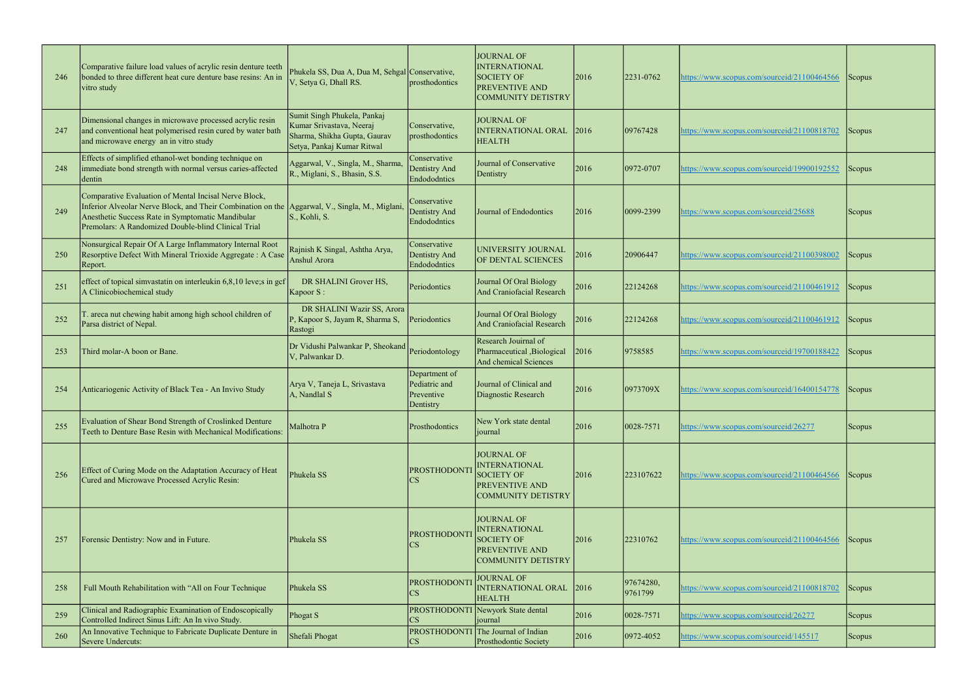| 246 | Comparative failure load values of acrylic resin denture teeth<br>bonded to three different heat cure denture base resins: An in<br>vitro study                                                                                                                    | Phukela SS, Dua A, Dua M, Sehgal Conservative,<br>V, Setya G, Dhall RS.                                               | prosthodontics                                            | JOURNAL OF<br><b>INTERNATIONAL</b><br><b>SOCIETY OF</b><br><b>PREVENTIVE AND</b><br><b>COMMUNITY DETISTRY</b>        | 2016 | 2231-0762            | https://www.scopus.com/sourceid/21100464566 | Scopus <sup>[1]</sup> |
|-----|--------------------------------------------------------------------------------------------------------------------------------------------------------------------------------------------------------------------------------------------------------------------|-----------------------------------------------------------------------------------------------------------------------|-----------------------------------------------------------|----------------------------------------------------------------------------------------------------------------------|------|----------------------|---------------------------------------------|-----------------------|
| 247 | Dimensional changes in microwave processed acrylic resin<br>and conventional heat polymerised resin cured by water bath<br>and microwave energy an in vitro study                                                                                                  | Sumit Singh Phukela, Pankaj<br>Kumar Srivastava, Neeraj<br>Sharma, Shikha Gupta, Gaurav<br>Setya, Pankaj Kumar Ritwal | Conservative,<br>prosthodontics                           | <b>JOURNAL OF</b><br>INTERNATIONAL ORAL<br><b>HEALTH</b>                                                             | 2016 | 09767428             | https://www.scopus.com/sourceid/21100818702 | Scopus                |
| 248 | Effects of simplified ethanol-wet bonding technique on<br>immediate bond strength with normal versus caries-affected<br>ldentin                                                                                                                                    | Aggarwal, V., Singla, M., Sharma,<br>R., Miglani, S., Bhasin, S.S.                                                    | Conservative<br>Dentistry And<br>Endododntics             | Journal of Conservative<br>Dentistry                                                                                 | 2016 | 0972-0707            | https://www.scopus.com/sourceid/19900192552 | <b>Scopus</b>         |
| 249 | Comparative Evaluation of Mental Incisal Nerve Block,<br>Inferior Alveolar Nerve Block, and Their Combination on the Aggarwal, V., Singla, M., Miglani<br>Anesthetic Success Rate in Symptomatic Mandibular<br>Premolars: A Randomized Double-blind Clinical Trial | S., Kohli, S.                                                                                                         | Conservative<br>Dentistry And<br>Endododntics             | Journal of Endodontics                                                                                               | 2016 | $ 0099 - 2399$       | https://www.scopus.com/sourceid/25688       | Scopus                |
| 250 | Nonsurgical Repair Of A Large Inflammatory Internal Root<br>Resorptive Defect With Mineral Trioxide Aggregate: A Case<br>Report.                                                                                                                                   | Rajnish K Singal, Ashtha Arya,<br>Anshul Arora                                                                        | Conservative<br>Dentistry And<br>Endododntics             | UNIVERSITY JOURNAL<br>OF DENTAL SCIENCES                                                                             | 2016 | 20906447             | https://www.scopus.com/sourceid/21100398002 | Scopus                |
| 251 | effect of topical simvastatin on interleukin $6,8,10$ leve; sin gcf<br>A Clinicobiochemical study                                                                                                                                                                  | DR SHALINI Grover HS,<br>Kapoor S:                                                                                    | Periodontics                                              | Journal Of Oral Biology<br>And Craniofacial Research                                                                 | 2016 | 22124268             | https://www.scopus.com/sourceid/21100461912 | Scopus                |
| 252 | T. areca nut chewing habit among high school children of<br>Parsa district of Nepal.                                                                                                                                                                               | DR SHALINI Wazir SS, Arora<br>P, Kapoor S, Jayam R, Sharma S,<br>Rastogi                                              | Periodontics                                              | Journal Of Oral Biology<br>And Craniofacial Research                                                                 | 2016 | 22124268             | https://www.scopus.com/sourceid/21100461912 | Scopus                |
| 253 | Third molar-A boon or Bane.                                                                                                                                                                                                                                        | Dr Vidushi Palwankar P, Sheokand<br>V, Palwankar D.                                                                   | Periodontology                                            | Research Jouirnal of<br>Pharmaceutical, Biological<br>And chemical Sciences                                          | 2016 | 9758585              | https://www.scopus.com/sourceid/19700188422 | Scopus                |
| 254 | Anticariogenic Activity of Black Tea - An Invivo Study                                                                                                                                                                                                             | Arya V, Taneja L, Srivastava<br>A, Nandlal S                                                                          | Department of<br>Pediatric and<br>Preventive<br>Dentistry | Journal of Clinical and<br>Diagnostic Research                                                                       | 2016 | 0973709X             | https://www.scopus.com/sourceid/16400154778 | Scopus                |
| 255 | Evaluation of Shear Bond Strength of Croslinked Denture<br>Teeth to Denture Base Resin with Mechanical Modifications:                                                                                                                                              | Malhotra P                                                                                                            | Prosthodontics                                            | New York state dental<br>journal                                                                                     | 2016 | $ 0028 - 7571 $      | https://www.scopus.com/sourceid/26277       | Scopus                |
| 256 | Effect of Curing Mode on the Adaptation Accuracy of Heat<br>Cured and Microwave Processed Acrylic Resin:                                                                                                                                                           | Phukela SS                                                                                                            | <b>PROSTHODONT</b><br><b>CS</b>                           | <b>JOURNAL OF</b><br><b>INTERNATIONAL</b><br><b>SOCIETY OF</b><br><b>PREVENTIVE AND</b><br>COMMUNITY DETISTRY        | 2016 | 223107622            | https://www.scopus.com/sourceid/21100464566 | Scopus                |
| 257 | Forensic Dentistry: Now and in Future.                                                                                                                                                                                                                             | Phukela SS                                                                                                            | <b>PROSTHODONT</b><br>$_{\rm CS}$                         | <b>JOURNAL OF</b><br><b>INTERNATIONAL</b><br><b>SOCIETY OF</b><br><b>PREVENTIVE AND</b><br><b>COMMUNITY DETISTRY</b> | 2016 | 22310762             | https://www.scopus.com/sourceid/21100464566 | <b>Scopus</b>         |
| 258 | Full Mouth Rehabilitation with "All on Four Technique                                                                                                                                                                                                              | Phukela SS                                                                                                            | PROSTHODONTI<br>CS                                        | <b>JOURNAL OF</b><br><b>INTERNATIONAL ORAL</b><br><b>HEALTH</b>                                                      | 2016 | 97674280,<br>9761799 | https://www.scopus.com/sourceid/21100818702 | Scopus                |
| 259 | Clinical and Radiographic Examination of Endoscopically<br>Controlled Indirect Sinus Lift: An In vivo Study.                                                                                                                                                       | Phogat S                                                                                                              | CS                                                        | PROSTHODONTI Newyork State dental<br>journal                                                                         | 2016 | $ 0028 - 7571$       | https://www.scopus.com/sourceid/26277       | Scopus                |
| 260 | An Innovative Technique to Fabricate Duplicate Denture in<br>Severe Undercuts:                                                                                                                                                                                     | Shefali Phogat                                                                                                        | CS                                                        | PROSTHODONTI The Journal of Indian<br>Prosthodontic Society                                                          | 2016 | $ 0972 - 4052 $      | https://www.scopus.com/sourceid/145517      | Scopus                |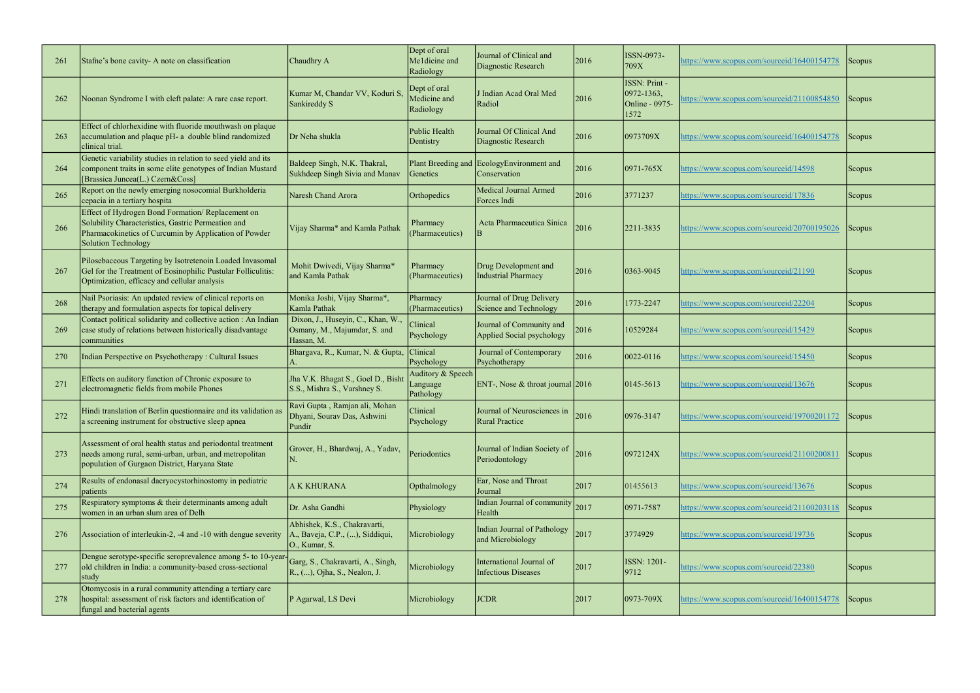| 261 | Stafne's bone cavity- A note on classification                                                                                                                                         | Chaudhry A                                                                       | Dept of oral<br>Meldicine and<br>Radiology | Journal of Clinical and<br>Diagnostic Research         | 2016 | ISSN-0973-<br>709X                                         | nttps://www.scopus.com/sourceid/16400154778 | Scopus        |
|-----|----------------------------------------------------------------------------------------------------------------------------------------------------------------------------------------|----------------------------------------------------------------------------------|--------------------------------------------|--------------------------------------------------------|------|------------------------------------------------------------|---------------------------------------------|---------------|
| 262 | Noonan Syndrome I with cleft palate: A rare case report.                                                                                                                               | Kumar M, Chandar VV, Koduri S<br>Sankireddy S                                    | Dept of oral<br>Medicine and<br>Radiology  | J Indian Acad Oral Med<br>Radiol                       | 2016 | ISSN: Print -<br>$ 0972 - 1363 $<br>Online - 0975-<br>1572 | attps://www.scopus.com/sourceid/21100854850 | <b>Scopus</b> |
| 263 | Effect of chlorhexidine with fluoride mouthwash on plaque<br>accumulation and plaque pH- a double blind randomized<br>clinical trial.                                                  | Dr Neha shukla                                                                   | Public Health<br>Dentistry                 | Journal Of Clinical And<br>Diagnostic Research         | 2016 | 0973709X                                                   | attps://www.scopus.com/sourceid/16400154778 | Scopus        |
| 264 | Genetic variability studies in relation to seed yield and its<br>component traits in some elite genotypes of Indian Mustard<br>[Brassica Juncea(L.) Czern&Coss]                        | Baldeep Singh, N.K. Thakral,<br>Sukhdeep Singh Sivia and Manav                   | Plant Breeding and<br>Genetics             | EcologyEnvironment and<br>Conservation                 | 2016 | $ 0971 - 765X$                                             | https://www.scopus.com/sourceid/14598       | <b>Scopus</b> |
| 265 | Report on the newly emerging nosocomial Burkholderia<br>cepacia in a tertiary hospita                                                                                                  | Naresh Chand Arora                                                               | Orthopedics                                | <b>Medical Journal Armed</b><br>Forces Indi            | 2016 | 3771237                                                    | https://www.scopus.com/sourceid/17836       | Scopus        |
| 266 | Effect of Hydrogen Bond Formation/Replacement on<br>Solubility Characteristics, Gastric Permeation and<br>Pharmacokinetics of Curcumin by Application of Powder<br>Solution Technology | Vijay Sharma* and Kamla Pathak                                                   | Pharmacy<br>(Pharmaceutics)                | Acta Pharmaceutica Sinica                              | 2016 | 2211-3835                                                  | https://www.scopus.com/sourceid/20700195026 | <b>Scopus</b> |
| 267 | Pilosebaceous Targeting by Isotretenoin Loaded Invasomal<br>Gel for the Treatment of Eosinophilic Pustular Folliculitis:<br>Optimization, efficacy and cellular analysis               | Mohit Dwivedi, Vijay Sharma*<br>and Kamla Pathak                                 | Pharmacy<br>(Pharmaceutics)                | Drug Development and<br><b>Industrial Pharmacy</b>     | 2016 | 0363-9045                                                  | https://www.scopus.com/sourceid/21190       | <b>Scopus</b> |
| 268 | Nail Psoriasis: An updated review of clinical reports on<br>therapy and formulation aspects for topical delivery                                                                       | Monika Joshi, Vijay Sharma*,<br>Kamla Pathak                                     | Pharmacy<br>(Pharmaceutics)                | Journal of Drug Delivery<br>Science and Technology     | 2016 | 1773-2247                                                  | https://www.scopus.com/sourceid/22204       | Scopus        |
| 269 | Contact political solidarity and collective action : An Indian<br>case study of relations between historically disadvantage<br>communities                                             | Dixon, J., Huseyin, C., Khan, W.,<br>Osmany, M., Majumdar, S. and<br>Hassan, M.  | Clinical<br>Psychology                     | Journal of Community and<br>Applied Social psychology  | 2016 | 10529284                                                   | https://www.scopus.com/sourceid/15429       | Scopus        |
| 270 | Indian Perspective on Psychotherapy: Cultural Issues                                                                                                                                   | Bhargava, R., Kumar, N. & Gupta,                                                 | Clinical<br>Psychology                     | Journal of Contemporary<br>Psychotherapy               | 2016 | $ 0022 - 0116$                                             | https://www.scopus.com/sourceid/15450       | Scopus        |
| 271 | Effects on auditory function of Chronic exposure to<br>electromagnetic fields from mobile Phones                                                                                       | Jha V.K. Bhagat S., Goel D., Bisht<br>S.S., Mishra S., Varshney S.               | Auditory & Speech<br>Language<br>Pathology | ENT-, Nose $&$ throat journal 2016                     |      | $ 0145 - 5613$                                             | https://www.scopus.com/sourceid/13676       | Scopus        |
| 272 | Hindi translation of Berlin questionnaire and its validation as<br>a screening instrument for obstructive sleep apnea                                                                  | Ravi Gupta, Ramjan ali, Mohan<br>Dhyani, Sourav Das, Ashwini<br>Pundir           | Clinical<br>Psychology                     | Journal of Neurosciences in<br><b>Rural Practice</b>   | 2016 | $ 0976 - 3147$                                             | https://www.scopus.com/sourceid/19700201172 | Scopus        |
| 273 | Assessment of oral health status and periodontal treatment<br>needs among rural, semi-urban, urban, and metropolitan<br>population of Gurgaon District, Haryana State                  | Grover, H., Bhardwaj, A., Yadav,                                                 | Periodontics                               | Journal of Indian Society of<br>Periodontology         | 2016 | 0972124X                                                   | nttps://www.scopus.com/sourceid/21100200811 | <b>Scopus</b> |
| 274 | Results of endonasal dacryocystorhinostomy in pediatric<br>patients                                                                                                                    | A K KHURANA                                                                      | Opthalmology                               | Ear, Nose and Throat<br>Journal                        | 2017 | 01455613                                                   | https://www.scopus.com/sourceid/13676       | <b>Scopus</b> |
| 275 | Respiratory symptoms & their determinants among adult<br>women in an urban slum area of Delh                                                                                           | Dr. Asha Gandhi                                                                  | Physiology                                 | Indian Journal of community<br>Health                  | 2017 | 0971-7587                                                  | https://www.scopus.com/sourceid/21100203118 | Scopus        |
| 276 | Association of interleukin-2, -4 and -10 with dengue severity                                                                                                                          | Abhishek, K.S., Chakravarti,<br>A., Baveja, C.P., (), Siddiqui,<br>O., Kumar, S. | Microbiology                               | Indian Journal of Pathology<br>and Microbiology        | 2017 | 3774929                                                    | https://www.scopus.com/sourceid/19736       | <b>Scopus</b> |
| 277 | Dengue serotype-specific seroprevalence among 5- to 10-year<br>old children in India: a community-based cross-sectional<br>study                                                       | Garg, S., Chakravarti, A., Singh,<br>R., (), Ojha, S., Nealon, J.                | Microbiology                               | International Journal of<br><b>Infectious Diseases</b> | 2017 | ISSN: 1201-<br>$ 9712\rangle$                              | https://www.scopus.com/sourceid/22380       | Scopus        |
| 278 | Otomycosis in a rural community attending a tertiary care<br>hospital: assessment of risk factors and identification of<br>fungal and bacterial agents                                 | P Agarwal, LS Devi                                                               | Microbiology                               | <b>JCDR</b>                                            | 2017 | $ 0973 - 709X$                                             | nttps://www.scopus.com/sourceid/16400154778 | Scopus        |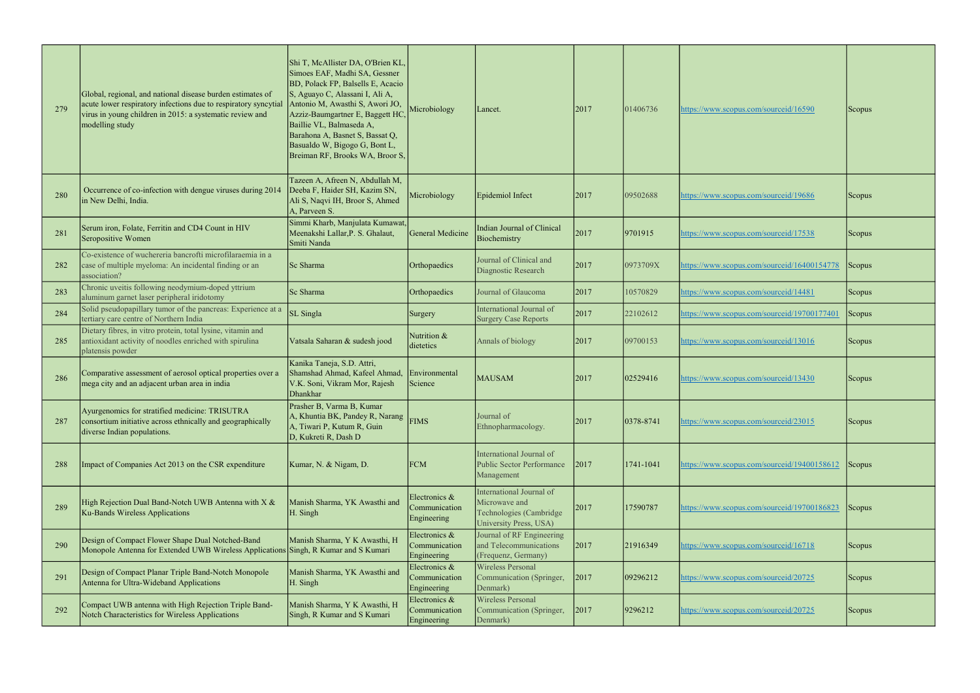| 279 | Global, regional, and national disease burden estimates of<br>acute lower respiratory infections due to respiratory syncytial<br>virus in young children in 2015: a systematic review and<br>modelling study | Shi T, McAllister DA, O'Brien KL,<br>Simoes EAF, Madhi SA, Gessner<br>BD, Polack FP, Balsells E, Acacio<br>S, Aguayo C, Alassani I, Ali A,<br>Antonio M, Awasthi S, Awori JO,<br>Azziz-Baumgartner E, Baggett HC<br>Baillie VL, Balmaseda A,<br>Barahona A, Basnet S, Bassat Q,<br>Basualdo W, Bigogo G, Bont L,<br>Breiman RF, Brooks WA, Broor S, | Microbiology                                  | Lancet.                                                                                        | 2017 | 01406736  | https://www.scopus.com/sourceid/16590       | Scopus        |
|-----|--------------------------------------------------------------------------------------------------------------------------------------------------------------------------------------------------------------|-----------------------------------------------------------------------------------------------------------------------------------------------------------------------------------------------------------------------------------------------------------------------------------------------------------------------------------------------------|-----------------------------------------------|------------------------------------------------------------------------------------------------|------|-----------|---------------------------------------------|---------------|
| 280 | Occurrence of co-infection with dengue viruses during 2014<br>in New Delhi, India.                                                                                                                           | Tazeen A, Afreen N, Abdullah M,<br>Deeba F, Haider SH, Kazim SN,<br>Ali S, Naqvi IH, Broor S, Ahmed<br>A, Parveen S.                                                                                                                                                                                                                                | Microbiology                                  | Epidemiol Infect                                                                               | 2017 | 09502688  | https://www.scopus.com/sourceid/19686       | <b>Scopus</b> |
| 281 | Serum iron, Folate, Ferritin and CD4 Count in HIV<br>Seropositive Women                                                                                                                                      | Simmi Kharb, Manjulata Kumawat,<br>Meenakshi Lallar, P. S. Ghalaut,<br>Smiti Nanda                                                                                                                                                                                                                                                                  | General Medicine                              | Indian Journal of Clinical<br>Biochemistry                                                     | 2017 | 9701915   | https://www.scopus.com/sourceid/17538       | Scopus        |
| 282 | Co-existence of wuchereria bancrofti microfilaraemia in a<br>case of multiple myeloma: An incidental finding or an<br>association?                                                                           | Sc Sharma                                                                                                                                                                                                                                                                                                                                           | Orthopaedics                                  | Journal of Clinical and<br>Diagnostic Research                                                 | 2017 | 0973709X  | https://www.scopus.com/sourceid/16400154778 | Scopus        |
| 283 | Chronic uveitis following neodymium-doped yttrium<br>aluminum garnet laser peripheral iridotomy                                                                                                              | Sc Sharma                                                                                                                                                                                                                                                                                                                                           | Orthopaedics                                  | Journal of Glaucoma                                                                            | 2017 | 10570829  | https://www.scopus.com/sourceid/14481       | Scopus        |
| 284 | Solid pseudopapillary tumor of the pancreas: Experience at a<br>tertiary care centre of Northern India                                                                                                       | <b>SL</b> Singla                                                                                                                                                                                                                                                                                                                                    | Surgery                                       | International Journal of<br><b>Surgery Case Reports</b>                                        | 2017 | 22102612  | https://www.scopus.com/sourceid/19700177401 | Scopus        |
| 285 | Dietary fibres, in vitro protein, total lysine, vitamin and<br>antioxidant activity of noodles enriched with spirulina<br>platensis powder                                                                   | Vatsala Saharan & sudesh jood                                                                                                                                                                                                                                                                                                                       | Nutrition &<br>dietetics                      | Annals of biology                                                                              | 2017 | 09700153  | https://www.scopus.com/sourceid/13016       | <b>Scopus</b> |
| 286 | Comparative assessment of aerosol optical properties over a<br>mega city and an adjacent urban area in india                                                                                                 | Kanika Taneja, S.D. Attri,<br>Shamshad Ahmad, Kafeel Ahmad,<br>V.K. Soni, Vikram Mor, Rajesh<br><b>Dhankhar</b>                                                                                                                                                                                                                                     | Environmental<br>Science                      | <b>MAUSAM</b>                                                                                  | 2017 | 02529416  | https://www.scopus.com/sourceid/13430       | Scopus        |
| 287 | Ayurgenomics for stratified medicine: TRISUTRA<br>consortium initiative across ethnically and geographically<br>diverse Indian populations.                                                                  | Prasher B, Varma B, Kumar<br>A, Khuntia BK, Pandey R, Narang<br>A, Tiwari P, Kutum R, Guin<br>D, Kukreti R, Dash D                                                                                                                                                                                                                                  | <b>FIMS</b>                                   | Journal of<br>Ethnopharmacology.                                                               | 2017 | 0378-8741 | https://www.scopus.com/sourceid/23015       | Scopus        |
| 288 | Impact of Companies Act 2013 on the CSR expenditure                                                                                                                                                          | Kumar, N. & Nigam, D.                                                                                                                                                                                                                                                                                                                               | <b>FCM</b>                                    | International Journal of<br><b>Public Sector Performance</b><br>Management                     | 2017 | 1741-1041 | https://www.scopus.com/sourceid/19400158612 | Scopus        |
| 289 | High Rejection Dual Band-Notch UWB Antenna with X &<br>Ku-Bands Wireless Applications                                                                                                                        | Manish Sharma, YK Awasthi and<br>H. Singh                                                                                                                                                                                                                                                                                                           | Electronics &<br>Communication<br>Engineering | International Journal of<br>Microwave and<br>Technologies (Cambridge<br>University Press, USA) | 2017 | 17590787  | https://www.scopus.com/sourceid/19700186823 | Scopus        |
| 290 | Design of Compact Flower Shape Dual Notched-Band<br>Monopole Antenna for Extended UWB Wireless Applications Singh, R Kumar and S Kumari                                                                      | Manish Sharma, Y K Awasthi, H                                                                                                                                                                                                                                                                                                                       | Electronics &<br>Communication<br>Engineering | Journal of RF Engineering<br>and Telecommunications<br>(Frequenz, Germany)                     | 2017 | 21916349  | https://www.scopus.com/sourceid/16718       | Scopus        |
| 291 | Design of Compact Planar Triple Band-Notch Monopole<br>Antenna for Ultra-Wideband Applications                                                                                                               | Manish Sharma, YK Awasthi and<br>H. Singh                                                                                                                                                                                                                                                                                                           | Electronics &<br>Communication<br>Engineering | Wireless Personal<br>Communication (Springer,<br>Denmark)                                      | 2017 | 09296212  | https://www.scopus.com/sourceid/20725       | Scopus        |
| 292 | Compact UWB antenna with High Rejection Triple Band-<br>Notch Characteristics for Wireless Applications                                                                                                      | Manish Sharma, Y K Awasthi, H<br>Singh, R Kumar and S Kumari                                                                                                                                                                                                                                                                                        | Electronics &<br>Communication<br>Engineering | <b>Wireless Personal</b><br>Communication (Springer,<br>Denmark)                               | 2017 | 9296212   | https://www.scopus.com/sourceid/20725       | Scopus        |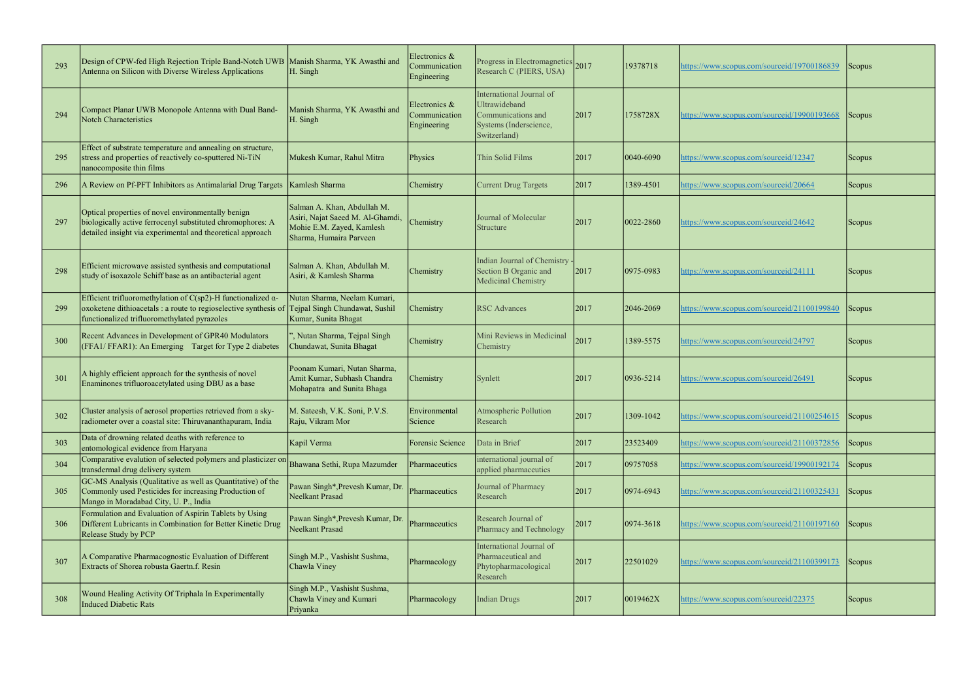| 293 | Design of CPW-fed High Rejection Triple Band-Notch UWB   Manish Sharma, YK Awasthi and<br>Antenna on Silicon with Diverse Wireless Applications                                          | H. Singh                                                                                                                | Electronics &<br>Communication<br>Engineering | Progress in Electromagnetics 2017<br>Research C (PIERS, USA)                                              |      | 19378718        | https://www.scopus.com/sourceid/19700186839 | Scopus <sup>1</sup> |
|-----|------------------------------------------------------------------------------------------------------------------------------------------------------------------------------------------|-------------------------------------------------------------------------------------------------------------------------|-----------------------------------------------|-----------------------------------------------------------------------------------------------------------|------|-----------------|---------------------------------------------|---------------------|
| 294 | Compact Planar UWB Monopole Antenna with Dual Band-<br>Notch Characteristics                                                                                                             | Manish Sharma, YK Awasthi and<br>H. Singh                                                                               | Electronics &<br>Communication<br>Engineering | International Journal of<br>Ultrawideband<br>Communications and<br>Systems (Inderscience,<br>Switzerland) | 2017 | 1758728X        | https://www.scopus.com/sourceid/19900193668 | <b>Scopus</b>       |
| 295 | Effect of substrate temperature and annealing on structure,<br>stress and properties of reactively co-sputtered Ni-TiN<br>nanocomposite thin films                                       | Mukesh Kumar, Rahul Mitra                                                                                               | Physics                                       | Thin Solid Films                                                                                          | 2017 | 0040-6090       | https://www.scopus.com/sourceid/12347       | Scopus              |
| 296 | A Review on Pf-PFT Inhibitors as Antimalarial Drug Targets   Kamlesh Sharma                                                                                                              |                                                                                                                         | Chemistry                                     | <b>Current Drug Targets</b>                                                                               | 2017 | 1389-4501       | https://www.scopus.com/sourceid/20664       | <b>Scopus</b>       |
| 297 | Optical properties of novel environmentally benign<br>biologically active ferrocenyl substituted chromophores: A<br>detailed insight via experimental and theoretical approach           | Salman A. Khan, Abdullah M.<br>Asiri, Najat Saeed M. Al-Ghamdi,<br>Mohie E.M. Zayed, Kamlesh<br>Sharma, Humaira Parveen | Chemistry                                     | Journal of Molecular<br>Structure                                                                         | 2017 | 0022-2860       | https://www.scopus.com/sourceid/24642       | <b>Scopus</b>       |
| 298 | Efficient microwave assisted synthesis and computational<br>study of isoxazole Schiff base as an antibacterial agent                                                                     | Salman A. Khan, Abdullah M.<br>Asiri, & Kamlesh Sharma                                                                  | Chemistry                                     | Indian Journal of Chemistry<br>Section B Organic and<br>Medicinal Chemistry                               | 2017 | $ 0975 - 0983$  | https://www.scopus.com/sourceid/24111       | <b>Scopus</b>       |
| 299 | Efficient trifluoromethylation of C(sp2)-H functionalized $\alpha$ -<br>oxoketene dithioacetals : a route to regioselective synthesis of<br>functionalized trifluoromethylated pyrazoles | Nutan Sharma, Neelam Kumari,<br>Tejpal Singh Chundawat, Sushil<br>Kumar, Sunita Bhagat                                  | Chemistry                                     | <b>RSC Advances</b>                                                                                       | 2017 | 2046-2069       | nttps://www.scopus.com/sourceid/21100199840 | Scopus              |
| 300 | Recent Advances in Development of GPR40 Modulators<br>(FFA1/FFAR1): An Emerging Target for Type 2 diabetes                                                                               | , Nutan Sharma, Tejpal Singh<br>Chundawat, Sunita Bhagat                                                                | Chemistry                                     | Mini Reviews in Medicinal<br>Chemistry                                                                    | 2017 | 1389-5575       | nttps://www.scopus.com/sourceid/24797       | Scopus              |
| 301 | A highly efficient approach for the synthesis of novel<br>Enaminones trifluoroacetylated using DBU as a base                                                                             | Poonam Kumari, Nutan Sharma,<br>Amit Kumar, Subhash Chandra<br>Mohapatra and Sunita Bhaga                               | Chemistry                                     | Synlett                                                                                                   | 2017 | $ 0936 - 5214 $ | nttps://www.scopus.com/sourceid/26491       | Scopus              |
| 302 | Cluster analysis of aerosol properties retrieved from a sky-<br>radiometer over a coastal site: Thiruvananthapuram, India                                                                | M. Sateesh, V.K. Soni, P.V.S.<br>Raju, Vikram Mor                                                                       | Environmental<br>Science                      | Atmospheric Pollution<br>Research                                                                         | 2017 | $1309 - 1042$   | https://www.scopus.com/sourceid/21100254615 | Scopus              |
| 303 | Data of drowning related deaths with reference to<br>entomological evidence from Haryana                                                                                                 | Kapil Verma                                                                                                             | Forensic Science                              | Data in Brief                                                                                             | 2017 | 23523409        | nttps://www.scopus.com/sourceid/21100372856 | Scopus              |
| 304 | Comparative evalution of selected polymers and plasticizer on<br>transdermal drug delivery system                                                                                        | Bhawana Sethi, Rupa Mazumder                                                                                            | Pharmaceutics                                 | international journal of<br>applied pharmaceutics                                                         | 2017 | 09757058        | https://www.scopus.com/sourceid/19900192174 | Scopus              |
| 305 | GC-MS Analysis (Qualitative as well as Quantitative) of the<br>Commonly used Pesticides for increasing Production of<br>Mango in Moradabad City, U. P., India                            | Pawan Singh*, Prevesh Kumar, Dr.<br>Neelkant Prasad                                                                     | Pharmaceutics                                 | Journal of Pharmacy<br>Research                                                                           | 2017 | $ 0974 - 6943 $ | nttps://www.scopus.com/sourceid/21100325431 | <b>Scopus</b>       |
| 306 | Formulation and Evaluation of Aspirin Tablets by Using<br>Different Lubricants in Combination for Better Kinetic Drug<br>Release Study by PCP                                            | Pawan Singh*, Prevesh Kumar, Dr<br>Neelkant Prasad                                                                      | Pharmaceutics                                 | Research Journal of<br>Pharmacy and Technology                                                            | 2017 | 0974-3618       | nttps://www.scopus.com/sourceid/21100197160 | Scopus              |
| 307 | A Comparative Pharmacognostic Evaluation of Different<br>Extracts of Shorea robusta Gaertn.f. Resin                                                                                      | Singh M.P., Vashisht Sushma,<br>Chawla Viney                                                                            | Pharmacology                                  | International Journal of<br>Pharmaceutical and<br>Phytopharmacological<br>Research                        | 2017 | 22501029        | https://www.scopus.com/sourceid/21100399173 | Scopus <sup>1</sup> |
| 308 | Wound Healing Activity Of Triphala In Experimentally<br>Induced Diabetic Rats                                                                                                            | Singh M.P., Vashisht Sushma,<br>Chawla Viney and Kumari<br>Priyanka                                                     | Pharmacology                                  | <b>Indian Drugs</b>                                                                                       | 2017 | 0019462X        | https://www.scopus.com/sourceid/22375       | Scopus              |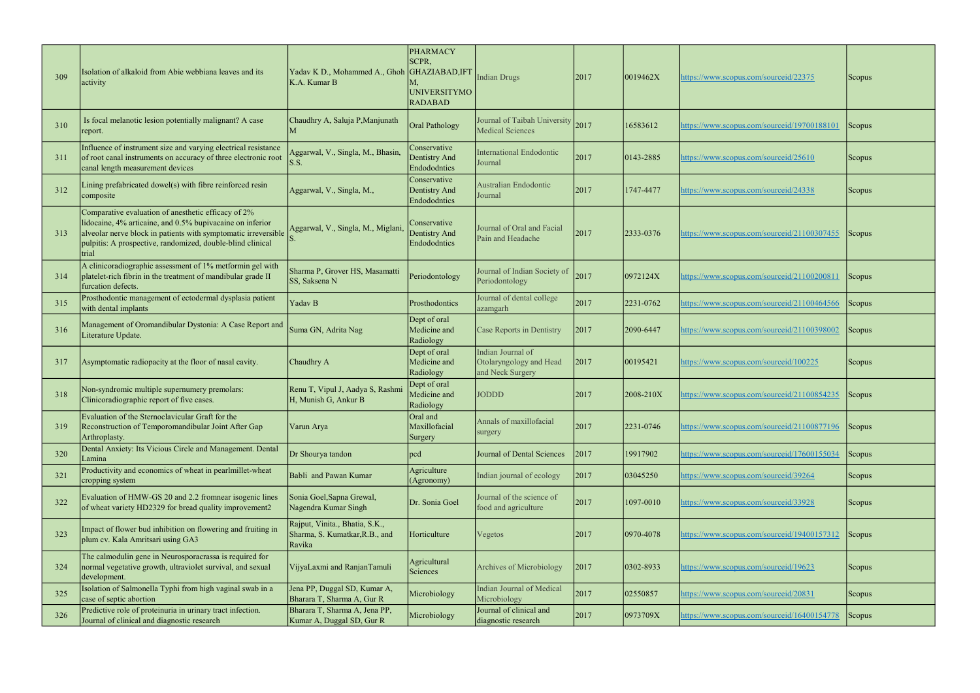| 309 | Isolation of alkaloid from Abie webbiana leaves and its<br>activity                                                                                                                                                                                       | Yadav K D., Mohammed A., Ghoh GHAZIABAD, IFT<br>K.A. Kumar B               | <b>PHARMACY</b><br>SCPR,<br><b>UNIVERSITYMO</b><br><b>RADABAD</b> | <b>Indian Drugs</b>                                              | 2017 | 0019462X        | https://www.scopus.com/sourceid/22375       | <b>Scopus</b> |
|-----|-----------------------------------------------------------------------------------------------------------------------------------------------------------------------------------------------------------------------------------------------------------|----------------------------------------------------------------------------|-------------------------------------------------------------------|------------------------------------------------------------------|------|-----------------|---------------------------------------------|---------------|
| 310 | Is focal melanotic lesion potentially malignant? A case<br>report.                                                                                                                                                                                        | Chaudhry A, Saluja P, Manjunath                                            | <b>Oral Pathology</b>                                             | Journal of Taibah University<br><b>Medical Sciences</b>          | 2017 | 16583612        | nttps://www.scopus.com/sourceid/19700188101 | Scopus        |
| 311 | Influence of instrument size and varying electrical resistance<br>of root canal instruments on accuracy of three electronic root<br>canal length measurement devices                                                                                      | Aggarwal, V., Singla, M., Bhasin,<br>S.S.                                  | Conservative<br>Dentistry And<br>Endododntics                     | International Endodontic<br>Journal                              | 2017 | 0143-2885       | https://www.scopus.com/sourceid/25610       | <b>Scopus</b> |
| 312 | Lining prefabricated dowel(s) with fibre reinforced resin<br>composite                                                                                                                                                                                    | Aggarwal, V., Singla, M.,                                                  | Conservative<br>Dentistry And<br>Endododntics                     | Australian Endodontic<br>Journal                                 | 2017 | 1747-4477       | nttps://www.scopus.com/sourceid/24338       | <b>Scopus</b> |
| 313 | Comparative evaluation of anesthetic efficacy of 2%<br>lidocaine, 4% articaine, and 0.5% bupivacaine on inferior<br>alveolar nerve block in patients with symptomatic irreversible<br>pulpitis: A prospective, randomized, double-blind clinical<br>trial | Aggarwal, V., Singla, M., Miglani                                          | Conservative<br>Dentistry And<br>Endododntics                     | Journal of Oral and Facial<br>Pain and Headache                  | 2017 | $ 2333 - 0376 $ | https://www.scopus.com/sourceid/21100307455 | <b>Scopus</b> |
| 314 | A clinicoradiographic assessment of 1% metformin gel with<br>platelet-rich fibrin in the treatment of mandibular grade II<br>furcation defects.                                                                                                           | Sharma P, Grover HS, Masamatti<br>SS, Saksena N                            | Periodontology                                                    | Journal of Indian Society of<br>Periodontology                   | 2017 | 0972124X        | https://www.scopus.com/sourceid/21100200811 | Scopus        |
| 315 | Prosthodontic management of ectodermal dysplasia patient<br>with dental implants                                                                                                                                                                          | Yadav B                                                                    | Prosthodontics                                                    | Journal of dental college<br>azamgarh                            | 2017 | 2231-0762       | nttps://www.scopus.com/sourceid/21100464566 | Scopus        |
| 316 | Management of Oromandibular Dystonia: A Case Report and<br>Literature Update.                                                                                                                                                                             | Suma GN, Adrita Nag                                                        | Dept of oral<br>Medicine and<br>Radiology                         | Case Reports in Dentistry                                        | 2017 | 2090-6447       | nttps://www.scopus.com/sourceid/21100398002 | Scopus        |
| 317 | Asymptomatic radiopacity at the floor of nasal cavity.                                                                                                                                                                                                    | Chaudhry A                                                                 | Dept of oral<br>Medicine and<br>Radiology                         | Indian Journal of<br>Otolaryngology and Head<br>and Neck Surgery | 2017 | 00195421        | nttps://www.scopus.com/sourceid/100225      | <b>Scopus</b> |
| 318 | Non-syndromic multiple supernumery premolars:<br>Clinicoradiographic report of five cases.                                                                                                                                                                | Renu T, Vipul J, Aadya S, Rashmi<br>H, Munish G, Ankur B                   | Dept of oral<br>Medicine and<br>Radiology                         | <b>JODDD</b>                                                     | 2017 | 2008-210X       | https://www.scopus.com/sourceid/21100854235 | Scopus        |
| 319 | Evaluation of the Sternoclavicular Graft for the<br>Reconstruction of Temporomandibular Joint After Gap<br>Arthroplasty.                                                                                                                                  | Varun Arya                                                                 | Oral and<br>Maxillofacial<br>Surgery                              | Annals of maxillofacial<br>surgery                               | 2017 | 2231-0746       | nttps://www.scopus.com/sourceid/21100877196 | Scopus        |
| 320 | Dental Anxiety: Its Vicious Circle and Management. Dental<br>Lamina                                                                                                                                                                                       | Dr Shourya tandon                                                          | pcd                                                               | Journal of Dental Sciences                                       | 2017 | 19917902        | https://www.scopus.com/sourceid/17600155034 | Scopus        |
| 321 | Productivity and economics of wheat in pearlmillet-wheat<br>cropping system                                                                                                                                                                               | Babli and Pawan Kumar                                                      | Agriculture<br>(Agronomy)                                         | Indian journal of ecology                                        | 2017 | 03045250        | https://www.scopus.com/sourceid/39264       | Scopus        |
| 322 | Evaluation of HMW-GS 20 and 2.2 fromnear isogenic lines<br>of wheat variety HD2329 for bread quality improvement2                                                                                                                                         | Sonia Goel, Sapna Grewal,<br>Nagendra Kumar Singh                          | Dr. Sonia Goel                                                    | Journal of the science of<br>food and agriculture                | 2017 | 1097-0010       | nttps://www.scopus.com/sourceid/33928       | <b>Scopus</b> |
| 323 | Impact of flower bud inhibition on flowering and fruiting in<br>plum cv. Kala Amritsari using GA3                                                                                                                                                         | Rajput, Vinita., Bhatia, S.K.,<br>Sharma, S. Kumatkar, R.B., and<br>Ravika | Horticulture                                                      | Vegetos                                                          | 2017 | 0970-4078       | https://www.scopus.com/sourceid/19400157312 | Scopus        |
| 324 | The calmodulin gene in Neurosporacrassa is required for<br>normal vegetative growth, ultraviolet survival, and sexual<br>development.                                                                                                                     | VijyaLaxmi and RanjanTamuli                                                | Agricultural<br>Sciences                                          | Archives of Microbiology                                         | 2017 | 0302-8933       | nttps://www.scopus.com/sourceid/19623       | Scopus        |
| 325 | Isolation of Salmonella Typhi from high vaginal swab in a<br>case of septic abortion                                                                                                                                                                      | Jena PP, Duggal SD, Kumar A,<br>Bharara T, Sharma A, Gur R                 | Microbiology                                                      | <b>Indian Journal of Medical</b><br>Microbiology                 | 2017 | 02550857        | nttps://www.scopus.com/sourceid/20831       | Scopus        |
| 326 | Predictive role of proteinuria in urinary tract infection.<br>Journal of clinical and diagnostic research                                                                                                                                                 | Bharara T, Sharma A, Jena PP,<br>Kumar A, Duggal SD, Gur R                 | Microbiology                                                      | Journal of clinical and<br>diagnostic research                   | 2017 | 0973709X        | nttps://www.scopus.com/sourceid/16400154778 | Scopus        |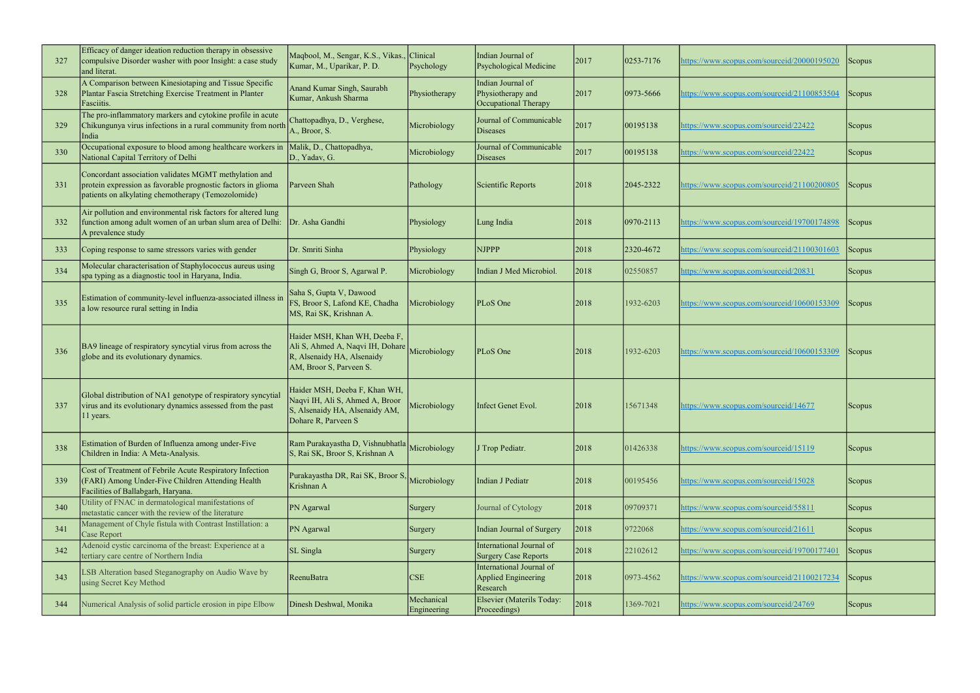| 327 | Efficacy of danger ideation reduction therapy in obsessive<br>compulsive Disorder washer with poor Insight: a case study<br>and literat.                                    | Maqbool, M., Sengar, K.S., Vikas.<br>Kumar, M., Uparikar, P. D.                                                            | Clinical<br>Psychology    | Indian Journal of<br>Psychological Medicine                    | 2017 | 0253-7176       | nttps://www.scopus.com/sourceid/20000195020 | Scopus <sup>1</sup> |
|-----|-----------------------------------------------------------------------------------------------------------------------------------------------------------------------------|----------------------------------------------------------------------------------------------------------------------------|---------------------------|----------------------------------------------------------------|------|-----------------|---------------------------------------------|---------------------|
| 328 | A Comparison between Kinesiotaping and Tissue Specific<br>Plantar Fascia Stretching Exercise Treatment in Planter<br>Fasciitis.                                             | Anand Kumar Singh, Saurabh<br>Kumar, Ankush Sharma                                                                         | Physiotherapy             | Indian Journal of<br>Physiotherapy and<br>Occupational Therapy | 2017 | 0973-5666       | nttps://www.scopus.com/sourceid/21100853504 | Scopus              |
| 329 | The pro-inflammatory markers and cytokine profile in acute<br>Chikungunya virus infections in a rural community from north<br>India                                         | Chattopadhya, D., Verghese,<br>A., Broor, S.                                                                               | Microbiology              | Journal of Communicable<br>Diseases                            | 2017 | 00195138        | nttps://www.scopus.com/sourceid/22422       | Scopus <sup>1</sup> |
| 330 | Occupational exposure to blood among healthcare workers in<br>National Capital Territory of Delhi                                                                           | Malik, D., Chattopadhya,<br>D., Yadav, G.                                                                                  | Microbiology              | Journal of Communicable<br>Diseases                            | 2017 | 00195138        | https://www.scopus.com/sourceid/22422       | <b>Scopus</b>       |
| 331 | Concordant association validates MGMT methylation and<br>protein expression as favorable prognostic factors in glioma<br>patients on alkylating chemotherapy (Temozolomide) | Parveen Shah                                                                                                               | Pathology                 | Scientific Reports                                             | 2018 | 2045-2322       | nttps://www.scopus.com/sourceid/21100200805 | <b>Scopus</b>       |
| 332 | Air pollution and environmental risk factors for altered lung<br>function among adult women of an urban slum area of Delhi:<br>A prevalence study                           | Dr. Asha Gandhi                                                                                                            | Physiology                | Lung India                                                     | 2018 | $ 0970 - 2113 $ | https://www.scopus.com/sourceid/19700174898 | Scopus <sup>1</sup> |
| 333 | Coping response to same stressors varies with gender                                                                                                                        | Dr. Smriti Sinha                                                                                                           | Physiology                | <b>NJPPP</b>                                                   | 2018 | 2320-4672       | nttps://www.scopus.com/sourceid/21100301603 | Scopus              |
| 334 | Molecular characterisation of Staphylococcus aureus using<br>spa typing as a diagnostic tool in Haryana, India.                                                             | Singh G, Broor S, Agarwal P.                                                                                               | Microbiology              | Indian J Med Microbiol.                                        | 2018 | 02550857        | https://www.scopus.com/sourceid/20831       | <b>Scopus</b>       |
| 335 | Estimation of community-level influenza-associated illness in<br>a low resource rural setting in India                                                                      | Saha S, Gupta V, Dawood<br>FS, Broor S, Lafond KE, Chadha<br>MS, Rai SK, Krishnan A.                                       | Microbiology              | PLoS One                                                       | 2018 | 1932-6203       | nttps://www.scopus.com/sourceid/10600153309 | <b>Scopus</b>       |
| 336 | BA9 lineage of respiratory syncytial virus from across the<br>globe and its evolutionary dynamics.                                                                          | Haider MSH, Khan WH, Deeba F,<br>Ali S, Ahmed A, Naqvi IH, Dohare<br>R, Alsenaidy HA, Alsenaidy<br>AM, Broor S, Parveen S. | Microbiology              | PLoS One                                                       | 2018 | 1932-6203       | https://www.scopus.com/sourceid/10600153309 | Scopus <sup>1</sup> |
| 337 | Global distribution of NA1 genotype of respiratory syncytial<br>virus and its evolutionary dynamics assessed from the past<br>11 years.                                     | Haider MSH, Deeba F, Khan WH,<br>Naqvi IH, Ali S, Ahmed A, Broor<br>S, Alsenaidy HA, Alsenaidy AM,<br>Dohare R, Parveen S  | Microbiology              | Infect Genet Evol.                                             | 2018 | 15671348        | https://www.scopus.com/sourceid/14677       | Scopus              |
| 338 | Estimation of Burden of Influenza among under-Five<br>Children in India: A Meta-Analysis.                                                                                   | Ram Purakayastha D, Vishnubhatla Microbiology<br>S, Rai SK, Broor S, Krishnan A                                            |                           | J Trop Pediatr.                                                | 2018 | 01426338        | https://www.scopus.com/sourceid/15119       | <b>Scopus</b>       |
| 339 | Cost of Treatment of Febrile Acute Respiratory Infection<br>(FARI) Among Under-Five Children Attending Health<br>Facilities of Ballabgarh, Haryana.                         | Purakayastha DR, Rai SK, Broor S, Microbiology<br>Krishnan A                                                               |                           | Indian J Pediatr                                               | 2018 | 00195456        | https://www.scopus.com/sourceid/15028       | <b>Scopus</b>       |
| 340 | Utility of FNAC in dermatological manifestations of<br>metastatic cancer with the review of the literature                                                                  | PN Agarwal                                                                                                                 | Surgery                   | Journal of Cytology                                            | 2018 | 09709371        | https://www.scopus.com/sourceid/55811       | Scopus              |
| 341 | Management of Chyle fistula with Contrast Instillation: a<br><b>Case Report</b>                                                                                             | PN Agarwal                                                                                                                 | Surgery                   | Indian Journal of Surgery                                      | 2018 | 9722068         | https://www.scopus.com/sourceid/21611       | <b>Scopus</b>       |
| 342 | Adenoid cystic carcinoma of the breast: Experience at a<br>tertiary care centre of Northern India                                                                           | SL Singla                                                                                                                  | Surgery                   | International Journal of<br><b>Surgery Case Reports</b>        | 2018 | 22102612        | https://www.scopus.com/sourceid/19700177401 | Scopus              |
| 343 | LSB Alteration based Steganography on Audio Wave by<br>using Secret Key Method                                                                                              | ReenuBatra                                                                                                                 | <b>CSE</b>                | International Journal of<br>Applied Engineering<br>Research    | 2018 | 0973-4562       | nttps://www.scopus.com/sourceid/21100217234 | Scopus              |
| 344 | Numerical Analysis of solid particle erosion in pipe Elbow                                                                                                                  | Dinesh Deshwal, Monika                                                                                                     | Mechanical<br>Engineering | Elsevier (Materils Today:<br>Proceedings)                      | 2018 | 1369-7021       | nttps://www.scopus.com/sourceid/24769       | Scopus              |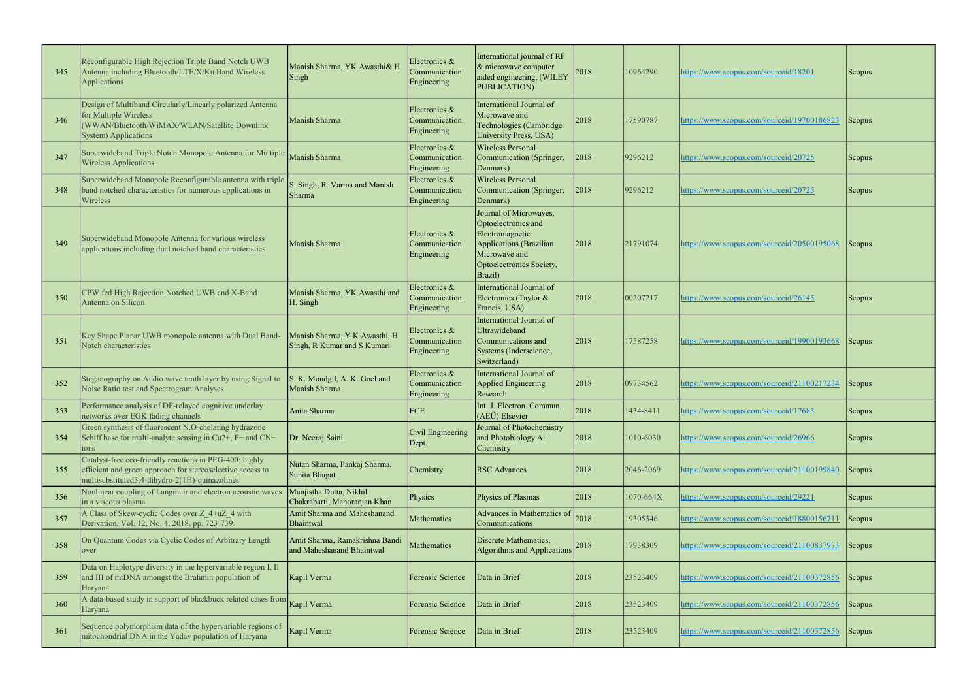| 345 | Reconfigurable High Rejection Triple Band Notch UWB<br>Antenna including Bluetooth/LTE/X/Ku Band Wireless<br><b>Applications</b>                                        | Manish Sharma, YK Awasthi& H<br>Singh                        | Electronics &<br>Communication<br>Engineering | International journal of RF<br>& microwave computer<br>aided engineering, (WILEY<br><b>PUBLICATION)</b>                                                    | 2018 | 10964290  | https://www.scopus.com/sourceid/18201       | <b>Scopus</b> |
|-----|-------------------------------------------------------------------------------------------------------------------------------------------------------------------------|--------------------------------------------------------------|-----------------------------------------------|------------------------------------------------------------------------------------------------------------------------------------------------------------|------|-----------|---------------------------------------------|---------------|
| 346 | Design of Multiband Circularly/Linearly polarized Antenna<br>for Multiple Wireless<br>(WWAN/Bluetooth/WiMAX/WLAN/Satellite Downlink<br><b>System)</b> Applications      | Manish Sharma                                                | Electronics &<br>Communication<br>Engineering | International Journal of<br>Microwave and<br>Technologies (Cambridge<br>University Press, USA)                                                             | 2018 | 17590787  | https://www.scopus.com/sourceid/19700186823 | <b>Scopus</b> |
| 347 | Superwideband Triple Notch Monopole Antenna for Multiple<br><b>Wireless Applications</b>                                                                                | Manish Sharma                                                | Electronics &<br>Communication<br>Engineering | <b>Wireless Personal</b><br>Communication (Springer,<br>Denmark)                                                                                           | 2018 | 9296212   | https://www.scopus.com/sourceid/20725       | Scopus        |
| 348 | Superwideband Monopole Reconfigurable antenna with triple<br>band notched characteristics for numerous applications in<br>Wireless                                      | S. Singh, R. Varma and Manish<br>Sharma                      | Electronics &<br>Communication<br>Engineering | <b>Wireless Personal</b><br>Communication (Springer,<br>Denmark)                                                                                           | 2018 | 9296212   | https://www.scopus.com/sourceid/20725       | Scopus        |
| 349 | Superwideband Monopole Antenna for various wireless<br>applications including dual notched band characteristics                                                         | Manish Sharma                                                | Electronics &<br>Communication<br>Engineering | Journal of Microwaves,<br>Optoelectronics and<br>Electromagnetic<br><b>Applications</b> (Brazilian<br>Microwave and<br>Optoelectronics Society,<br>Brazil) | 2018 | 21791074  | https://www.scopus.com/sourceid/20500195068 | Scopus        |
| 350 | CPW fed High Rejection Notched UWB and X-Band<br>Antenna on Silicon                                                                                                     | Manish Sharma, YK Awasthi and<br>H. Singh                    | Electronics &<br>Communication<br>Engineering | International Journal of<br>Electronics (Taylor &<br>Francis, USA)                                                                                         | 2018 | 00207217  | https://www.scopus.com/sourceid/26145       | Scopus        |
| 351 | Key Shape Planar UWB monopole antenna with Dual Band-<br>Notch characteristics                                                                                          | Manish Sharma, Y K Awasthi, H<br>Singh, R Kumar and S Kumari | Electronics &<br>Communication<br>Engineering | International Journal of<br>Jltrawideband<br>Communications and<br>Systems (Inderscience,<br>Switzerland)                                                  | 2018 | 17587258  | https://www.scopus.com/sourceid/19900193668 | Scopus        |
| 352 | Steganography on Audio wave tenth layer by using Signal to<br>Noise Ratio test and Spectrogram Analyses                                                                 | S. K. Moudgil, A. K. Goel and<br>Manish Sharma               | Electronics &<br>Communication<br>Engineering | International Journal of<br><b>Applied Engineering</b><br>Research                                                                                         | 2018 | 09734562  | https://www.scopus.com/sourceid/21100217234 | Scopus        |
| 353 | Performance analysis of DF-relayed cognitive underlay<br>networks over EGK fading channels                                                                              | Anita Sharma                                                 | ECE                                           | Int. J. Electron. Commun.<br>(AEÜ) Elsevier                                                                                                                | 2018 | 1434-8411 | https://www.scopus.com/sourceid/17683       | Scopus        |
| 354 | Green synthesis of fluorescent N,O-chelating hydrazone<br>Schiff base for multi-analyte sensing in Cu2+, F- and CN-<br>ons                                              | Dr. Neeraj Saini                                             | Civil Engineering<br>Dept.                    | Journal of Photochemistry<br>and Photobiology A:<br>Chemistry                                                                                              | 2018 | 1010-6030 | https://www.scopus.com/sourceid/26966       | Scopus        |
| 355 | Catalyst-free eco-friendly reactions in PEG-400: highly<br>efficient and green approach for stereoselective access to<br>multisubstituted3,4-dihydro-2(1H)-quinazolines | Nutan Sharma, Pankaj Sharma,<br>Sunita Bhagat                | Chemistry                                     | <b>RSC Advances</b>                                                                                                                                        | 2018 | 2046-2069 | https://www.scopus.com/sourceid/21100199840 | Scopus        |
| 356 | Nonlinear coupling of Langmuir and electron acoustic waves<br>in a viscous plasma                                                                                       | Manjistha Dutta, Nikhil<br>Chakrabarti, Manoranjan Khan      | Physics                                       | Physics of Plasmas                                                                                                                                         | 2018 | 1070-664X | https://www.scopus.com/sourceid/29221       | Scopus        |
| 357 | A Class of Skew-cyclic Codes over Z 4+uZ 4 with<br>Derivation, Vol. 12, No. 4, 2018, pp. 723-739.                                                                       | Amit Sharma and Maheshanand<br>Bhaintwal                     | Mathematics                                   | Advances in Mathematics of<br>Communications                                                                                                               | 2018 | 19305346  | https://www.scopus.com/sourceid/18800156711 | Scopus        |
| 358 | On Quantum Codes via Cyclic Codes of Arbitrary Length<br>over                                                                                                           | Amit Sharma, Ramakrishna Bandi<br>and Maheshanand Bhaintwal  | Mathematics                                   | Discrete Mathematics,<br><b>Algorithms and Applications</b>                                                                                                | 2018 | 17938309  | ttps://www.scopus.com/sourceid/21100837973  | Scopus        |
| 359 | Data on Haplotype diversity in the hypervariable region I, II<br>and III of mtDNA amongst the Brahmin population of<br>Haryana                                          | Kapil Verma                                                  | Forensic Science                              | Data in Brief                                                                                                                                              | 2018 | 23523409  | https://www.scopus.com/sourceid/21100372856 | Scopus        |
| 360 | A data-based study in support of blackbuck related cases from<br>Haryana                                                                                                | Kapil Verma                                                  | Forensic Science                              | Data in Brief                                                                                                                                              | 2018 | 23523409  | https://www.scopus.com/sourceid/21100372856 | Scopus        |
| 361 | Sequence polymorphism data of the hypervariable regions of<br>mitochondrial DNA in the Yadav population of Haryana                                                      | Kapil Verma                                                  | Forensic Science                              | Data in Brief                                                                                                                                              | 2018 | 23523409  | https://www.scopus.com/sourceid/21100372856 | Scopus        |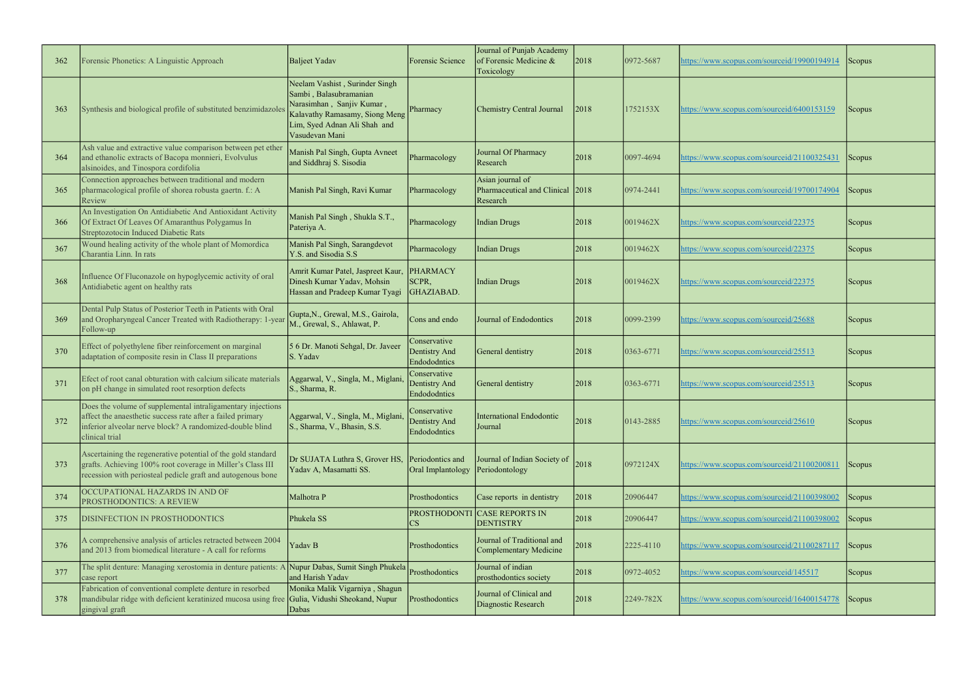| 362 | Forensic Phonetics: A Linguistic Approach                                                                                                                                                               | Baljeet Yadav                                                                                                                                                             | Forensic Science                              | Journal of Punjab Academy<br>of Forensic Medicine &<br>Toxicology | 2018 | 0972-5687       | https://www.scopus.com/sourceid/19900194914 | <b>Scopus</b> |
|-----|---------------------------------------------------------------------------------------------------------------------------------------------------------------------------------------------------------|---------------------------------------------------------------------------------------------------------------------------------------------------------------------------|-----------------------------------------------|-------------------------------------------------------------------|------|-----------------|---------------------------------------------|---------------|
| 363 | Synthesis and biological profile of substituted benzimidazoles                                                                                                                                          | Neelam Vashist, Surinder Singh<br>Sambi, Balasubramanian<br>Narasimhan, Sanjiv Kumar,<br>Kalavathy Ramasamy, Siong Meng<br>Lim, Syed Adnan Ali Shah and<br>Vasudevan Mani | Pharmacy                                      | Chemistry Central Journal                                         | 2018 | 1752153X        | https://www.scopus.com/sourceid/6400153159  | Scopus        |
| 364 | Ash value and extractive value comparison between pet ether<br>and ethanolic extracts of Bacopa monnieri, Evolvulus<br>alsinoides, and Tinospora cordifolia                                             | Manish Pal Singh, Gupta Avneet<br>and Siddhraj S. Sisodia                                                                                                                 | Pharmacology                                  | Journal Of Pharmacy<br>Research                                   | 2018 | 0097-4694       | https://www.scopus.com/sourceid/21100325431 | <b>Scopus</b> |
| 365 | Connection approaches between traditional and modern<br>pharmacological profile of shorea robusta gaertn. f.: A<br>Review                                                                               | Manish Pal Singh, Ravi Kumar                                                                                                                                              | Pharmacology                                  | Asian journal of<br>Pharmaceutical and Clinical 2018<br>Research  |      | $ 0974 - 2441 $ | https://www.scopus.com/sourceid/19700174904 | <b>Scopus</b> |
| 366 | An Investigation On Antidiabetic And Antioxidant Activity<br>Of Extract Of Leaves Of Amaranthus Polygamus In<br>Streptozotocin Induced Diabetic Rats                                                    | Manish Pal Singh, Shukla S.T.,<br>Pateriya A.                                                                                                                             | Pharmacology                                  | <b>Indian Drugs</b>                                               | 2018 | 0019462X        | https://www.scopus.com/sourceid/22375       | Scopus        |
| 367 | Wound healing activity of the whole plant of Momordica<br>Charantia Linn. In rats                                                                                                                       | Manish Pal Singh, Sarangdevot<br>Y.S. and Sisodia S.S                                                                                                                     | Pharmacology                                  | <b>Indian Drugs</b>                                               | 2018 | 0019462X        | https://www.scopus.com/sourceid/22375       | Scopus        |
| 368 | Influence Of Fluconazole on hypoglycemic activity of oral<br>Antidiabetic agent on healthy rats                                                                                                         | Amrit Kumar Patel, Jaspreet Kaur,<br>Dinesh Kumar Yadav, Mohsin<br>Hassan and Pradeep Kumar Tyagi                                                                         | PHARMACY<br>SCPR,<br>GHAZIABAD.               | <b>Indian Drugs</b>                                               | 2018 | 0019462X        | https://www.scopus.com/sourceid/22375       | Scopus        |
| 369 | Dental Pulp Status of Posterior Teeth in Patients with Oral<br>and Oropharyngeal Cancer Treated with Radiotherapy: 1-year<br>Follow-up                                                                  | Gupta, N., Grewal, M.S., Gairola,<br>M., Grewal, S., Ahlawat, P.                                                                                                          | Cons and endo                                 | Journal of Endodontics                                            | 2018 | 0099-2399       | https://www.scopus.com/sourceid/25688       | Scopus        |
| 370 | Effect of polyethylene fiber reinforcement on marginal<br>adaptation of composite resin in Class II preparations                                                                                        | 5 6 Dr. Manoti Sehgal, Dr. Javeer<br>S. Yadav                                                                                                                             | Conservative<br>Dentistry And<br>Endododntics | General dentistry                                                 | 2018 | 0363-6771       | https://www.scopus.com/sourceid/25513       | Scopus        |
| 371 | Efect of root canal obturation with calcium silicate materials<br>on pH change in simulated root resorption defects                                                                                     | Aggarwal, V., Singla, M., Miglani<br>S., Sharma, R.                                                                                                                       | Conservative<br>Dentistry And<br>Endododntics | General dentistry                                                 | 2018 | 0363-6771       | https://www.scopus.com/sourceid/25513       | <b>Scopus</b> |
| 372 | Does the volume of supplemental intraligamentary injections<br>affect the anaesthetic success rate after a failed primary<br>inferior alveolar nerve block? A randomized-double blind<br>clinical trial | Aggarwal, V., Singla, M., Miglani<br>S., Sharma, V., Bhasin, S.S.                                                                                                         | Conservative<br>Dentistry And<br>Endododntics | International Endodontic<br>Journal                               | 2018 | 0143-2885       | https://www.scopus.com/sourceid/25610       | Scopus        |
| 373 | Ascertaining the regenerative potential of the gold standard<br>grafts. Achieving 100% root coverage in Miller's Class III<br>recession with periosteal pedicle graft and autogenous bone               | Dr SUJATA Luthra S, Grover HS,<br>Yadav A, Masamatti SS.                                                                                                                  | Periodontics and<br>Oral Implantology         | Journal of Indian Society of<br>Periodontology                    | 2018 | 0972124X        | https://www.scopus.com/sourceid/21100200811 | Scopus        |
| 374 | OCCUPATIONAL HAZARDS IN AND OF<br>PROSTHODONTICS: A REVIEW                                                                                                                                              | Malhotra P                                                                                                                                                                | Prosthodontics                                | Case reports in dentistry                                         | 2018 | 20906447        | https://www.scopus.com/sourceid/21100398002 | Scopus        |
| 375 | DISINFECTION IN PROSTHODONTICS                                                                                                                                                                          | Phukela SS                                                                                                                                                                | <b>PROSTHODONTI</b><br>$\mathbb{C}\mathbf{S}$ | <b>CASE REPORTS IN</b><br><b>DENTISTRY</b>                        | 2018 | 20906447        | https://www.scopus.com/sourceid/21100398002 | Scopus        |
| 376 | A comprehensive analysis of articles retracted between 2004<br>and 2013 from biomedical literature - A call for reforms                                                                                 | Yadav B                                                                                                                                                                   | Prosthodontics                                | Journal of Traditional and<br>Complementary Medicine              | 2018 | 2225-4110       | https://www.scopus.com/sourceid/21100287117 | Scopus        |
| 377 | The split denture: Managing xerostomia in denture patients: A<br>case report                                                                                                                            | Nupur Dabas, Sumit Singh Phukela<br>and Harish Yadav                                                                                                                      | Prosthodontics                                | Journal of indian<br>prosthodontics society                       | 2018 | 0972-4052       | https://www.scopus.com/sourceid/145517      | Scopus        |
| 378 | Fabrication of conventional complete denture in resorbed<br>mandibular ridge with deficient keratinized mucosa using free Gulia, Vidushi Sheokand, Nupur<br>gingival graft                              | Monika Malik Vigarniya, Shagun<br>Dabas                                                                                                                                   | Prosthodontics                                | Journal of Clinical and<br>Diagnostic Research                    | 2018 | 2249-782X       | https://www.scopus.com/sourceid/16400154778 | Scopus        |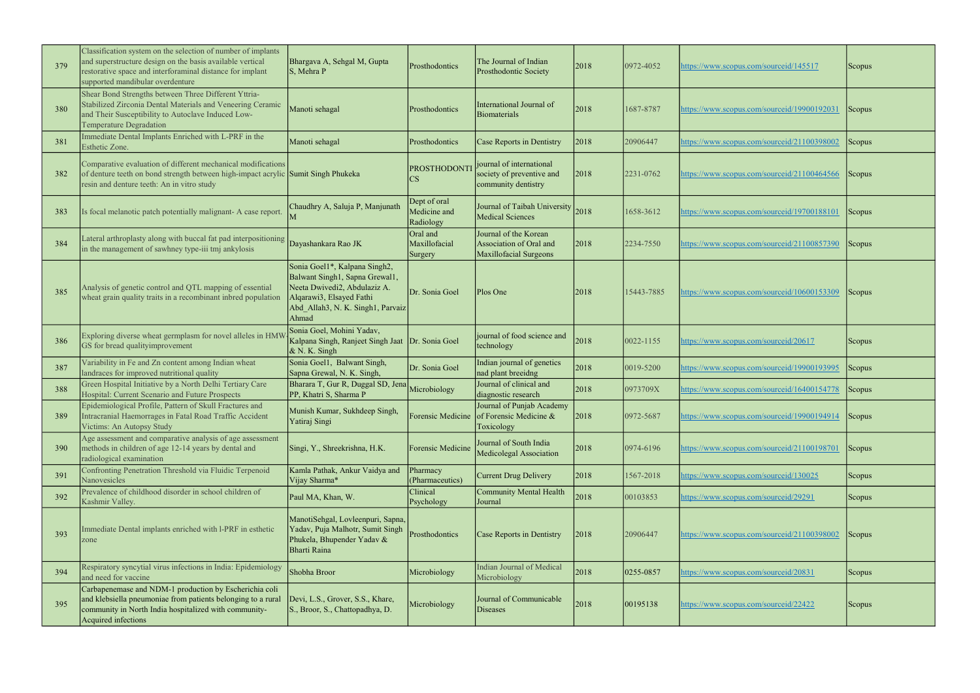| 379 | Classification system on the selection of number of implants<br>and superstructure design on the basis available vertical<br>restorative space and interforaminal distance for implant<br>supported mandibular overdenture | Bhargava A, Sehgal M, Gupta<br>S, Mehra P                                                                                                                                 | Prosthodontics                            | The Journal of Indian<br>Prosthodontic Society                                      | 2018 | 0972-4052  | nttps://www.scopus.com/sourceid/145517      | <b>Scopus</b> |
|-----|----------------------------------------------------------------------------------------------------------------------------------------------------------------------------------------------------------------------------|---------------------------------------------------------------------------------------------------------------------------------------------------------------------------|-------------------------------------------|-------------------------------------------------------------------------------------|------|------------|---------------------------------------------|---------------|
| 380 | Shear Bond Strengths between Three Different Yttria-<br>Stabilized Zirconia Dental Materials and Veneering Ceramic<br>and Their Susceptibility to Autoclave Induced Low-<br>Temperature Degradation                        | Manoti sehagal                                                                                                                                                            | Prosthodontics                            | International Journal of<br>Biomaterials                                            | 2018 | 1687-8787  | https://www.scopus.com/sourceid/19900192031 | Scopus        |
| 381 | Immediate Dental Implants Enriched with L-PRF in the<br>Esthetic Zone.                                                                                                                                                     | Manoti sehagal                                                                                                                                                            | Prosthodontics                            | Case Reports in Dentistry                                                           | 2018 | 20906447   | nttps://www.scopus.com/sourceid/21100398002 | Scopus        |
| 382 | Comparative evaluation of different mechanical modifications<br>of denture teeth on bond strength between high-impact acrylic Sumit Singh Phukeka<br>resin and denture teeth: An in vitro study                            |                                                                                                                                                                           | PROSTHODONT                               | journal of international<br>society of preventive and<br>community dentistry        | 2018 | 2231-0762  | https://www.scopus.com/sourceid/21100464566 | Scopus        |
| 383 | Is focal melanotic patch potentially malignant- A case report                                                                                                                                                              | Chaudhry A, Saluja P, Manjunath                                                                                                                                           | Dept of oral<br>Medicine and<br>Radiology | Journal of Taibah University 2018<br>Medical Sciences                               |      | 1658-3612  | nttps://www.scopus.com/sourceid/19700188101 | Scopus        |
| 384 | Lateral arthroplasty along with buccal fat pad interpositioning Dayashankara Rao JK<br>in the management of sawhney type-iii tmj ankylosis                                                                                 |                                                                                                                                                                           | Oral and<br>Maxillofacial<br>Surgery      | Journal of the Korean<br>Association of Oral and<br><b>Maxillofacial Surgeons</b>   | 2018 | 2234-7550  | nttps://www.scopus.com/sourceid/21100857390 | Scopus        |
| 385 | Analysis of genetic control and QTL mapping of essential<br>wheat grain quality traits in a recombinant inbred population                                                                                                  | Sonia Goel1*, Kalpana Singh2,<br>Balwant Singh1, Sapna Grewal1,<br>Neeta Dwivedi2, Abdulaziz A.<br>Alqarawi3, Elsayed Fathi<br>Abd Allah3, N. K. Singh1, Parvaiz<br>Ahmad | Dr. Sonia Goel                            | Plos One                                                                            | 2018 | 15443-7885 | https://www.scopus.com/sourceid/10600153309 | Scopus        |
| 386 | Exploring diverse wheat germplasm for novel alleles in HMV<br>GS for bread qualityimprovement                                                                                                                              | Sonia Goel, Mohini Yadav,<br>Kalpana Singh, Ranjeet Singh Jaat<br>$\&$ N. K. Singh                                                                                        | Dr. Sonia Goel                            | journal of food science and<br>technology                                           | 2018 | 0022-1155  | nttps://www.scopus.com/sourceid/20617       | <b>Scopus</b> |
| 387 | Variability in Fe and Zn content among Indian wheat<br>landraces for improved nutritional quality                                                                                                                          | Sonia Goel1, Balwant Singh,<br>Sapna Grewal, N. K. Singh,                                                                                                                 | Dr. Sonia Goel                            | Indian journal of genetics<br>nad plant breeidng                                    | 2018 | 0019-5200  | attps://www.scopus.com/sourceid/19900193995 | Scopus        |
| 388 | Green Hospital Initiative by a North Delhi Tertiary Care<br>Hospital: Current Scenario and Future Prospects                                                                                                                | Bharara T, Gur R, Duggal SD, Jena<br>PP, Khatri S, Sharma P                                                                                                               | Microbiology                              | Journal of clinical and<br>diagnostic research                                      | 2018 | 0973709X   | nttps://www.scopus.com/sourceid/16400154778 | Scopus        |
| 389 | Epidemiological Profile, Pattern of Skull Fractures and<br>Intracranial Haemorrages in Fatal Road Traffic Accident<br>Victims: An Autopsy Study                                                                            | Munish Kumar, Sukhdeep Singh,<br>Yatiraj Singi                                                                                                                            |                                           | Journal of Punjab Academy<br>Forensic Medicine of Forensic Medicine &<br>Toxicology | 2018 | 0972-5687  | nttps://www.scopus.com/sourceid/19900194914 | <b>Scopus</b> |
| 390 | Age assessment and comparative analysis of age assessment<br>methods in children of age 12-14 years by dental and<br>radiological examination                                                                              | Singi, Y., Shreekrishna, H.K.                                                                                                                                             | Forensic Medicine                         | Journal of South India<br>Medicolegal Association                                   | 2018 | 0974-6196  | https://www.scopus.com/sourceid/21100198701 | Scopus        |
| 391 | Confronting Penetration Threshold via Fluidic Terpenoid<br>Nanovesicles                                                                                                                                                    | Kamla Pathak, Ankur Vaidya and<br>Vijay Sharma*                                                                                                                           | Pharmacy<br>(Pharmaceutics)               | <b>Current Drug Delivery</b>                                                        | 2018 | 1567-2018  | nttps://www.scopus.com/sourceid/130025      | <b>Scopus</b> |
| 392 | Prevalence of childhood disorder in school children of<br>Kashmir Valley.                                                                                                                                                  | Paul MA, Khan, W.                                                                                                                                                         | Clinical<br>Psychology                    | <b>Community Mental Health</b><br>Journal                                           | 2018 | 00103853   | nttps://www.scopus.com/sourceid/29291       | Scopus        |
| 393 | Immediate Dental implants enriched with I-PRF in esthetic<br>zone                                                                                                                                                          | ManotiSehgal, Lovleenpuri, Sapna,<br>Yadav, Puja Malhotr, Sumit Singh<br>Phukela, Bhupender Yadav &<br><b>Bharti Raina</b>                                                | Prosthodontics                            | Case Reports in Dentistry                                                           | 2018 | 20906447   | nttps://www.scopus.com/sourceid/21100398002 | <b>Scopus</b> |
| 394 | Respiratory syncytial virus infections in India: Epidemiology<br>and need for vaccine                                                                                                                                      | Shobha Broor                                                                                                                                                              | Microbiology                              | <b>Indian Journal of Medical</b><br>Microbiology                                    | 2018 | 0255-0857  | https://www.scopus.com/sourceid/20831       | Scopus        |
| 395 | Carbapenemase and NDM-1 production by Escherichia coli<br>and klebsiella pneumoniae from patients belonging to a rural<br>community in North India hospitalized with community-<br>Acquired infections                     | Devi, L.S., Grover, S.S., Khare,<br>S., Broor, S., Chattopadhya, D.                                                                                                       | Microbiology                              | Journal of Communicable<br><b>Diseases</b>                                          | 2018 | 00195138   | nttps://www.scopus.com/sourceid/22422       | <b>Scopus</b> |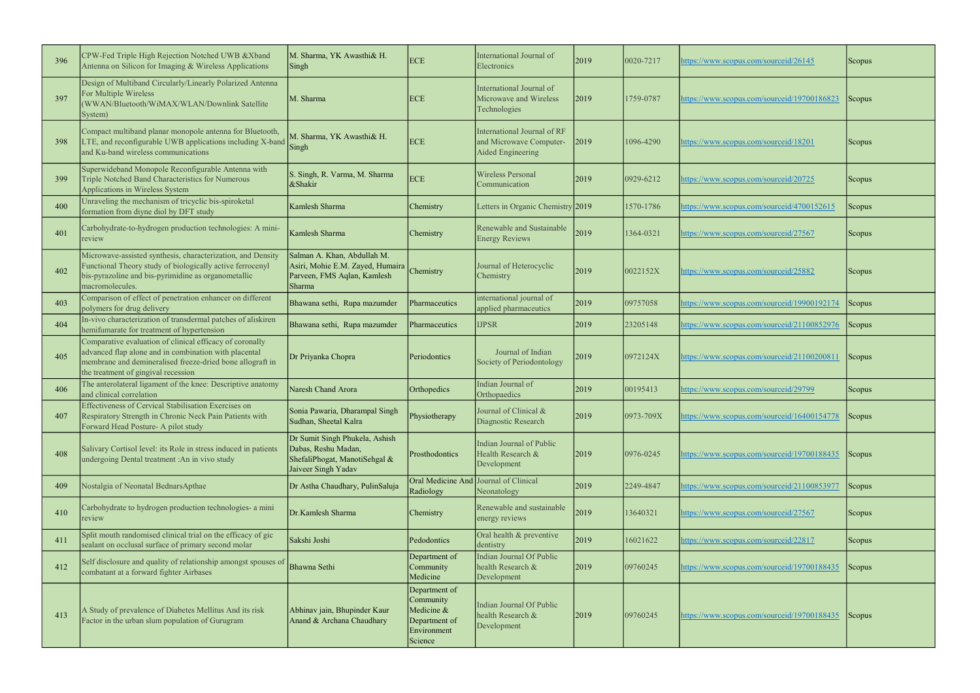| 396 | CPW-Fed Triple High Rejection Notched UWB &Xband<br>Antenna on Silicon for Imaging & Wireless Applications                                                                                                            | M. Sharma, YK Awasthi& H.<br>Singh                                                                            | <b>ECE</b>                                                                          | International Journal of<br>Electronics                                     | 2019 | 0020-7217     | https://www.scopus.com/sourceid/26145       | <b>Scopus</b> |
|-----|-----------------------------------------------------------------------------------------------------------------------------------------------------------------------------------------------------------------------|---------------------------------------------------------------------------------------------------------------|-------------------------------------------------------------------------------------|-----------------------------------------------------------------------------|------|---------------|---------------------------------------------|---------------|
| 397 | Design of Multiband Circularly/Linearly Polarized Antenna<br>For Multiple Wireless<br>(WWAN/Bluetooth/WiMAX/WLAN/Downlink Satellite<br>System)                                                                        | M. Sharma                                                                                                     | <b>ECE</b>                                                                          | International Journal of<br>Microwave and Wireless<br>Technologies          | 2019 | 1759-0787     | https://www.scopus.com/sourceid/19700186823 | <b>Scopus</b> |
| 398 | Compact multiband planar monopole antenna for Bluetooth,<br>LTE, and reconfigurable UWB applications including X-band<br>and Ku-band wireless communications                                                          | M. Sharma, YK Awasthi& H.<br>Singh                                                                            | <b>ECE</b>                                                                          | International Journal of RF<br>and Microwave Computer-<br>Aided Engineering | 2019 | 1096-4290     | https://www.scopus.com/sourceid/18201       | <b>Scopus</b> |
| 399 | Superwideband Monopole Reconfigurable Antenna with<br>Triple Notched Band Characteristics for Numerous<br>Applications in Wireless System                                                                             | S. Singh, R. Varma, M. Sharma<br>&Shakir                                                                      | <b>ECE</b>                                                                          | <b>Wireless Personal</b><br>Communication                                   | 2019 | 0929-6212     | https://www.scopus.com/sourceid/20725       | Scopus        |
| 400 | Unraveling the mechanism of tricyclic bis-spiroketal<br>formation from diyne diol by DFT study                                                                                                                        | Kamlesh Sharma                                                                                                | Chemistry                                                                           | Letters in Organic Chemistry 2019                                           |      | 1570-1786     | https://www.scopus.com/sourceid/4700152615  | Scopus        |
| 401 | Carbohydrate-to-hydrogen production technologies: A mini-<br>review                                                                                                                                                   | Kamlesh Sharma                                                                                                | Chemistry                                                                           | Renewable and Sustainable<br><b>Energy Reviews</b>                          | 2019 | 1364-0321     | https://www.scopus.com/sourceid/27567       | Scopus        |
| 402 | Microwave-assisted synthesis, characterization, and Density<br>Functional Theory study of biologically active ferrocenyl<br>bis-pyrazoline and bis-pyrimidine as organometallic<br>macromolecules.                    | Salman A. Khan, Abdullah M.<br>Asiri, Mohie E.M. Zayed, Humaira<br>Parveen, FMS Aqlan, Kamlesh<br>Sharma      | Chemistry                                                                           | Journal of Heterocyclic<br>Chemistry                                        | 2019 | 0022152X      | https://www.scopus.com/sourceid/25882       | <b>Scopus</b> |
| 403 | Comparison of effect of penetration enhancer on different<br>polymers for drug delivery                                                                                                                               | Bhawana sethi, Rupa mazumder                                                                                  | Pharmaceutics                                                                       | international journal of<br>applied pharmaceutics                           | 2019 | 09757058      | https://www.scopus.com/sourceid/19900192174 | Scopus        |
| 404 | In-vivo characterization of transdermal patches of aliskiren<br>hemifumarate for treatment of hypertension                                                                                                            | Bhawana sethi, Rupa mazumder                                                                                  | Pharmaceutics                                                                       | <b>IJPSR</b>                                                                | 2019 | 23205148      | https://www.scopus.com/sourceid/21100852976 | Scopus        |
| 405 | Comparative evaluation of clinical efficacy of coronally<br>advanced flap alone and in combination with placental<br>membrane and demineralised freeze-dried bone allograft in<br>the treatment of gingival recession | Dr Priyanka Chopra                                                                                            | Periodontics                                                                        | Journal of Indian<br>Society of Periodontology                              | 2019 | 0972124X      | https://www.scopus.com/sourceid/21100200811 | <b>Scopus</b> |
| 406 | The anterolateral ligament of the knee: Descriptive anatomy<br>and clinical correlation                                                                                                                               | Naresh Chand Arora                                                                                            | Orthopedics                                                                         | Indian Journal of<br>Orthopaedics                                           | 2019 | 00195413      | https://www.scopus.com/sourceid/29799       | <b>Scopus</b> |
| 407 | Effectiveness of Cervical Stabilisation Exercises on<br>Respiratory Strength in Chronic Neck Pain Patients with<br>Forward Head Posture- A pilot study                                                                | Sonia Pawaria, Dharampal Singh<br>Sudhan, Sheetal Kalra                                                       | Physiotherapy                                                                       | Journal of Clinical &<br>Diagnostic Research                                | 2019 | $0973 - 709X$ | https://www.scopus.com/sourceid/16400154778 | <b>Scopus</b> |
| 408 | Salivary Cortisol level: its Role in stress induced in patients<br>undergoing Dental treatment : An in vivo study                                                                                                     | Dr Sumit Singh Phukela, Ashish<br>Dabas, Reshu Madan,<br>ShefaliPhogat, ManotiSehgal &<br>Jaiveer Singh Yadav | Prosthodontics                                                                      | Indian Journal of Public<br>Health Research &<br>Development                | 2019 | 0976-0245     | https://www.scopus.com/sourceid/19700188435 | <b>Scopus</b> |
| 409 | Nostalgia of Neonatal BednarsApthae                                                                                                                                                                                   | Dr Astha Chaudhary, PulinSaluja                                                                               | Oral Medicine And Journal of Clinical<br>Radiology                                  | Neonatology                                                                 | 2019 | 2249-4847     | https://www.scopus.com/sourceid/21100853977 | Scopus        |
| 410 | Carbohydrate to hydrogen production technologies- a mini<br>review                                                                                                                                                    | Dr.Kamlesh Sharma                                                                                             | Chemistry                                                                           | Renewable and sustainable<br>energy reviews                                 | 2019 | 13640321      | https://www.scopus.com/sourceid/27567       | <b>Scopus</b> |
| 411 | Split mouth randomised clinical trial on the efficacy of gic<br>sealant on occlusal surface of primary second molar                                                                                                   | Sakshi Joshi                                                                                                  | Pedodontics                                                                         | Oral health & preventive<br>dentistry                                       | 2019 | 16021622      | https://www.scopus.com/sourceid/22817       | Scopus        |
| 412 | Self disclosure and quality of relationship amongst spouses of<br>combatant at a forward fighter Airbases                                                                                                             | <b>Bhawna Sethi</b>                                                                                           | Department of<br>Community<br>Medicine                                              | Indian Journal Of Public<br>health Research &<br>Development                | 2019 | 09760245      | https://www.scopus.com/sourceid/19700188435 | <b>Scopus</b> |
| 413 | A Study of prevalence of Diabetes Mellitus And its risk<br>Factor in the urban slum population of Gurugram                                                                                                            | Abhinav jain, Bhupinder Kaur<br>Anand & Archana Chaudhary                                                     | Department of<br>Community<br>Medicine &<br>Department of<br>Environment<br>Science | Indian Journal Of Public<br>health Research &<br>Development                | 2019 | 09760245      | https://www.scopus.com/sourceid/19700188435 | Scopus        |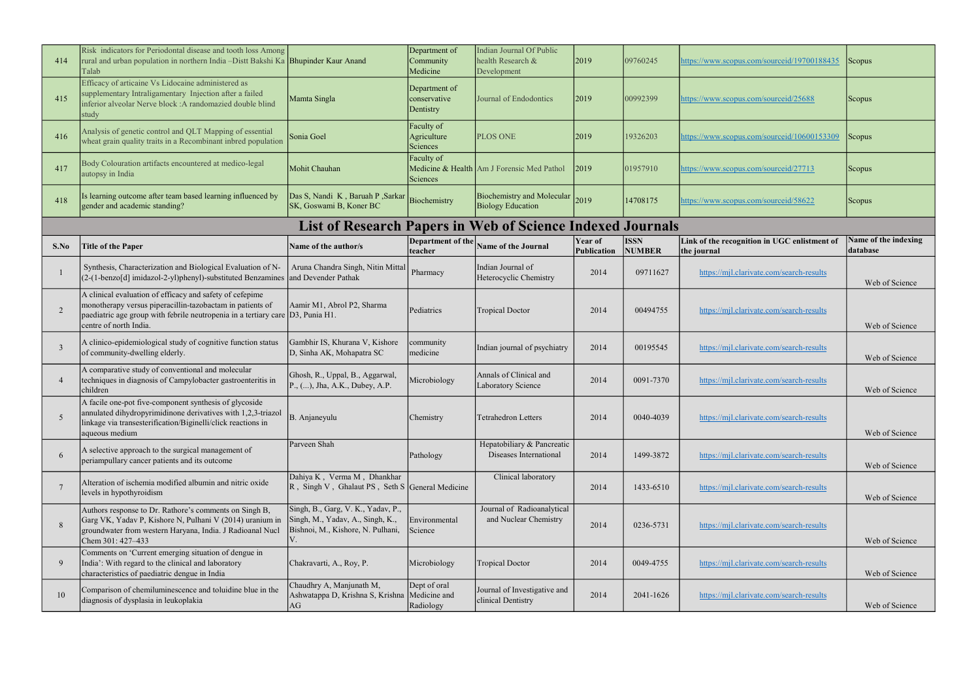| 414           | Risk indicators for Periodontal disease and tooth loss Among<br>rural and urban population in northern India -Distt Bakshi Ka Bhupinder Kaur Anand<br>Talab                                                                           |                                                                                                             | Department of<br>Community<br>Medicine     | Indian Journal Of Public<br>health Research &<br>Development  | 2019                   | 09760245                     | https://www.scopus.com/sourceid/19700188435                 | Scopus                           |
|---------------|---------------------------------------------------------------------------------------------------------------------------------------------------------------------------------------------------------------------------------------|-------------------------------------------------------------------------------------------------------------|--------------------------------------------|---------------------------------------------------------------|------------------------|------------------------------|-------------------------------------------------------------|----------------------------------|
| 415           | Efficacy of articaine Vs Lidocaine administered as<br>supplementary Intraligamentary Injection after a failed<br>inferior alveolar Nerve block : A randomazied double blind<br>study                                                  | Mamta Singla                                                                                                | Department of<br>conservative<br>Dentistry | Journal of Endodontics                                        | 2019                   | 00992399                     | https://www.scopus.com/sourceid/25688                       | <b>Scopus</b>                    |
| 416           | Analysis of genetic control and QLT Mapping of essential<br>wheat grain quality traits in a Recombinant inbred population                                                                                                             | Sonia Goel                                                                                                  | Faculty of<br>Agriculture<br>Sciences      | <b>PLOS ONE</b>                                               | 2019                   | 19326203                     | https://www.scopus.com/sourceid/10600153309                 | Scopus                           |
| 417           | Body Colouration artifacts encountered at medico-legal<br>autopsy in India                                                                                                                                                            | Mohit Chauhan                                                                                               | Faculty of<br>Sciences                     | Medicine & Health Am J Forensic Med Pathol                    | 2019                   | 01957910                     | https://www.scopus.com/sourceid/27713                       | Scopus                           |
| 418           | Is learning outcome after team based learning influenced by<br>gender and academic standing?                                                                                                                                          | Das S, Nandi K, Baruah P, Sarkar<br>SK, Goswami B, Koner BC                                                 | Biochemistry                               | <b>Biochemistry and Molecular</b><br><b>Biology Education</b> | 2019                   | 14708175                     | https://www.scopus.com/sourceid/58622                       | Scopus                           |
|               |                                                                                                                                                                                                                                       | <b>List of Research Papers in Web of Science Indexed Journals</b>                                           |                                            |                                                               |                        |                              |                                                             |                                  |
| S.No          | <b>Title of the Paper</b>                                                                                                                                                                                                             | Name of the author/s                                                                                        | Department of the<br>teacher               | Name of the Journal                                           | Year of<br>Publication | <b>ISSN</b><br><b>NUMBER</b> | Link of the recognition in UGC enlistment of<br>the journal | Name of the indexing<br>database |
|               | Synthesis, Characterization and Biological Evaluation of N-<br>(2-(1-benzo[d] imidazol-2-yl)phenyl)-substituted Benzamines                                                                                                            | Aruna Chandra Singh, Nitin Mittal<br>and Devender Pathak                                                    | Pharmacy                                   | Indian Journal of<br>Heterocyclic Chemistry                   | 2014                   | 09711627                     | https://mjl.clarivate.com/search-results                    | Web of Science                   |
| $\mathcal{D}$ | A clinical evaluation of efficacy and safety of cefepime<br>monotherapy versus piperacillin-tazobactam in patients of<br>paediatric age group with febrile neutropenia in a tertiary care $ D3, P$ unia H1.<br>centre of north India. | Aamir M1, Abrol P2, Sharma                                                                                  | Pediatrics                                 | Tropical Doctor                                               | 2014                   | 00494755                     | https://mjl.clarivate.com/search-results                    | Web of Science                   |
| $\mathcal{E}$ | A clinico-epidemiological study of cognitive function status<br>of community-dwelling elderly.                                                                                                                                        | Gambhir IS, Khurana V, Kishore<br>D, Sinha AK, Mohapatra SC                                                 | community<br>medicine                      | Indian journal of psychiatry                                  | 2014                   | 00195545                     | https://mjl.clarivate.com/search-results                    | Web of Science                   |
|               | A comparative study of conventional and molecular<br>techniques in diagnosis of Campylobacter gastroenteritis in<br>children                                                                                                          | Ghosh, R., Uppal, B., Aggarwal,<br>P., (), Jha, A.K., Dubey, A.P.                                           | Microbiology                               | Annals of Clinical and<br>Laboratory Science                  | 2014                   | 0091-7370                    | https://mjl.clarivate.com/search-results                    | Web of Science                   |
| -5            | A facile one-pot five-component synthesis of glycoside<br>annulated dihydropyrimidinone derivatives with 1,2,3-triazol<br>linkage via transesterification/Biginelli/click reactions in<br>aqueous medium                              | B. Anjaneyulu                                                                                               | Chemistry                                  | Tetrahedron Letters                                           | 2014                   | 0040-4039                    | https://mjl.clarivate.com/search-results                    | Web of Science                   |
| -6            | A selective approach to the surgical management of<br>periampullary cancer patients and its outcome                                                                                                                                   | Parveen Shah                                                                                                | Pathology                                  | Hepatobiliary & Pancreatic<br>Diseases International          | 2014                   | 1499-3872                    | https://mjl.clarivate.com/search-results                    | Web of Science                   |
|               | Alteration of ischemia modified albumin and nitric oxide<br>levels in hypothyroidism                                                                                                                                                  | Dahiya K, Verma M, Dhankhar<br>R, Singh V, Ghalaut PS, Seth S General Medicine                              |                                            | Clinical laboratory                                           | 2014                   | 1433-6510                    | https://mjl.clarivate.com/search-results                    | Web of Science                   |
| 8             | Authors response to Dr. Rathore's comments on Singh B,<br>Garg VK, Yadav P, Kishore N, Pulhani V (2014) uranium in<br>groundwater from western Haryana, India. J Radioanal Nucl<br>Chem 301: 427-433                                  | Singh, B., Garg, V. K., Yadav, P.,<br>Singh, M., Yadav, A., Singh, K.,<br>Bishnoi, M., Kishore, N. Pulhani, | Environmental<br>Science                   | Journal of Radioanalytical<br>and Nuclear Chemistry           | 2014                   | 0236-5731                    | https://mjl.clarivate.com/search-results                    | Web of Science                   |
| -9            | Comments on 'Current emerging situation of dengue in<br>India': With regard to the clinical and laboratory<br>characteristics of paediatric dengue in India                                                                           | Chakravarti, A., Roy, P.                                                                                    | Microbiology                               | Tropical Doctor                                               | 2014                   | 0049-4755                    | https://mjl.clarivate.com/search-results                    | Web of Science                   |
| 10            | Comparison of chemiluminescence and toluidine blue in the<br>diagnosis of dysplasia in leukoplakia                                                                                                                                    | Chaudhry A, Manjunath M,<br>Ashwatappa D, Krishna S, Krishna<br>AG                                          | Dept of oral<br>Medicine and<br>Radiology  | Journal of Investigative and<br>clinical Dentistry            | 2014                   | 2041-1626                    | https://mjl.clarivate.com/search-results                    | Web of Science                   |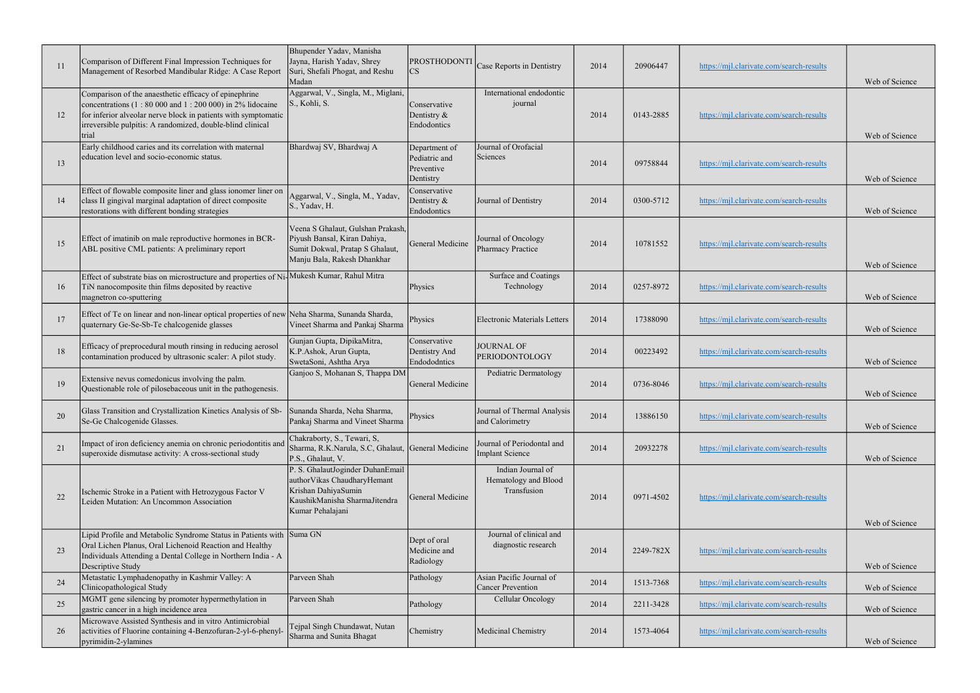| 11 | Comparison of Different Final Impression Techniques for<br>Management of Resorbed Mandibular Ridge: A Case Report                                                                                                                                              | Bhupender Yadav, Manisha<br>Jayna, Harish Yadav, Shrey<br>Suri, Shefali Phogat, and Reshu<br>Madan                                            | PROSTHODONTI<br>CS                                        | Case Reports in Dentistry                                | 2014 | 20906447  | https://mjl.clarivate.com/search-results | Web of Science |
|----|----------------------------------------------------------------------------------------------------------------------------------------------------------------------------------------------------------------------------------------------------------------|-----------------------------------------------------------------------------------------------------------------------------------------------|-----------------------------------------------------------|----------------------------------------------------------|------|-----------|------------------------------------------|----------------|
| 12 | Comparison of the anaesthetic efficacy of epinephrine<br>concentrations $(1: 80 000$ and $1: 200 000$ in 2% lidocaine<br>for inferior alveolar nerve block in patients with symptomatic<br>irreversible pulpitis: A randomized, double-blind clinical<br>trial | Aggarwal, V., Singla, M., Miglani,<br>S., Kohli, S.                                                                                           | Conservative<br>Dentistry &<br>Endodontics                | International endodontic<br>journal                      | 2014 | 0143-2885 | https://mjl.clarivate.com/search-results | Web of Science |
| 13 | Early childhood caries and its correlation with maternal<br>education level and socio-economic status.                                                                                                                                                         | Bhardwaj SV, Bhardwaj A                                                                                                                       | Department of<br>Pediatric and<br>Preventive<br>Dentistry | Journal of Orofacial<br>Sciences                         | 2014 | 09758844  | https://mjl.clarivate.com/search-results | Web of Science |
| 14 | Effect of flowable composite liner and glass ionomer liner on<br>class II gingival marginal adaptation of direct composite<br>restorations with different bonding strategies                                                                                   | Aggarwal, V., Singla, M., Yadav,<br>S., Yadav, H.                                                                                             | Conservative<br>Dentistry &<br>Endodontics                | Journal of Dentistry                                     | 2014 | 0300-5712 | https://mjl.clarivate.com/search-results | Web of Science |
| 15 | Effect of imatinib on male reproductive hormones in BCR-<br>ABL positive CML patients: A preliminary report                                                                                                                                                    | Veena S Ghalaut, Gulshan Prakash,<br>Piyush Bansal, Kiran Dahiya,<br>Sumit Dokwal, Pratap S Ghalaut,<br>Manju Bala, Rakesh Dhankhar           | General Medicine                                          | Journal of Oncology<br>Pharmacy Practice                 | 2014 | 10781552  | https://mjl.clarivate.com/search-results | Web of Science |
| 16 | Effect of substrate bias on microstructure and properties of Ni<br>TiN nanocomposite thin films deposited by reactive<br>magnetron co-sputtering                                                                                                               | Mukesh Kumar, Rahul Mitra                                                                                                                     | Physics                                                   | Surface and Coatings<br>Technology                       | 2014 | 0257-8972 | https://mjl.clarivate.com/search-results | Web of Science |
| 17 | Effect of Te on linear and non-linear optical properties of new Neha Sharma, Sunanda Sharda,<br>quaternary Ge-Se-Sb-Te chalcogenide glasses                                                                                                                    | Vineet Sharma and Pankaj Sharma                                                                                                               | Physics                                                   | <b>Electronic Materials Letters</b>                      | 2014 | 17388090  | https://mjl.clarivate.com/search-results | Web of Science |
| 18 | Efficacy of preprocedural mouth rinsing in reducing aerosol<br>contamination produced by ultrasonic scaler: A pilot study.                                                                                                                                     | Gunjan Gupta, DipikaMitra,<br>K.P.Ashok, Arun Gupta,<br>SwetaSoni, Ashtha Arya                                                                | Conservative<br>Dentistry And<br>Endododntics             | <b>JOURNAL OF</b><br>PERIODONTOLOGY                      | 2014 | 00223492  | https://mjl.clarivate.com/search-results | Web of Science |
| 19 | Extensive nevus comedonicus involving the palm.<br>Questionable role of pilosebaceous unit in the pathogenesis.                                                                                                                                                | Ganjoo S, Mohanan S, Thappa DM                                                                                                                | General Medicine                                          | Pediatric Dermatology                                    | 2014 | 0736-8046 | https://mjl.clarivate.com/search-results | Web of Science |
| 20 | Glass Transition and Crystallization Kinetics Analysis of Sb- Sunanda Sharda, Neha Sharma,<br>Se-Ge Chalcogenide Glasses.                                                                                                                                      | Pankaj Sharma and Vineet Sharma                                                                                                               | Physics                                                   | Journal of Thermal Analysis<br>and Calorimetry           | 2014 | 13886150  | https://mjl.clarivate.com/search-results | Web of Science |
| 21 | Impact of iron deficiency anemia on chronic periodontitis and<br>superoxide dismutase activity: A cross-sectional study                                                                                                                                        | Chakraborty, S., Tewari, S,<br>Sharma, R.K.Narula, S.C. Ghalaut, General Medicine<br>P.S., Ghalaut, V.                                        |                                                           | Journal of Periodontal and<br><b>Implant Science</b>     | 2014 | 20932278  | https://mjl.clarivate.com/search-results | Web of Science |
| 22 | Ischemic Stroke in a Patient with Hetrozygous Factor V<br>Leiden Mutation: An Uncommon Association                                                                                                                                                             | P. S. GhalautJoginder DuhanEmail<br>author Vikas Chaudhary Hemant<br>Krishan DahiyaSumin<br>KaushikManisha SharmaJitendra<br>Kumar Pehalajani | General Medicine                                          | Indian Journal of<br>Hematology and Blood<br>Transfusion | 2014 | 0971-4502 | https://mjl.clarivate.com/search-results | Web of Science |
| 23 | Lipid Profile and Metabolic Syndrome Status in Patients with Suma GN<br>Oral Lichen Planus, Oral Lichenoid Reaction and Healthy<br>Individuals Attending a Dental College in Northern India - A<br>Descriptive Study                                           |                                                                                                                                               | Dept of oral<br>Medicine and<br>Radiology                 | Journal of clinical and<br>diagnostic research           | 2014 | 2249-782X | https://mjl.clarivate.com/search-results | Web of Science |
| 24 | Metastatic Lymphadenopathy in Kashmir Valley: A<br>Clinicopathological Study                                                                                                                                                                                   | Parveen Shah                                                                                                                                  | Pathology                                                 | Asian Pacific Journal of<br><b>Cancer Prevention</b>     | 2014 | 1513-7368 | https://mjl.clarivate.com/search-results | Web of Science |
| 25 | MGMT gene silencing by promoter hypermethylation in<br>gastric cancer in a high incidence area                                                                                                                                                                 | Parveen Shah                                                                                                                                  | Pathology                                                 | Cellular Oncology                                        | 2014 | 2211-3428 | https://mjl.clarivate.com/search-results | Web of Science |
| 26 | Microwave Assisted Synthesis and in vitro Antimicrobial<br>activities of Fluorine containing 4-Benzofuran-2-yl-6-phenyl-<br>pyrimidin-2-ylamines                                                                                                               | Tejpal Singh Chundawat, Nutan<br>Sharma and Sunita Bhagat                                                                                     | Chemistry                                                 | Medicinal Chemistry                                      | 2014 | 1573-4064 | https://mjl.clarivate.com/search-results | Web of Science |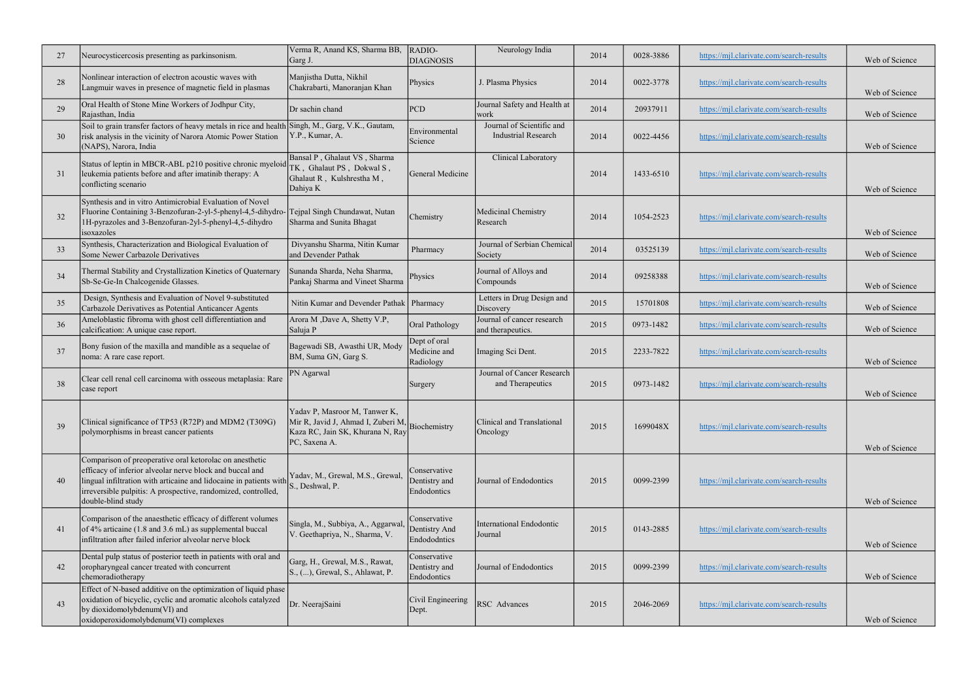| 27 | Neurocysticercosis presenting as parkinsonism.                                                                                                                                                                                                                                   | Verma R, Anand KS, Sharma BB,<br>Garg J.                                                                                              | RADIO-<br><b>DIAGNOSIS</b>                    | Neurology India                                         | 2014 | 0028-3886 | https://mjl.clarivate.com/search-results | Web of Science |
|----|----------------------------------------------------------------------------------------------------------------------------------------------------------------------------------------------------------------------------------------------------------------------------------|---------------------------------------------------------------------------------------------------------------------------------------|-----------------------------------------------|---------------------------------------------------------|------|-----------|------------------------------------------|----------------|
| 28 | Nonlinear interaction of electron acoustic waves with<br>Langmuir waves in presence of magnetic field in plasmas                                                                                                                                                                 | Manjistha Dutta, Nikhil<br>Chakrabarti, Manoranjan Khan                                                                               | Physics                                       | J. Plasma Physics                                       | 2014 | 0022-3778 | https://mjl.clarivate.com/search-results | Web of Science |
| 29 | Oral Health of Stone Mine Workers of Jodhpur City,<br>Rajasthan, India                                                                                                                                                                                                           | Dr sachin chand                                                                                                                       | PCD                                           | Journal Safety and Health at<br>work                    | 2014 | 20937911  | https://mjl.clarivate.com/search-results | Web of Science |
| 30 | Soil to grain transfer factors of heavy metals in rice and health Singh, M., Garg, V.K., Gautam,<br>risk analysis in the vicinity of Narora Atomic Power Station<br>(NAPS), Narora, India                                                                                        | Y.P., Kumar, A.                                                                                                                       | Environmental<br>Science                      | Journal of Scientific and<br><b>Industrial Research</b> | 2014 | 0022-4456 | https://mjl.clarivate.com/search-results | Web of Science |
| 31 | Status of leptin in MBCR-ABL p210 positive chronic myeloid<br>leukemia patients before and after imatinib therapy: A<br>conflicting scenario                                                                                                                                     | Bansal P, Ghalaut VS, Sharma<br>TK, Ghalaut PS, Dokwal S,<br>Ghalaut R, Kulshrestha M,<br>Dahiya K                                    | General Medicine                              | Clinical Laboratory                                     | 2014 | 1433-6510 | https://mjl.clarivate.com/search-results | Web of Science |
| 32 | Synthesis and in vitro Antimicrobial Evaluation of Novel<br>Fluorine Containing 3-Benzofuran-2-yl-5-phenyl-4,5-dihydro-<br>1H-pyrazoles and 3-Benzofuran-2yl-5-phenyl-4,5-dihydro<br>isoxazoles                                                                                  | Tejpal Singh Chundawat, Nutan<br>Sharma and Sunita Bhagat                                                                             | Chemistry                                     | Medicinal Chemistry<br>Research                         | 2014 | 1054-2523 | https://mjl.clarivate.com/search-results | Web of Science |
| 33 | Synthesis, Characterization and Biological Evaluation of<br>Some Newer Carbazole Derivatives                                                                                                                                                                                     | Divyanshu Sharma, Nitin Kumar<br>and Devender Pathak                                                                                  | Pharmacy                                      | Journal of Serbian Chemical<br>Society                  | 2014 | 03525139  | https://mjl.clarivate.com/search-results | Web of Science |
| 34 | Thermal Stability and Crystallization Kinetics of Quaternary<br>Sb-Se-Ge-In Chalcogenide Glasses.                                                                                                                                                                                | Sunanda Sharda, Neha Sharma,<br>Pankaj Sharma and Vineet Sharma                                                                       | Physics                                       | Journal of Alloys and<br>Compounds                      | 2014 | 09258388  | https://mjl.clarivate.com/search-results | Web of Science |
| 35 | Design, Synthesis and Evaluation of Novel 9-substituted<br>Carbazole Derivatives as Potential Anticancer Agents                                                                                                                                                                  | Nitin Kumar and Devender Pathak   Pharmacy                                                                                            |                                               | Letters in Drug Design and<br>Discovery                 | 2015 | 15701808  | https://mjl.clarivate.com/search-results | Web of Science |
| 36 | Ameloblastic fibroma with ghost cell differentiation and<br>calcification: A unique case report.                                                                                                                                                                                 | Arora M , Dave A, Shetty V.P,<br>Saluja P                                                                                             | Oral Pathology                                | Journal of cancer research<br>and therapeutics.         | 2015 | 0973-1482 | https://mjl.clarivate.com/search-results | Web of Science |
| 37 | Bony fusion of the maxilla and mandible as a sequelae of<br>noma: A rare case report.                                                                                                                                                                                            | Bagewadi SB, Awasthi UR, Mody<br>BM, Suma GN, Garg S.                                                                                 | Dept of oral<br>Medicine and<br>Radiology     | Imaging Sci Dent.                                       | 2015 | 2233-7822 | https://mjl.clarivate.com/search-results | Web of Science |
| 38 | Clear cell renal cell carcinoma with osseous metaplasia: Rare<br>case report                                                                                                                                                                                                     | PN Agarwal                                                                                                                            | Surgery                                       | Journal of Cancer Research<br>and Therapeutics          | 2015 | 0973-1482 | https://mjl.clarivate.com/search-results | Web of Science |
| 39 | Clinical significance of TP53 (R72P) and MDM2 (T309G)<br>polymorphisms in breast cancer patients                                                                                                                                                                                 | Yadav P, Masroor M, Tanwer K,<br>Mir R, Javid J, Ahmad I, Zuberi M, Biochemistry<br>Kaza RC, Jain SK, Khurana N, Ray<br>PC, Saxena A. |                                               | Clinical and Translational<br>Oncology                  | 2015 | 1699048X  | https://mjl.clarivate.com/search-results | Web of Science |
| 40 | Comparison of preoperative oral ketorolac on anesthetic<br>efficacy of inferior alveolar nerve block and buccal and<br>lingual infiltration with articaine and lidocaine in patients with<br>irreversible pulpitis: A prospective, randomized, controlled,<br>double-blind study | Yadav, M., Grewal, M.S., Grewal,<br>S., Deshwal, P.                                                                                   | Conservative<br>Dentistry and<br>Endodontics  | Journal of Endodontics                                  | 2015 | 0099-2399 | https://mjl.clarivate.com/search-results | Web of Science |
| 41 | Comparison of the anaesthetic efficacy of different volumes<br>of 4% articaine (1.8 and 3.6 mL) as supplemental buccal<br>infiltration after failed inferior alveolar nerve block                                                                                                | Singla, M., Subbiya, A., Aggarwal<br>V. Geethapriya, N., Sharma, V.                                                                   | Conservative<br>Dentistry And<br>Endododntics | International Endodontic<br>Journal                     | 2015 | 0143-2885 | https://mjl.clarivate.com/search-results | Web of Science |
| 42 | Dental pulp status of posterior teeth in patients with oral and<br>oropharyngeal cancer treated with concurrent<br>chemoradiotherapy                                                                                                                                             | Garg, H., Grewal, M.S., Rawat,<br>S., (), Grewal, S., Ahlawat, P.                                                                     | Conservative<br>Dentistry and<br>Endodontics  | Journal of Endodontics                                  | 2015 | 0099-2399 | https://mjl.clarivate.com/search-results | Web of Science |
| 43 | Effect of N-based additive on the optimization of liquid phase<br>oxidation of bicyclic, cyclic and aromatic alcohols catalyzed<br>by dioxidomolybdenum(VI) and<br>oxidoperoxidomolybdenum(VI) complexes                                                                         | Dr. NeerajSaini                                                                                                                       | Civil Engineering<br>Dept.                    | RSC Advances                                            | 2015 | 2046-2069 | https://mjl.clarivate.com/search-results | Web of Science |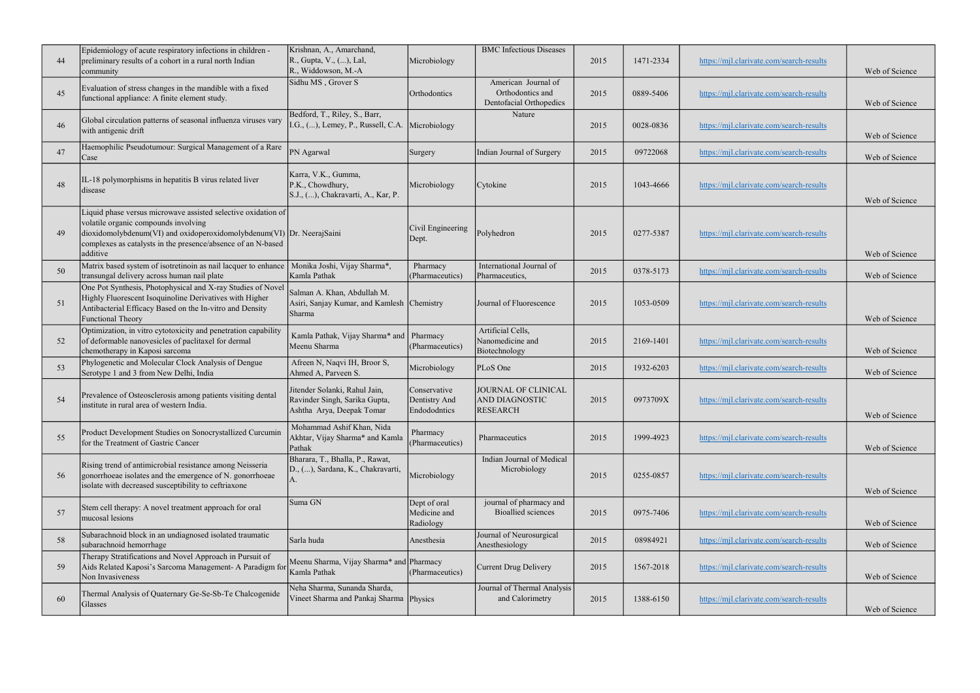| 44 | Epidemiology of acute respiratory infections in children -<br>preliminary results of a cohort in a rural north Indian<br>community                                                                                                                                                       | Krishnan, A., Amarchand,<br>R., Gupta, V., (), Lal,<br>R., Widdowson, M.-A                  | Microbiology                                  | <b>BMC</b> Infectious Diseases                                     | 2015 | 1471-2334 | https://mjl.clarivate.com/search-results | Web of Science |
|----|------------------------------------------------------------------------------------------------------------------------------------------------------------------------------------------------------------------------------------------------------------------------------------------|---------------------------------------------------------------------------------------------|-----------------------------------------------|--------------------------------------------------------------------|------|-----------|------------------------------------------|----------------|
| 45 | Evaluation of stress changes in the mandible with a fixed<br>functional appliance: A finite element study.                                                                                                                                                                               | Sidhu MS, Grover S                                                                          | Orthodontics                                  | American Journal of<br>Orthodontics and<br>Dentofacial Orthopedics | 2015 | 0889-5406 | https://mjl.clarivate.com/search-results | Web of Science |
| 46 | Global circulation patterns of seasonal influenza viruses vary<br>with antigenic drift                                                                                                                                                                                                   | Bedford, T., Riley, S., Barr,<br>I.G., (), Lemey, P., Russell, C.A.                         | Microbiology                                  | Nature                                                             | 2015 | 0028-0836 | https://mjl.clarivate.com/search-results | Web of Science |
| 47 | Haemophilic Pseudotumour: Surgical Management of a Rare<br>Case                                                                                                                                                                                                                          | PN Agarwal                                                                                  | Surgery                                       | Indian Journal of Surgery                                          | 2015 | 09722068  | https://mjl.clarivate.com/search-results | Web of Science |
| 48 | IL-18 polymorphisms in hepatitis B virus related liver<br>disease                                                                                                                                                                                                                        | Karra, V.K., Gumma,<br>P.K., Chowdhury,<br>S.J., (), Chakravarti, A., Kar, P.               | Microbiology                                  | Cytokine                                                           | 2015 | 1043-4666 | https://mjl.clarivate.com/search-results | Web of Science |
| 49 | Liquid phase versus microwave assisted selective oxidation of<br>volatile organic compounds involving<br>$\left  \frac{d}{dx} \right $ dioxidomolybdenum(VI) and oxidoperoxidomolybdenum(VI) Dr. NeerajSaini<br>complexes as catalysts in the presence/absence of an N-based<br>additive |                                                                                             | Civil Engineering<br>Dept.                    | Polyhedron                                                         | 2015 | 0277-5387 | https://mjl.clarivate.com/search-results | Web of Science |
| 50 | Matrix based system of isotretinoin as nail lacquer to enhance<br>transungal delivery across human nail plate                                                                                                                                                                            | Monika Joshi, Vijay Sharma*,<br>Kamla Pathak                                                | Pharmacy<br>(Pharmaceutics)                   | International Journal of<br>Pharmaceutics,                         | 2015 | 0378-5173 | https://mjl.clarivate.com/search-results | Web of Science |
| 51 | One Pot Synthesis, Photophysical and X-ray Studies of Novel<br>Highly Fluorescent Isoquinoline Derivatives with Higher<br>Antibacterial Efficacy Based on the In-vitro and Density<br>Functional Theory                                                                                  | Salman A. Khan, Abdullah M.<br>Asiri, Sanjay Kumar, and Kamlesh Chemistry<br>Sharma         |                                               | Journal of Fluorescence                                            | 2015 | 1053-0509 | https://mjl.clarivate.com/search-results | Web of Science |
| 52 | Optimization, in vitro cytotoxicity and penetration capability<br>of deformable nanovesicles of paclitaxel for dermal<br>chemotherapy in Kaposi sarcoma                                                                                                                                  | Kamla Pathak, Vijay Sharma* and<br>Meenu Sharma                                             | Pharmacy<br>(Pharmaceutics)                   | Artificial Cells,<br>Nanomedicine and<br>Biotechnology             | 2015 | 2169-1401 | https://mjl.clarivate.com/search-results | Web of Science |
| 53 | Phylogenetic and Molecular Clock Analysis of Dengue<br>Serotype 1 and 3 from New Delhi, India                                                                                                                                                                                            | Afreen N, Naqvi IH, Broor S,<br>Ahmed A, Parveen S.                                         | Microbiology                                  | PLoS One                                                           | 2015 | 1932-6203 | https://mjl.clarivate.com/search-results | Web of Science |
| 54 | Prevalence of Osteosclerosis among patients visiting dental<br>institute in rural area of western India.                                                                                                                                                                                 | Jitender Solanki, Rahul Jain,<br>Ravinder Singh, Sarika Gupta,<br>Ashtha Arya, Deepak Tomar | Conservative<br>Dentistry And<br>Endododntics | JOURNAL OF CLINICAL<br><b>AND DIAGNOSTIC</b><br><b>RESEARCH</b>    | 2015 | 0973709X  | https://mjl.clarivate.com/search-results | Web of Science |
| 55 | Product Development Studies on Sonocrystallized Curcumin<br>for the Treatment of Gastric Cancer                                                                                                                                                                                          | Mohammad Ashif Khan, Nida<br>Akhtar, Vijay Sharma* and Kamla<br>Pathak                      | Pharmacy<br>(Pharmaceutics)                   | Pharmaceutics                                                      | 2015 | 1999-4923 | https://mjl.clarivate.com/search-results | Web of Science |
| 56 | Rising trend of antimicrobial resistance among Neisseria<br>gonorrhoeae isolates and the emergence of N. gonorrhoeae<br>isolate with decreased susceptibility to ceftriaxone                                                                                                             | Bharara, T., Bhalla, P., Rawat,<br>D., (), Sardana, K., Chakravarti,                        | Microbiology                                  | Indian Journal of Medical<br>Microbiology                          | 2015 | 0255-0857 | https://mjl.clarivate.com/search-results | Web of Science |
| 57 | Stem cell therapy: A novel treatment approach for oral<br>mucosal lesions                                                                                                                                                                                                                | Suma GN                                                                                     | Dept of oral<br>Medicine and<br>Radiology     | journal of pharmacy and<br><b>Bioallied</b> sciences               | 2015 | 0975-7406 | https://mjl.clarivate.com/search-results | Web of Science |
| 58 | Subarachnoid block in an undiagnosed isolated traumatic<br>subarachnoid hemorrhage                                                                                                                                                                                                       | Sarla huda                                                                                  | Anesthesia                                    | Journal of Neurosurgical<br>Anesthesiology                         | 2015 | 08984921  | https://mjl.clarivate.com/search-results | Web of Science |
| 59 | Therapy Stratifications and Novel Approach in Pursuit of<br>Aids Related Kaposi's Sarcoma Management- A Paradigm for<br>Non Invasiveness                                                                                                                                                 | Meenu Sharma, Vijay Sharma* and Pharmacy<br>Kamla Pathak                                    | (Pharmaceutics)                               | <b>Current Drug Delivery</b>                                       | 2015 | 1567-2018 | https://mjl.clarivate.com/search-results | Web of Science |
| 60 | Thermal Analysis of Quaternary Ge-Se-Sb-Te Chalcogenide<br>Glasses                                                                                                                                                                                                                       | Neha Sharma, Sunanda Sharda,<br>Vineet Sharma and Pankaj Sharma Physics                     |                                               | Journal of Thermal Analysis<br>and Calorimetry                     | 2015 | 1388-6150 | https://mjl.clarivate.com/search-results | Web of Science |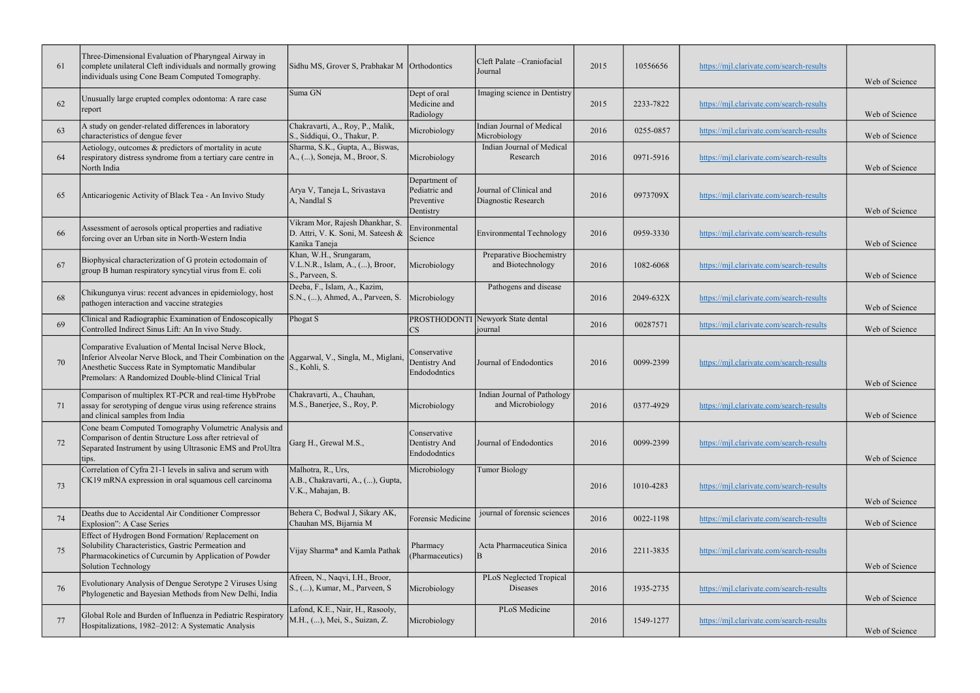| 61 | Three-Dimensional Evaluation of Pharyngeal Airway in<br>complete unilateral Cleft individuals and normally growing<br>individuals using Cone Beam Computed Tomography.                                                                                              | Sidhu MS, Grover S, Prabhakar M Orthodontics                                          |                                                           | Cleft Palate - Craniofacial<br>Journal          | 2015 | 10556656  | https://mjl.clarivate.com/search-results | Web of Science |
|----|---------------------------------------------------------------------------------------------------------------------------------------------------------------------------------------------------------------------------------------------------------------------|---------------------------------------------------------------------------------------|-----------------------------------------------------------|-------------------------------------------------|------|-----------|------------------------------------------|----------------|
| 62 | Unusually large erupted complex odontoma: A rare case<br>report                                                                                                                                                                                                     | Suma GN                                                                               | Dept of oral<br>Medicine and<br>Radiology                 | Imaging science in Dentistry                    | 2015 | 2233-7822 | https://mjl.clarivate.com/search-results | Web of Science |
| 63 | A study on gender-related differences in laboratory<br>characteristics of dengue fever                                                                                                                                                                              | Chakravarti, A., Roy, P., Malik,<br>S., Siddiqui, O., Thakur, P.                      | Microbiology                                              | Indian Journal of Medical<br>Microbiology       | 2016 | 0255-0857 | https://mjl.clarivate.com/search-results | Web of Science |
| 64 | Aetiology, outcomes & predictors of mortality in acute<br>respiratory distress syndrome from a tertiary care centre in<br>North India                                                                                                                               | Sharma, S.K., Gupta, A., Biswas,<br>A., (), Soneja, M., Broor, S.                     | Microbiology                                              | Indian Journal of Medical<br>Research           | 2016 | 0971-5916 | https://mjl.clarivate.com/search-results | Web of Science |
| 65 | Anticariogenic Activity of Black Tea - An Invivo Study                                                                                                                                                                                                              | Arya V, Taneja L, Srivastava<br>A, Nandlal S                                          | Department of<br>Pediatric and<br>Preventive<br>Dentistry | Journal of Clinical and<br>Diagnostic Research  | 2016 | 0973709X  | https://mjl.clarivate.com/search-results | Web of Science |
| 66 | Assessment of aerosols optical properties and radiative<br>forcing over an Urban site in North-Western India                                                                                                                                                        | Vikram Mor, Rajesh Dhankhar, S<br>D. Attri, V. K. Soni, M. Sateesh &<br>Kanika Taneja | Environmental<br>Science                                  | Environmental Technology                        | 2016 | 0959-3330 | https://mjl.clarivate.com/search-results | Web of Science |
| 67 | Biophysical characterization of G protein ectodomain of<br>group B human respiratory syncytial virus from E. coli                                                                                                                                                   | Khan, W.H., Srungaram,<br>V.L.N.R., Islam, A., (), Broor,<br>S., Parveen, S.          | Microbiology                                              | Preparative Biochemistry<br>and Biotechnology   | 2016 | 1082-6068 | https://mjl.clarivate.com/search-results | Web of Science |
| 68 | Chikungunya virus: recent advances in epidemiology, host<br>pathogen interaction and vaccine strategies                                                                                                                                                             | Deeba, F., Islam, A., Kazim,<br>S.N., (), Ahmed, A., Parveen, S.                      | Microbiology                                              | Pathogens and disease                           | 2016 | 2049-632X | https://mjl.clarivate.com/search-results | Web of Science |
| 69 | Clinical and Radiographic Examination of Endoscopically<br>Controlled Indirect Sinus Lift: An In vivo Study.                                                                                                                                                        | Phogat S                                                                              | CS                                                        | PROSTHODONTI Newyork State dental<br>journal    | 2016 | 00287571  | https://mjl.clarivate.com/search-results | Web of Science |
| 70 | Comparative Evaluation of Mental Incisal Nerve Block,<br>Inferior Alveolar Nerve Block, and Their Combination on the Aggarwal, V., Singla, M., Miglani,<br>Anesthetic Success Rate in Symptomatic Mandibular<br>Premolars: A Randomized Double-blind Clinical Trial | S., Kohli, S.                                                                         | Conservative<br>Dentistry And<br>Endododntics             | Journal of Endodontics                          | 2016 | 0099-2399 | https://mjl.clarivate.com/search-results | Web of Science |
| 71 | Comparison of multiplex RT-PCR and real-time HybProbe<br>assay for serotyping of dengue virus using reference strains<br>and clinical samples from India                                                                                                            | Chakravarti, A., Chauhan,<br>M.S., Banerjee, S., Roy, P.                              | Microbiology                                              | Indian Journal of Pathology<br>and Microbiology | 2016 | 0377-4929 | https://mjl.clarivate.com/search-results | Web of Science |
| 72 | Cone beam Computed Tomography Volumetric Analysis and<br>Comparison of dentin Structure Loss after retrieval of<br>Separated Instrument by using Ultrasonic EMS and ProUltra<br>tips.                                                                               | Garg H., Grewal M.S.,                                                                 | Conservative<br>Dentistry And<br>Endododntics             | Journal of Endodontics                          | 2016 | 0099-2399 | https://mjl.clarivate.com/search-results | Web of Science |
| 73 | Correlation of Cyfra 21-1 levels in saliva and serum with<br>CK19 mRNA expression in oral squamous cell carcinoma                                                                                                                                                   | Malhotra, R., Urs,<br>A.B., Chakravarti, A., (), Gupta,<br>V.K., Mahajan, B.          | Microbiology                                              | <b>Tumor Biology</b>                            | 2016 | 1010-4283 | https://mjl.clarivate.com/search-results | Web of Science |
| 74 | Deaths due to Accidental Air Conditioner Compressor<br>Explosion": A Case Series                                                                                                                                                                                    | Behera C, Bodwal J, Sikary AK,<br>Chauhan MS, Bijarnia M                              | Forensic Medicine                                         | journal of forensic sciences                    | 2016 | 0022-1198 | https://mjl.clarivate.com/search-results | Web of Science |
| 75 | Effect of Hydrogen Bond Formation/ Replacement on<br>Solubility Characteristics, Gastric Permeation and<br>Pharmacokinetics of Curcumin by Application of Powder<br>Solution Technology                                                                             | Vijay Sharma* and Kamla Pathak                                                        | Pharmacy<br>(Pharmaceutics)                               | Acta Pharmaceutica Sinica                       | 2016 | 2211-3835 | https://mjl.clarivate.com/search-results | Web of Science |
| 76 | Evolutionary Analysis of Dengue Serotype 2 Viruses Using<br>Phylogenetic and Bayesian Methods from New Delhi, India                                                                                                                                                 | Afreen, N., Naqvi, I.H., Broor,<br>S., (), Kumar, M., Parveen, S.                     | Microbiology                                              | PLoS Neglected Tropical<br>Diseases             | 2016 | 1935-2735 | https://mjl.clarivate.com/search-results | Web of Science |
| 77 | Global Role and Burden of Influenza in Pediatric Respiratory<br>Hospitalizations, 1982-2012: A Systematic Analysis                                                                                                                                                  | Lafond, K.E., Nair, H., Rasooly,<br>M.H., (), Mei, S., Suizan, Z.                     | Microbiology                                              | PLoS Medicine                                   | 2016 | 1549-1277 | https://mjl.clarivate.com/search-results | Web of Science |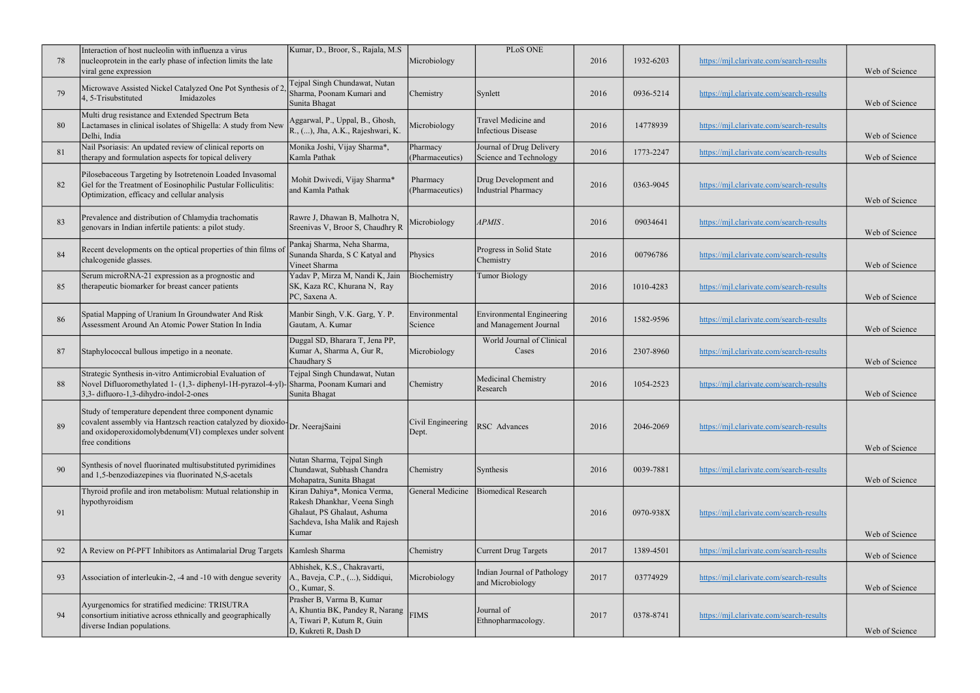| 78 | Interaction of host nucleolin with influenza a virus<br>nucleoprotein in the early phase of infection limits the late<br>viral gene expression                                                                       | Kumar, D., Broor, S., Rajala, M.S.                                                                                                      | Microbiology                | PLoS ONE                                            | 2016 | 1932-6203 | https://mjl.clarivate.com/search-results | Web of Science |
|----|----------------------------------------------------------------------------------------------------------------------------------------------------------------------------------------------------------------------|-----------------------------------------------------------------------------------------------------------------------------------------|-----------------------------|-----------------------------------------------------|------|-----------|------------------------------------------|----------------|
| 79 | Microwave Assisted Nickel Catalyzed One Pot Synthesis of 2<br>4, 5-Trisubstituted<br>Imidazoles                                                                                                                      | Tejpal Singh Chundawat, Nutan<br>Sharma, Poonam Kumari and<br>Sunita Bhagat                                                             | Chemistry                   | Synlett                                             | 2016 | 0936-5214 | https://mjl.clarivate.com/search-results | Web of Science |
| 80 | Multi drug resistance and Extended Spectrum Beta<br>Lactamases in clinical isolates of Shigella: A study from New<br>Delhi, India                                                                                    | Aggarwal, P., Uppal, B., Ghosh,<br>R., (), Jha, A.K., Rajeshwari, K.                                                                    | Microbiology                | Travel Medicine and<br><b>Infectious Disease</b>    | 2016 | 14778939  | https://mjl.clarivate.com/search-results | Web of Science |
| 81 | Nail Psoriasis: An updated review of clinical reports on<br>therapy and formulation aspects for topical delivery                                                                                                     | Monika Joshi, Vijay Sharma*,<br>Kamla Pathak                                                                                            | Pharmacy<br>(Pharmaceutics) | Journal of Drug Delivery<br>Science and Technology  | 2016 | 1773-2247 | https://mjl.clarivate.com/search-results | Web of Science |
| 82 | Pilosebaceous Targeting by Isotretenoin Loaded Invasomal<br>Gel for the Treatment of Eosinophilic Pustular Folliculitis:<br>Optimization, efficacy and cellular analysis                                             | Mohit Dwivedi, Vijay Sharma*<br>and Kamla Pathak                                                                                        | Pharmacy<br>(Pharmaceutics) | Drug Development and<br><b>Industrial Pharmacy</b>  | 2016 | 0363-9045 | https://mjl.clarivate.com/search-results | Web of Science |
| 83 | Prevalence and distribution of Chlamydia trachomatis<br>genovars in Indian infertile patients: a pilot study.                                                                                                        | Rawre J, Dhawan B, Malhotra N,<br>Sreenivas V, Broor S, Chaudhry R                                                                      | Microbiology                | APMIS.                                              | 2016 | 09034641  | https://mjl.clarivate.com/search-results | Web of Science |
| 84 | Recent developments on the optical properties of thin films o<br>chalcogenide glasses.                                                                                                                               | Pankaj Sharma, Neha Sharma,<br>Sunanda Sharda, S C Katyal and<br>Vineet Sharma                                                          | Physics                     | Progress in Solid State<br>Chemistry                | 2016 | 00796786  | https://mjl.clarivate.com/search-results | Web of Science |
| 85 | Serum microRNA-21 expression as a prognostic and<br>therapeutic biomarker for breast cancer patients                                                                                                                 | Yadav P, Mirza M, Nandi K, Jain<br>SK, Kaza RC, Khurana N, Ray<br>PC, Saxena A.                                                         | Biochemistry                | <b>Tumor Biology</b>                                | 2016 | 1010-4283 | https://mjl.clarivate.com/search-results | Web of Science |
| 86 | Spatial Mapping of Uranium In Groundwater And Risk<br>Assessment Around An Atomic Power Station In India                                                                                                             | Manbir Singh, V.K. Garg, Y.P.<br>Gautam, A. Kumar                                                                                       | Environmental<br>Science    | Environmental Engineering<br>and Management Journal | 2016 | 1582-9596 | https://mjl.clarivate.com/search-results | Web of Science |
| 87 | Staphylococcal bullous impetigo in a neonate.                                                                                                                                                                        | Duggal SD, Bharara T, Jena PP,<br>Kumar A, Sharma A, Gur R,<br>Chaudhary S                                                              | Microbiology                | World Journal of Clinical<br>Cases                  | 2016 | 2307-8960 | https://mjl.clarivate.com/search-results | Web of Science |
| 88 | Strategic Synthesis in-vitro Antimicrobial Evaluation of<br>Novel Difluoromethylated 1-(1,3- diphenyl-1H-pyrazol-4-yl)-Sharma, Poonam Kumari and<br>3,3-difluoro-1,3-dihydro-indol-2-ones                            | Tejpal Singh Chundawat, Nutan<br>Sunita Bhagat                                                                                          | Chemistry                   | Medicinal Chemistry<br>Research                     | 2016 | 1054-2523 | https://mjl.clarivate.com/search-results | Web of Science |
| 89 | Study of temperature dependent three component dynamic<br>covalent assembly via Hantzsch reaction catalyzed by dioxido Dr. NeerajSaini<br>and oxidoperoxidomolybdenum(VI) complexes under solvent<br>free conditions |                                                                                                                                         | Civil Engineering<br>Dept.  | RSC Advances                                        | 2016 | 2046-2069 | https://mjl.clarivate.com/search-results | Web of Science |
| 90 | Synthesis of novel fluorinated multisubstituted pyrimidines<br>and 1,5-benzodiazepines via fluorinated N,S-acetals                                                                                                   | Nutan Sharma, Tejpal Singh<br>Chundawat, Subhash Chandra<br>Mohapatra, Sunita Bhagat                                                    | Chemistry                   | Synthesis                                           | 2016 | 0039-7881 | https://mjl.clarivate.com/search-results | Web of Science |
| 91 | Thyroid profile and iron metabolism: Mutual relationship in<br>hypothyroidism                                                                                                                                        | Kiran Dahiya*, Monica Verma,<br>Rakesh Dhankhar, Veena Singh<br>Ghalaut, PS Ghalaut, Ashuma<br>Sachdeva, Isha Malik and Rajesh<br>Kumar | General Medicine            | <b>Biomedical Research</b>                          | 2016 | 0970-938X | https://mjl.clarivate.com/search-results | Web of Science |
| 92 | A Review on Pf-PFT Inhibitors as Antimalarial Drug Targets   Kamlesh Sharma                                                                                                                                          |                                                                                                                                         | Chemistry                   | Current Drug Targets                                | 2017 | 1389-4501 | https://mjl.clarivate.com/search-results | Web of Science |
| 93 | Association of interleukin-2, -4 and -10 with dengue severity                                                                                                                                                        | Abhishek, K.S., Chakravarti,<br>A., Baveja, C.P., (), Siddiqui,<br>O., Kumar, S.                                                        | Microbiology                | Indian Journal of Pathology<br>and Microbiology     | 2017 | 03774929  | https://mjl.clarivate.com/search-results | Web of Science |
| 94 | Ayurgenomics for stratified medicine: TRISUTRA<br>consortium initiative across ethnically and geographically<br>diverse Indian populations.                                                                          | Prasher B, Varma B, Kumar<br>A, Khuntia BK, Pandey R, Narang<br>A, Tiwari P, Kutum R, Guin<br>D, Kukreti R, Dash D                      | <b>FIMS</b>                 | Journal of<br>Ethnopharmacology.                    | 2017 | 0378-8741 | https://mjl.clarivate.com/search-results | Web of Science |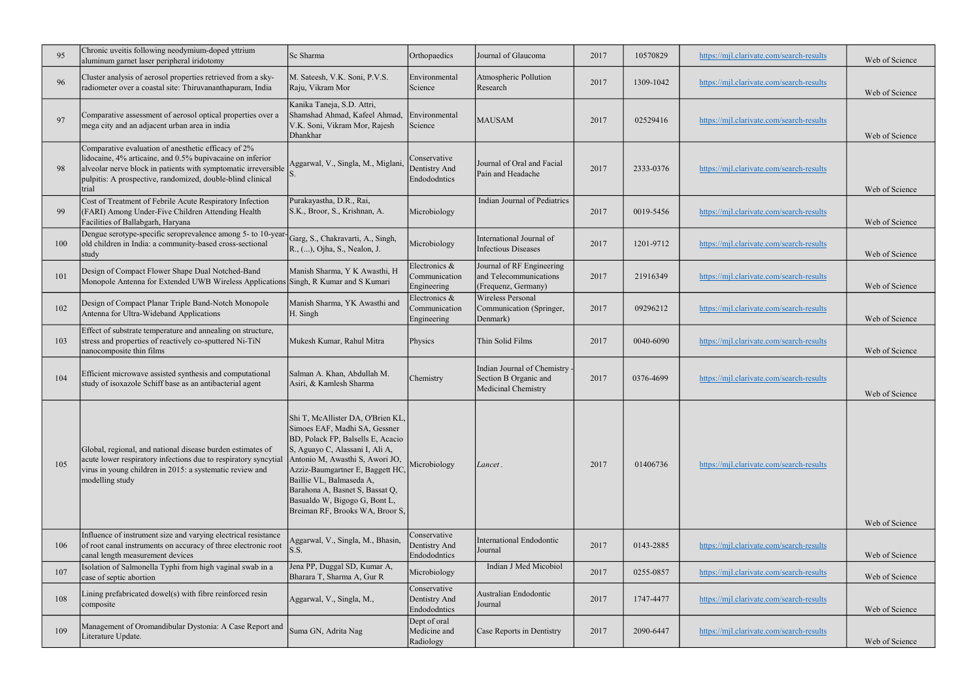| 95  | Chronic uveitis following neodymium-doped yttrium<br>aluminum garnet laser peripheral iridotomy                                                                                                                                                           | Sc Sharma                                                                                                                                                                                                                                                                                                                                           | Orthopaedics                                  | Journal of Glaucoma                                                           | 2017 | 10570829  | https://mjl.clarivate.com/search-results | Web of Science |
|-----|-----------------------------------------------------------------------------------------------------------------------------------------------------------------------------------------------------------------------------------------------------------|-----------------------------------------------------------------------------------------------------------------------------------------------------------------------------------------------------------------------------------------------------------------------------------------------------------------------------------------------------|-----------------------------------------------|-------------------------------------------------------------------------------|------|-----------|------------------------------------------|----------------|
| 96  | Cluster analysis of aerosol properties retrieved from a sky-<br>radiometer over a coastal site: Thiruvananthapuram, India                                                                                                                                 | M. Sateesh, V.K. Soni, P.V.S.<br>Raju, Vikram Mor                                                                                                                                                                                                                                                                                                   | Environmental<br>Science                      | Atmospheric Pollution<br>Research                                             | 2017 | 1309-1042 | https://mjl.clarivate.com/search-results | Web of Science |
| 97  | Comparative assessment of aerosol optical properties over a<br>mega city and an adjacent urban area in india                                                                                                                                              | Kanika Taneja, S.D. Attri,<br>Shamshad Ahmad, Kafeel Ahmad,<br>V.K. Soni, Vikram Mor, Rajesh<br>Dhankhar                                                                                                                                                                                                                                            | Environmental<br>Science                      | <b>MAUSAM</b>                                                                 | 2017 | 02529416  | https://mjl.clarivate.com/search-results | Web of Science |
| 98  | Comparative evaluation of anesthetic efficacy of 2%<br>lidocaine, 4% articaine, and 0.5% bupivacaine on inferior<br>alveolar nerve block in patients with symptomatic irreversible<br>pulpitis: A prospective, randomized, double-blind clinical<br>trial | Aggarwal, V., Singla, M., Miglani,                                                                                                                                                                                                                                                                                                                  | Conservative<br>Dentistry And<br>Endododntics | Journal of Oral and Facial<br>Pain and Headache                               | 2017 | 2333-0376 | https://mjl.clarivate.com/search-results | Web of Science |
| 99  | Cost of Treatment of Febrile Acute Respiratory Infection<br>(FARI) Among Under-Five Children Attending Health<br>Facilities of Ballabgarh, Haryana                                                                                                        | Purakayastha, D.R., Rai,<br>S.K., Broor, S., Krishnan, A.                                                                                                                                                                                                                                                                                           | Microbiology                                  | Indian Journal of Pediatrics                                                  | 2017 | 0019-5456 | https://mjl.clarivate.com/search-results | Web of Science |
| 100 | Dengue serotype-specific seroprevalence among 5- to 10-year-<br>old children in India: a community-based cross-sectional<br> study                                                                                                                        | Garg, S., Chakravarti, A., Singh,<br>R., (), Ojha, S., Nealon, J.                                                                                                                                                                                                                                                                                   | Microbiology                                  | International Journal of<br><b>Infectious Diseases</b>                        | 2017 | 1201-9712 | https://mjl.clarivate.com/search-results | Web of Science |
| 101 | Design of Compact Flower Shape Dual Notched-Band<br>Monopole Antenna for Extended UWB Wireless Applications Singh, R Kumar and S Kumari                                                                                                                   | Manish Sharma, Y K Awasthi, H                                                                                                                                                                                                                                                                                                                       | Electronics &<br>Communication<br>Engineering | Journal of RF Engineering<br>and Telecommunications<br>(Frequenz, Germany)    | 2017 | 21916349  | https://mjl.clarivate.com/search-results | Web of Science |
| 102 | Design of Compact Planar Triple Band-Notch Monopole<br>Antenna for Ultra-Wideband Applications                                                                                                                                                            | Manish Sharma, YK Awasthi and<br>H. Singh                                                                                                                                                                                                                                                                                                           | Electronics &<br>Communication<br>Engineering | Wireless Personal<br>Communication (Springer,<br>Denmark)                     | 2017 | 09296212  | https://mjl.clarivate.com/search-results | Web of Science |
| 103 | Effect of substrate temperature and annealing on structure,<br>stress and properties of reactively co-sputtered Ni-TiN<br>nanocomposite thin films                                                                                                        | Mukesh Kumar, Rahul Mitra                                                                                                                                                                                                                                                                                                                           | Physics                                       | Thin Solid Films                                                              | 2017 | 0040-6090 | https://mjl.clarivate.com/search-results | Web of Science |
| 104 | Efficient microwave assisted synthesis and computational<br>study of isoxazole Schiff base as an antibacterial agent                                                                                                                                      | Salman A. Khan, Abdullah M.<br>Asiri, & Kamlesh Sharma                                                                                                                                                                                                                                                                                              | Chemistry                                     | Indian Journal of Chemistry -<br>Section B Organic and<br>Medicinal Chemistry | 2017 | 0376-4699 | https://mjl.clarivate.com/search-results | Web of Science |
| 105 | Global, regional, and national disease burden estimates of<br>acute lower respiratory infections due to respiratory syncytial<br>virus in young children in 2015: a systematic review and<br>modelling study                                              | Shi T, McAllister DA, O'Brien KL,<br>Simoes EAF, Madhi SA, Gessner<br>BD, Polack FP, Balsells E, Acacio<br>S, Aguayo C, Alassani I, Ali A,<br>Antonio M, Awasthi S, Awori JO,<br>Azziz-Baumgartner E, Baggett HC<br>Baillie VL, Balmaseda A,<br>Barahona A, Basnet S, Bassat Q,<br>Basualdo W, Bigogo G, Bont L,<br>Breiman RF, Brooks WA, Broor S, | Microbiology                                  | Lancet.                                                                       | 2017 | 01406736  | https://mjl.clarivate.com/search-results | Web of Science |
| 106 | Influence of instrument size and varying electrical resistance<br>of root canal instruments on accuracy of three electronic root<br>canal length measurement devices                                                                                      | Aggarwal, V., Singla, M., Bhasin,<br>S.S.                                                                                                                                                                                                                                                                                                           | Conservative<br>Dentistry And<br>Endododntics | <b>International Endodontic</b><br>Journal                                    | 2017 | 0143-2885 | https://mjl.clarivate.com/search-results | Web of Science |
| 107 | Isolation of Salmonella Typhi from high vaginal swab in a<br>case of septic abortion                                                                                                                                                                      | Jena PP, Duggal SD, Kumar A,<br>Bharara T, Sharma A, Gur R                                                                                                                                                                                                                                                                                          | Microbiology                                  | Indian J Med Micobiol                                                         | 2017 | 0255-0857 | https://mjl.clarivate.com/search-results | Web of Science |
| 108 | Lining prefabricated dowel(s) with fibre reinforced resin<br>composite                                                                                                                                                                                    | Aggarwal, V., Singla, M.,                                                                                                                                                                                                                                                                                                                           | Conservative<br>Dentistry And<br>Endododntics | Australian Endodontic<br>Journal                                              | 2017 | 1747-4477 | https://mjl.clarivate.com/search-results | Web of Science |
| 109 | Management of Oromandibular Dystonia: A Case Report and<br>Literature Update.                                                                                                                                                                             | Suma GN, Adrita Nag                                                                                                                                                                                                                                                                                                                                 | Dept of oral<br>Medicine and<br>Radiology     | Case Reports in Dentistry                                                     | 2017 | 2090-6447 | https://mjl.clarivate.com/search-results | Web of Science |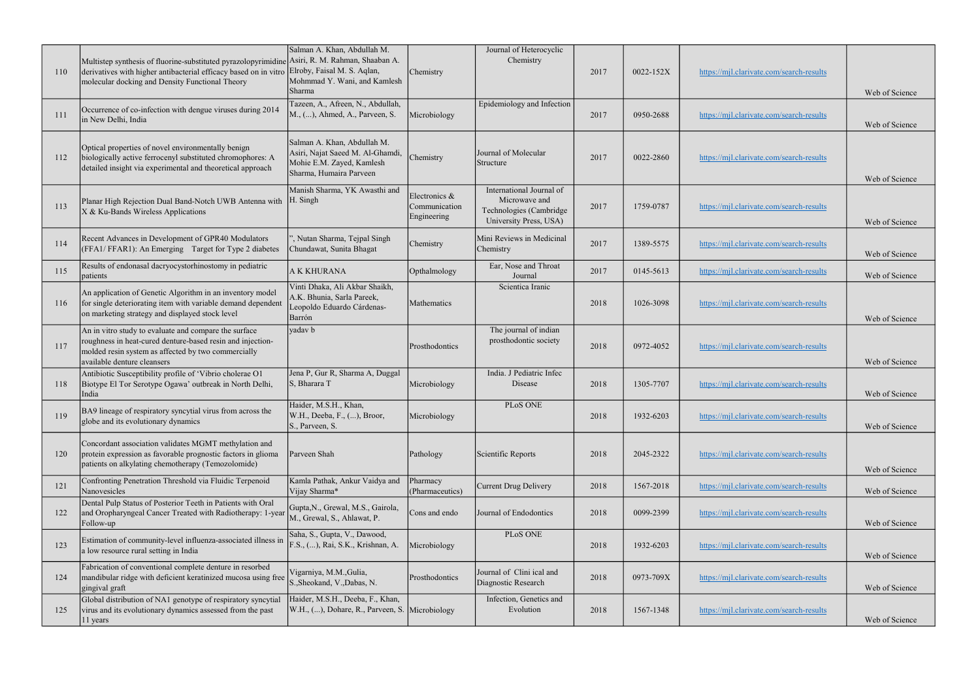| 110 | Multistep synthesis of fluorine-substituted pyrazolopyrimidine Asiri, R. M. Rahman, Shaaban A.<br>derivatives with higher antibacterial efficacy based on in vitro Elroby, Faisal M. S. Aqlan,<br>molecular docking and Density Functional Theory | Salman A. Khan, Abdullah M.<br>Mohmmad Y. Wani, and Kamlesh<br>Sharma                                                   | Chemistry                                     | Journal of Heterocyclic<br>Chemistry                                                           | 2017 | 0022-152X | https://mjl.clarivate.com/search-results | Web of Science |
|-----|---------------------------------------------------------------------------------------------------------------------------------------------------------------------------------------------------------------------------------------------------|-------------------------------------------------------------------------------------------------------------------------|-----------------------------------------------|------------------------------------------------------------------------------------------------|------|-----------|------------------------------------------|----------------|
| 111 | Occurrence of co-infection with dengue viruses during 2014<br>in New Delhi, India                                                                                                                                                                 | Tazeen, A., Afreen, N., Abdullah,<br>M., (), Ahmed, A., Parveen, S.                                                     | Microbiology                                  | Epidemiology and Infection                                                                     | 2017 | 0950-2688 | https://mjl.clarivate.com/search-results | Web of Science |
| 112 | Optical properties of novel environmentally benign<br>biologically active ferrocenyl substituted chromophores: A<br>detailed insight via experimental and theoretical approach                                                                    | Salman A. Khan, Abdullah M.<br>Asiri, Najat Saeed M. Al-Ghamdi,<br>Mohie E.M. Zayed, Kamlesh<br>Sharma, Humaira Parveen | Chemistry                                     | Journal of Molecular<br>Structure                                                              | 2017 | 0022-2860 | https://mjl.clarivate.com/search-results | Web of Science |
| 113 | Planar High Rejection Dual Band-Notch UWB Antenna with<br>X & Ku-Bands Wireless Applications                                                                                                                                                      | Manish Sharma, YK Awasthi and<br>H. Singh                                                                               | Electronics &<br>Communication<br>Engineering | International Journal of<br>Microwave and<br>Technologies (Cambridge<br>University Press, USA) | 2017 | 1759-0787 | https://mjl.clarivate.com/search-results | Web of Science |
| 114 | Recent Advances in Development of GPR40 Modulators<br>(FFA1/FFAR1): An Emerging Target for Type 2 diabetes                                                                                                                                        | ', Nutan Sharma, Tejpal Singh<br>Chundawat, Sunita Bhagat                                                               | Chemistry                                     | Mini Reviews in Medicinal<br>Chemistry                                                         | 2017 | 1389-5575 | https://mjl.clarivate.com/search-results | Web of Science |
| 115 | Results of endonasal dacryocystorhinostomy in pediatric<br>patients                                                                                                                                                                               | A K KHURANA                                                                                                             | Opthalmology                                  | Ear, Nose and Throat<br>Journal                                                                | 2017 | 0145-5613 | https://mjl.clarivate.com/search-results | Web of Science |
| 116 | An application of Genetic Algorithm in an inventory model<br>for single deteriorating item with variable demand dependent<br>on marketing strategy and displayed stock level                                                                      | Vinti Dhaka, Ali Akbar Shaikh,<br>A.K. Bhunia, Sarla Pareek,<br>Leopoldo Eduardo Cárdenas-<br>Barrón                    | Mathematics                                   | Scientica Iranic                                                                               | 2018 | 1026-3098 | https://mjl.clarivate.com/search-results | Web of Science |
| 117 | An in vitro study to evaluate and compare the surface<br>roughness in heat-cured denture-based resin and injection-<br>molded resin system as affected by two commercially<br>available denture cleansers                                         | yadav b                                                                                                                 | Prosthodontics                                | The journal of indian<br>prosthodontic society                                                 | 2018 | 0972-4052 | https://mjl.clarivate.com/search-results | Web of Science |
| 118 | Antibiotic Susceptibility profile of 'Vibrio cholerae O1<br>Biotype El Tor Serotype Ogawa' outbreak in North Delhi,<br>India                                                                                                                      | Jena P, Gur R, Sharma A, Duggal<br>S, Bharara T                                                                         | Microbiology                                  | India. J Pediatric Infec<br>Disease                                                            | 2018 | 1305-7707 | https://mjl.clarivate.com/search-results | Web of Science |
| 119 | BA9 lineage of respiratory syncytial virus from across the<br>globe and its evolutionary dynamics                                                                                                                                                 | Haider, M.S.H., Khan,<br>W.H., Deeba, F., (), Broor,<br>S., Parveen, S.                                                 | Microbiology                                  | PLoS ONE                                                                                       | 2018 | 1932-6203 | https://mjl.clarivate.com/search-results | Web of Science |
| 120 | Concordant association validates MGMT methylation and<br>protein expression as favorable prognostic factors in glioma<br>patients on alkylating chemotherapy (Temozolomide)                                                                       | Parveen Shah                                                                                                            | Pathology                                     | Scientific Reports                                                                             | 2018 | 2045-2322 | https://mjl.clarivate.com/search-results | Web of Science |
| 121 | Confronting Penetration Threshold via Fluidic Terpenoid<br>Nanovesicles                                                                                                                                                                           | Kamla Pathak, Ankur Vaidya and<br>Vijay Sharma*                                                                         | Pharmacy<br>(Pharmaceutics)                   | Current Drug Delivery                                                                          | 2018 | 1567-2018 | https://mjl.clarivate.com/search-results | Web of Science |
| 122 | Dental Pulp Status of Posterior Teeth in Patients with Oral<br>and Oropharyngeal Cancer Treated with Radiotherapy: 1-year<br>Follow-up                                                                                                            | Gupta, N., Grewal, M.S., Gairola,<br>M., Grewal, S., Ahlawat, P.                                                        | Cons and endo                                 | Journal of Endodontics                                                                         | 2018 | 0099-2399 | https://mjl.clarivate.com/search-results | Web of Science |
| 123 | Estimation of community-level influenza-associated illness in<br>a low resource rural setting in India                                                                                                                                            | Saha, S., Gupta, V., Dawood,<br>F.S., (), Rai, S.K., Krishnan, A.                                                       | Microbiology                                  | PLoS ONE                                                                                       | 2018 | 1932-6203 | https://mjl.clarivate.com/search-results | Web of Science |
| 124 | Fabrication of conventional complete denture in resorbed<br>mandibular ridge with deficient keratinized mucosa using free<br>gingival graft                                                                                                       | Vigarniya, M.M., Gulia,<br>S., Sheokand, V., Dabas, N.                                                                  | Prosthodontics                                | Journal of Clini ical and<br>Diagnostic Research                                               | 2018 | 0973-709X | https://mjl.clarivate.com/search-results | Web of Science |
| 125 | Global distribution of NA1 genotype of respiratory syncytial<br>virus and its evolutionary dynamics assessed from the past<br>11 years                                                                                                            | Haider, M.S.H., Deeba, F., Khan,<br>W.H., (), Dohare, R., Parveen, S. Microbiology                                      |                                               | Infection, Genetics and<br>Evolution                                                           | 2018 | 1567-1348 | https://mjl.clarivate.com/search-results | Web of Science |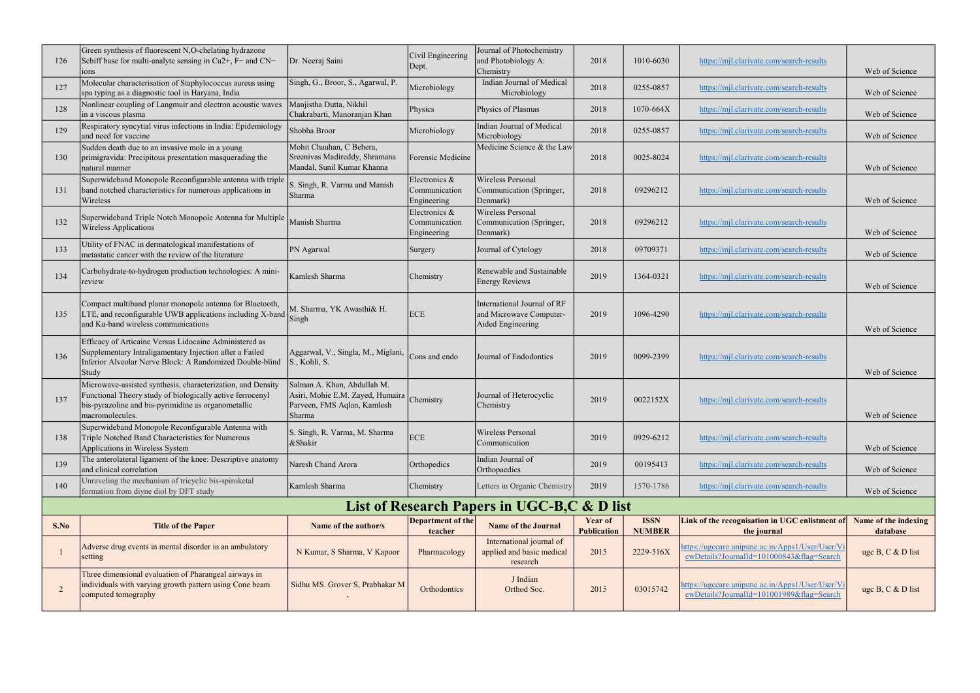| 126  | Green synthesis of fluorescent N,O-chelating hydrazone<br>Schiff base for multi-analyte sensing in $Cu2+, F-$ and $CN-$<br>10 <sub>ns</sub>                                                        | Dr. Neeraj Saini                                                                                         | Civil Engineering<br>Dept.                    | Journal of Photochemistry<br>and Photobiology A:<br>Chemistry               | 2018                                 | 1010-6030                    | https://mjl.clarivate.com/search-results                                                      | Web of Science                   |
|------|----------------------------------------------------------------------------------------------------------------------------------------------------------------------------------------------------|----------------------------------------------------------------------------------------------------------|-----------------------------------------------|-----------------------------------------------------------------------------|--------------------------------------|------------------------------|-----------------------------------------------------------------------------------------------|----------------------------------|
| 127  | Molecular characterisation of Staphylococcus aureus using<br>spa typing as a diagnostic tool in Haryana, India                                                                                     | Singh, G., Broor, S., Agarwal, P.                                                                        | Microbiology                                  | Indian Journal of Medical<br>Microbiology                                   | 2018                                 | 0255-0857                    | https://mjl.clarivate.com/search-results                                                      | Web of Science                   |
| 128  | Nonlinear coupling of Langmuir and electron acoustic waves<br>in a viscous plasma                                                                                                                  | Manjistha Dutta, Nikhil<br>Chakrabarti, Manoranjan Khan                                                  | Physics                                       | Physics of Plasmas                                                          | 2018                                 | 1070-664X                    | https://mjl.clarivate.com/search-results                                                      | Web of Science                   |
| 129  | Respiratory syncytial virus infections in India: Epidemiology<br>and need for vaccine                                                                                                              | Shobha Broor                                                                                             | Microbiology                                  | Indian Journal of Medical<br>Microbiology                                   | 2018                                 | 0255-0857                    | https://mjl.clarivate.com/search-results                                                      | Web of Science                   |
| 130  | Sudden death due to an invasive mole in a young<br>primigravida: Precipitous presentation masquerading the<br>natural manner                                                                       | Mohit Chauhan, C Behera,<br>Sreenivas Madireddy, Shramana<br>Mandal, Sunil Kumar Khanna                  | Forensic Medicine                             | Medicine Science & the Law                                                  | 2018                                 | 0025-8024                    | https://mjl.clarivate.com/search-results                                                      | Web of Science                   |
| 131  | Superwideband Monopole Reconfigurable antenna with triple<br>band notched characteristics for numerous applications in<br>Wireless                                                                 | S. Singh, R. Varma and Manish<br>Sharma                                                                  | Electronics &<br>Communication<br>Engineering | Wireless Personal<br>Communication (Springer,<br>Denmark)                   | 2018                                 | 09296212                     | https://mjl.clarivate.com/search-results                                                      | Web of Science                   |
| 132  | Superwideband Triple Notch Monopole Antenna for Multiple<br><b>Wireless Applications</b>                                                                                                           | Manish Sharma                                                                                            | Electronics &<br>Communication<br>Engineering | Wireless Personal<br>Communication (Springer,<br>Denmark)                   | 2018                                 | 09296212                     | https://mjl.clarivate.com/search-results                                                      | Web of Science                   |
| 133  | Utility of FNAC in dermatological manifestations of<br>metastatic cancer with the review of the literature                                                                                         | PN Agarwal                                                                                               | Surgery                                       | Journal of Cytology                                                         | 2018                                 | 09709371                     | https://mjl.clarivate.com/search-results                                                      | Web of Science                   |
| 134  | Carbohydrate-to-hydrogen production technologies: A mini-<br>review                                                                                                                                | Kamlesh Sharma                                                                                           | Chemistry                                     | Renewable and Sustainable<br>Energy Reviews                                 | 2019                                 | 1364-0321                    | https://mjl.clarivate.com/search-results                                                      | Web of Science                   |
| 135  | Compact multiband planar monopole antenna for Bluetooth,<br>LTE, and reconfigurable UWB applications including X-band<br>and Ku-band wireless communications                                       | M. Sharma, YK Awasthi& H.<br>Singh                                                                       | ECE                                           | International Journal of RF<br>and Microwave Computer-<br>Aided Engineering | 2019                                 | 1096-4290                    | https://mjl.clarivate.com/search-results                                                      | Web of Science                   |
| 136  | Efficacy of Articaine Versus Lidocaine Administered as<br>Supplementary Intraligamentary Injection after a Failed<br>Inferior Alveolar Nerve Block: A Randomized Double-blind<br>Study             | Aggarwal, V., Singla, M., Miglani,<br>S., Kohli, S.                                                      | Cons and endo                                 | Journal of Endodontics                                                      | 2019                                 | 0099-2399                    | https://mjl.clarivate.com/search-results                                                      | Web of Science                   |
| 137  | Microwave-assisted synthesis, characterization, and Density<br>Functional Theory study of biologically active ferrocenyl<br>bis-pyrazoline and bis-pyrimidine as organometallic<br>macromolecules. | Salman A. Khan, Abdullah M.<br>Asiri, Mohie E.M. Zayed, Humaira<br>Parveen, FMS Aqlan, Kamlesh<br>Sharma | Chemistry                                     | Journal of Heterocyclic<br>Chemistry                                        | 2019                                 | 0022152X                     | https://mjl.clarivate.com/search-results                                                      | Web of Science                   |
| 138  | Superwideband Monopole Reconfigurable Antenna with<br>Triple Notched Band Characteristics for Numerous<br>Applications in Wireless System                                                          | S. Singh, R. Varma, M. Sharma<br>&Shakir                                                                 | ECE                                           | Wireless Personal<br>Communication                                          | 2019                                 | 0929-6212                    | https://mjl.clarivate.com/search-results                                                      | Web of Science                   |
| 139  | The anterolateral ligament of the knee: Descriptive anatomy<br>and clinical correlation                                                                                                            | Naresh Chand Arora                                                                                       | Orthopedics                                   | Indian Journal of<br>Orthopaedics                                           | 2019                                 | 00195413                     | https://mjl.clarivate.com/search-results                                                      | Web of Science                   |
| 140  | Unraveling the mechanism of tricyclic bis-spiroketal<br>formation from diyne diol by DFT study                                                                                                     | Kamlesh Sharma                                                                                           | Chemistry                                     | Letters in Organic Chemistry                                                | 2019                                 | 1570-1786                    | https://mjl.clarivate.com/search-results                                                      | Web of Science                   |
|      |                                                                                                                                                                                                    |                                                                                                          |                                               | List of Research Papers in UGC-B,C & D list                                 |                                      |                              |                                                                                               |                                  |
| S.No | <b>Title of the Paper</b>                                                                                                                                                                          | Name of the author/s                                                                                     | Department of the<br>teacher                  | <b>Name of the Journal</b>                                                  | <b>Year of</b><br><b>Publication</b> | <b>ISSN</b><br><b>NUMBER</b> | Link of the recognisation in UGC enlistment of<br>the journal                                 | Name of the indexing<br>database |
|      | Adverse drug events in mental disorder in an ambulatory<br>setting                                                                                                                                 | N Kumar, S Sharma, V Kapoor                                                                              | Pharmacology                                  | International journal of<br>applied and basic medical<br>research           | 2015                                 | 2229-516X                    | https://ugccare.unipune.ac.in/Apps1/User/User/V<br>ewDetails?JournalId=101000843&flag=Search  | uge B, C $&$ D list              |
| 2    | Three dimensional evaluation of Pharangeal airways in<br>individuals with varying growth pattern using Cone beam<br>computed tomography                                                            | Sidhu MS. Grover S, Prabhakar M                                                                          | Orthodontics                                  | J Indian<br>Orthod Soc.                                                     | 2015                                 | 03015742                     | https://ugccare.unipune.ac.in/Apps1/User/User/Vi<br>ewDetails?JournalId=101001989&flag=Search | uge B, C $&$ D list              |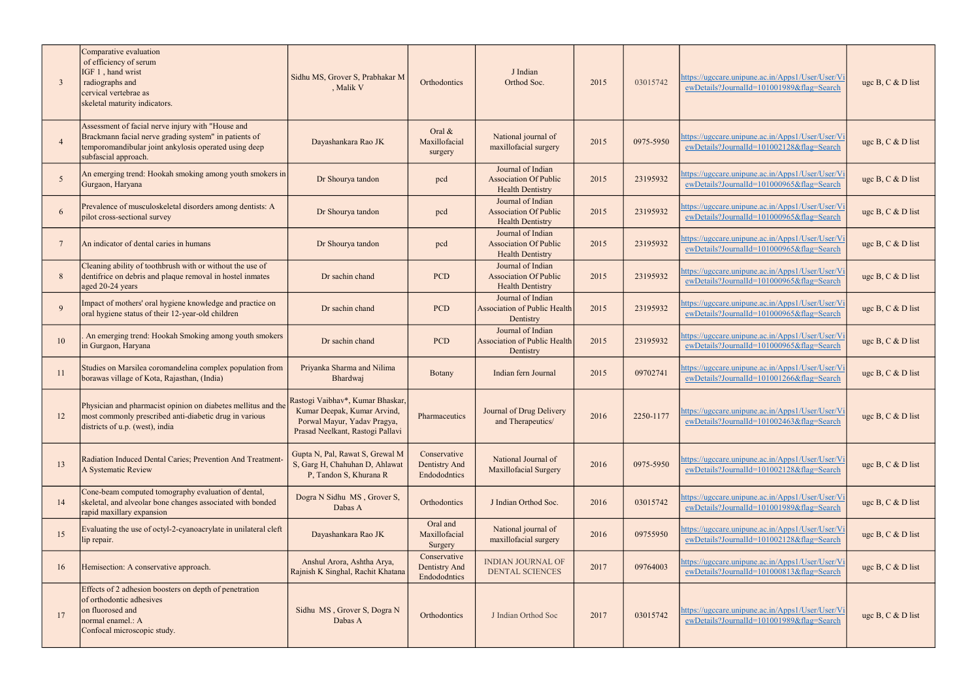| - 3 | Comparative evaluation<br>of efficiency of serum<br>IGF 1, hand wrist<br>radiographs and<br>cervical vertebrae as<br>skeletal maturity indicators.                                          | Sidhu MS, Grover S, Prabhakar M<br>, Malik V                                                                                       | Orthodontics                                  | J Indian<br>Orthod Soc.                                                      | 2015 | 03015742  | https://ugccare.unipune.ac.in/Apps1/User/User/Vi<br>ewDetails?JournalId=101001989&flag=Search | uge B, C & D list   |
|-----|---------------------------------------------------------------------------------------------------------------------------------------------------------------------------------------------|------------------------------------------------------------------------------------------------------------------------------------|-----------------------------------------------|------------------------------------------------------------------------------|------|-----------|-----------------------------------------------------------------------------------------------|---------------------|
|     | Assessment of facial nerve injury with "House and<br>Brackmann facial nerve grading system" in patients of<br>temporomandibular joint ankylosis operated using deep<br>subfascial approach. | Dayashankara Rao JK                                                                                                                | Oral &<br>Maxillofacial<br>surgery            | National journal of<br>maxillofacial surgery                                 | 2015 | 0975-5950 | https://ugccare.unipune.ac.in/Apps1/User/User/Vi<br>ewDetails?JournalId=101002128&flag=Search | uge B, C $&$ D list |
| -5  | An emerging trend: Hookah smoking among youth smokers in<br>Gurgaon, Haryana                                                                                                                | Dr Shourya tandon                                                                                                                  | pcd                                           | Journal of Indian<br><b>Association Of Public</b><br><b>Health Dentistry</b> | 2015 | 23195932  | https://ugccare.unipune.ac.in/Apps1/User/User/Vi<br>ewDetails?JournalId=101000965&flag=Search | uge B, C & D list   |
|     | Prevalence of musculoskeletal disorders among dentists: A<br>pilot cross-sectional survey                                                                                                   | Dr Shourya tandon                                                                                                                  | pcd                                           | Journal of Indian<br><b>Association Of Public</b><br><b>Health Dentistry</b> | 2015 | 23195932  | https://ugccare.unipune.ac.in/Apps1/User/User/V<br>ewDetails?JournalId=101000965&flag=Search  | uge B, C & D list   |
|     | An indicator of dental caries in humans                                                                                                                                                     | Dr Shourya tandon                                                                                                                  | pcd                                           | Journal of Indian<br><b>Association Of Public</b><br><b>Health Dentistry</b> | 2015 | 23195932  | https://ugccare.unipune.ac.in/Apps1/User/User/V<br>ewDetails?JournalId=101000965&flag=Search  | uge B, C $&$ D list |
|     | Cleaning ability of toothbrush with or without the use of<br>dentifrice on debris and plaque removal in hostel inmates<br>aged 20-24 years                                                  | Dr sachin chand                                                                                                                    | <b>PCD</b>                                    | Journal of Indian<br><b>Association Of Public</b><br><b>Health Dentistry</b> | 2015 | 23195932  | nttps://ugccare.unipune.ac.in/Apps1/User/User/Vi<br>ewDetails?JournalId=101000965&flag=Search | uge B, C & D list   |
| -9  | Impact of mothers' oral hygiene knowledge and practice on<br>oral hygiene status of their 12-year-old children                                                                              | Dr sachin chand                                                                                                                    | <b>PCD</b>                                    | Journal of Indian<br><b>Association of Public Health</b><br>Dentistry        | 2015 | 23195932  | https://ugccare.unipune.ac.in/Apps1/User/User/Vi<br>ewDetails?JournalId=101000965&flag=Search | uge B, C & D list   |
| 10  | An emerging trend: Hookah Smoking among youth smokers<br>in Gurgaon, Haryana                                                                                                                | Dr sachin chand                                                                                                                    | <b>PCD</b>                                    | Journal of Indian<br><b>Association of Public Health</b><br>Dentistry        | 2015 | 23195932  | https://ugccare.unipune.ac.in/Apps1/User/User/V<br>ewDetails?JournalId=101000965&flag=Search  | uge B, C & D list   |
| -11 | Studies on Marsilea coromandelina complex population from<br>borawas village of Kota, Rajasthan, (India)                                                                                    | Priyanka Sharma and Nilima<br>Bhardwaj                                                                                             | <b>Botany</b>                                 | Indian fern Journal                                                          | 2015 | 09702741  | https://ugccare.unipune.ac.in/Apps1/User/User/V<br>ewDetails?JournalId=101001266&flag=Search  | uge B, C & D list   |
| 12  | Physician and pharmacist opinion on diabetes mellitus and the<br>most commonly prescribed anti-diabetic drug in various<br>districts of u.p. (west), india                                  | Rastogi Vaibhav*, Kumar Bhaskar,<br>Kumar Deepak, Kumar Arvind,<br>Porwal Mayur, Yadav Pragya,<br>Prasad Neelkant, Rastogi Pallavi | Pharmaceutics                                 | Journal of Drug Delivery<br>and Therapeutics/                                | 2016 | 2250-1177 | https://ugccare.unipune.ac.in/Apps1/User/User/Vi<br>ewDetails?JournalId=101002463&flag=Search | uge B, C & D list   |
| 13  | Radiation Induced Dental Caries; Prevention And Treatment-<br>A Systematic Review                                                                                                           | Gupta N, Pal, Rawat S, Grewal M<br>S, Garg H, Chahuhan D, Ahlawat<br>P, Tandon S, Khurana R                                        | Conservative<br>Dentistry And<br>Endododntics | National Journal of<br>Maxillofacial Surgery                                 | 2016 | 0975-5950 | https://ugccare.unipune.ac.in/Apps1/User/User/Vi<br>ewDetails?JournalId=101002128&flag=Search | uge B, C & D list   |
| 14  | Cone-beam computed tomography evaluation of dental,<br>skeletal, and alveolar bone changes associated with bonded<br>rapid maxillary expansion                                              | Dogra N Sidhu MS, Grover S,<br>Dabas A                                                                                             | Orthodontics                                  | J Indian Orthod Soc.                                                         | 2016 | 03015742  | nttps://ugccare.unipune.ac.in/Apps1/User/User/V<br>ewDetails?JournalId=101001989&flag=Search  | uge B, C $&$ D list |
| 15  | Evaluating the use of octyl-2-cyanoacrylate in unilateral cleft<br>lip repair.                                                                                                              | Dayashankara Rao JK                                                                                                                | Oral and<br>Maxillofacial<br>Surgery          | National journal of<br>maxillofacial surgery                                 | 2016 | 09755950  | https://ugccare.unipune.ac.in/Apps1/User/User/V<br>ewDetails?JournalId=101002128&flag=Search  | uge B, C & D list   |
| 16  | Hemisection: A conservative approach.                                                                                                                                                       | Anshul Arora, Ashtha Arya,<br>Rajnish K Singhal, Rachit Khatana                                                                    | Conservative<br>Dentistry And<br>Endododntics | <b>INDIAN JOURNAL OF</b><br>DENTAL SCIENCES                                  | 2017 | 09764003  | nttps://ugccare.unipune.ac.in/Apps1/User/User/V<br>ewDetails?JournalId=101000813&flag=Search  | uge B, C & D list   |
| -17 | Effects of 2 adhesion boosters on depth of penetration<br>of orthodontic adhesives<br>on fluorosed and<br>normal enamel.: A<br>Confocal microscopic study.                                  | Sidhu MS, Grover S, Dogra N<br>Dabas A                                                                                             | Orthodontics                                  | J Indian Orthod Soc                                                          | 2017 | 03015742  | https://ugccare.unipune.ac.in/Apps1/User/User/Vi<br>ewDetails?JournalId=101001989&flag=Search | uge B, C & D list   |